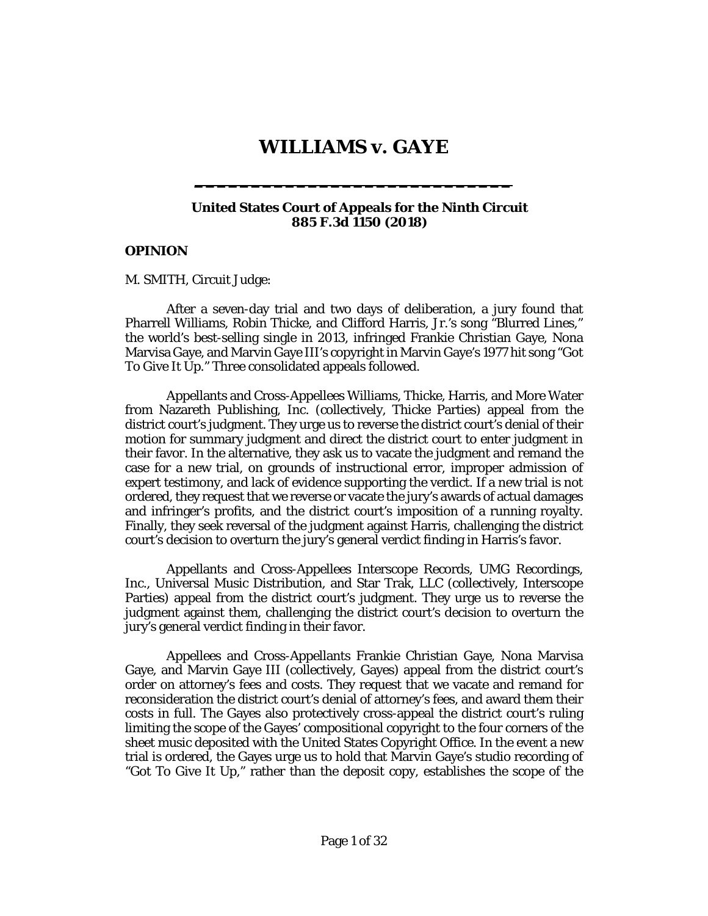# **WILLIAMS v. GAYE**

**\_\_\_\_\_\_\_\_\_\_\_\_\_\_\_\_\_\_\_\_\_\_\_\_\_\_\_\_**

#### **United States Court of Appeals for the Ninth Circuit 885 F.3d 1150 (2018)**

### **OPINION**

[M. SMITH,](http://www.westlaw.com/Link/Document/FullText?findType=h&pubNum=176284&cite=0202981201&originatingDoc=Ib17569402d2211e8bf39ca8c49083d45&refType=RQ&originationContext=document&vr=3.0&rs=cblt1.0&transitionType=DocumentItem&contextData=(sc.Keycite)) Circuit Judge:

After a seven-day trial and two days of deliberation, a jury found that Pharrell Williams, Robin Thicke, and Clifford Harris, Jr.'s song "Blurred Lines," the world's best-selling single in 2013, infringed Frankie Christian Gaye, Nona Marvisa Gaye, and Marvin Gaye III's copyright in Marvin Gaye's 1977 hit song "Got To Give It Up." Three consolidated appeals followed.

Appellants and Cross-Appellees Williams, Thicke, Harris, and More Water from Nazareth Publishing, Inc. (collectively, Thicke Parties) appeal from the district court's judgment. They urge us to reverse the district court's denial of their motion for summary judgment and direct the district court to enter judgment in their favor. In the alternative, they ask us to vacate the judgment and remand the case for a new trial, on grounds of instructional error, improper admission of expert testimony, and lack of evidence supporting the verdict. If a new trial is not ordered, they request that we reverse or vacate the jury's awards of actual damages and infringer's profits, and the district court's imposition of a running royalty. Finally, they seek reversal of the judgment against Harris, challenging the district court's decision to overturn the jury's general verdict finding in Harris's favor.

Appellants and Cross-Appellees Interscope Records, UMG Recordings, Inc., Universal Music Distribution, and Star Trak, LLC (collectively, Interscope Parties) appeal from the district court's judgment. They urge us to reverse the judgment against them, challenging the district court's decision to overturn the jury's general verdict finding in their favor.

Appellees and Cross-Appellants Frankie Christian Gaye, Nona Marvisa Gaye, and Marvin Gaye III (collectively, Gayes) appeal from the district court's order on attorney's fees and costs. They request that we vacate and remand for reconsideration the district court's denial of attorney's fees, and award them their costs in full. The Gayes also protectively cross-appeal the district court's ruling limiting the scope of the Gayes' compositional copyright to the four corners of the sheet music deposited with the United States Copyright Office. In the event a new trial is ordered, the Gayes urge us to hold that Marvin Gaye's studio recording of "Got To Give It Up," rather than the deposit copy, establishes the scope of the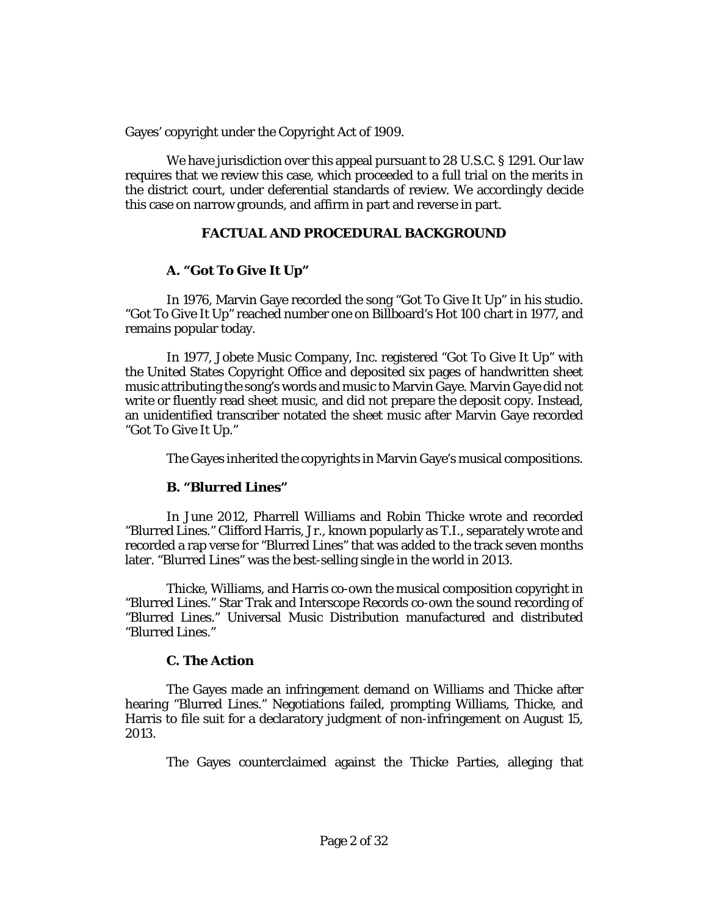Gayes' copyright under the Copyright Act of 1909.

We have jurisdiction over this appeal pursuant to [28 U.S.C. § 1291.](http://www.westlaw.com/Link/Document/FullText?findType=L&pubNum=1000546&cite=28USCAS1291&originatingDoc=Ib17569402d2211e8bf39ca8c49083d45&refType=LQ&originationContext=document&vr=3.0&rs=cblt1.0&transitionType=DocumentItem&contextData=(sc.Keycite)) Our law requires that we review this case, which proceeded to a full trial on the merits in the district court, under deferential standards of review. We accordingly decide this case on narrow grounds, and affirm in part and reverse in part.

# **FACTUAL AND PROCEDURAL BACKGROUND**

# **A. "Got To Give It Up"**

In 1976, Marvin Gaye recorded the song "Got To Give It Up" in his studio. "Got To Give It Up" reached number one on Billboard's Hot 100 chart in 1977, and remains popular today.

In 1977, Jobete Music Company, Inc. registered "Got To Give It Up" with the United States Copyright Office and deposited six pages of handwritten sheet music attributing the song's words and music to Marvin Gaye. Marvin Gaye did not write or fluently read sheet music, and did not prepare the deposit copy. Instead, an unidentified transcriber notated the sheet music after Marvin Gaye recorded "Got To Give It Up."

The Gayes inherited the copyrights in Marvin Gaye's musical compositions.

# **B. "Blurred Lines"**

In June 2012, Pharrell Williams and Robin Thicke wrote and recorded "Blurred Lines." Clifford Harris, Jr., known popularly as T.I., separately wrote and recorded a rap verse for "Blurred Lines" that was added to the track seven months later. "Blurred Lines" was the best-selling single in the world in 2013.

Thicke, Williams, and Harris co-own the musical composition copyright in "Blurred Lines." Star Trak and Interscope Records co-own the sound recording of "Blurred Lines." Universal Music Distribution manufactured and distributed "Blurred Lines."

# **C. The Action**

The Gayes made an infringement demand on Williams and Thicke after hearing "Blurred Lines." Negotiations failed, prompting Williams, Thicke, and Harris to file suit for a declaratory judgment of non-infringement on August 15, 2013.

The Gayes counterclaimed against the Thicke Parties, alleging that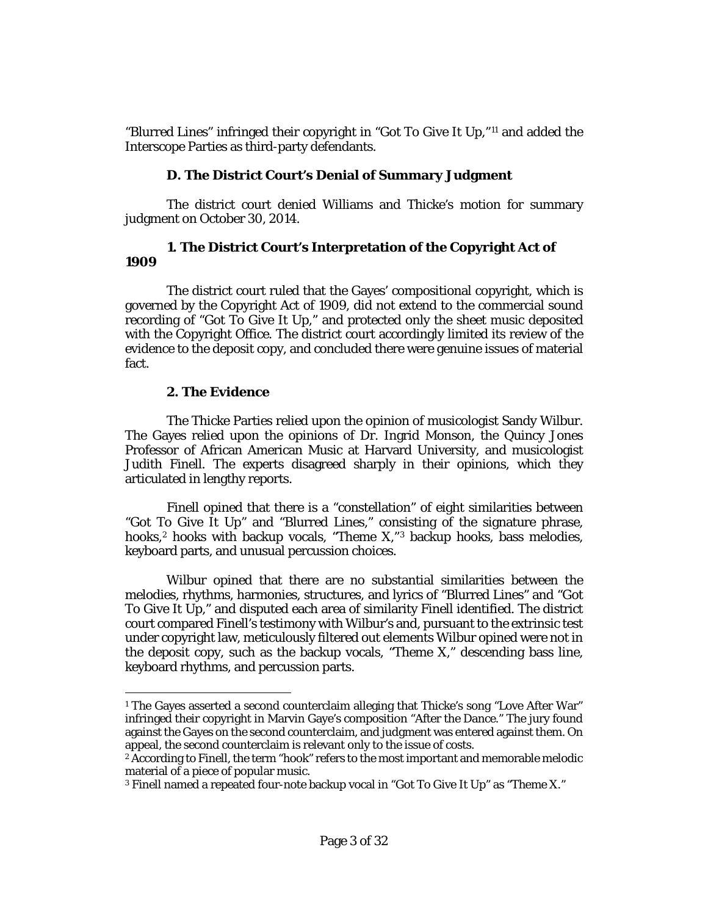<span id="page-2-0"></span>"Blurred Lines" infringed their copyright in "Got To Give It Up,"[11](#page-2-0) and added the Interscope Parties as third-party defendants.

# **D. The District Court's Denial of Summary Judgment**

The district court denied Williams and Thicke's motion for summary judgment on October 30, 2014.

## **1. The District Court's Interpretation of the Copyright Act of 1909**

The district court ruled that the Gayes' compositional copyright, which is governed by the Copyright Act of 1909, did not extend to the commercial sound recording of "Got To Give It Up," and protected only the sheet music deposited with the Copyright Office. The district court accordingly limited its review of the evidence to the deposit copy, and concluded there were genuine issues of material fact.

# **2. The Evidence**

 $\overline{\phantom{a}}$ 

The Thicke Parties relied upon the opinion of musicologist Sandy Wilbur. The Gayes relied upon the opinions of Dr. Ingrid Monson, the Quincy Jones Professor of African American Music at Harvard University, and musicologist Judith Finell. The experts disagreed sharply in their opinions, which they articulated in lengthy reports.

Finell opined that there is a "constellation" of eight similarities between "Got To Give It Up" and "Blurred Lines," consisting of the signature phrase, hooks,<sup>2</sup> hooks with backup vocals, "Theme X,"<sup>[3](#page-2-3)</sup> backup hooks, bass melodies, keyboard parts, and unusual percussion choices.

Wilbur opined that there are no substantial similarities between the melodies, rhythms, harmonies, structures, and lyrics of "Blurred Lines" and "Got To Give It Up," and disputed each area of similarity Finell identified. The district court compared Finell's testimony with Wilbur's and, pursuant to the extrinsic test under copyright law, meticulously filtered out elements Wilbur opined were not in the deposit copy, such as the backup vocals, "Theme X," descending bass line, keyboard rhythms, and percussion parts.

<span id="page-2-1"></span><sup>&</sup>lt;sup>1</sup> The Gayes asserted a second counterclaim alleging that Thicke's song "Love After War" infringed their copyright in Marvin Gaye's composition "After the Dance." The jury found against the Gayes on the second counterclaim, and judgment was entered against them. On appeal, the second counterclaim is relevant only to the issue of costs.

<span id="page-2-2"></span><sup>&</sup>lt;sup>2</sup> According to Finell, the term "hook" refers to the most important and memorable melodic material of a piece of popular music.

<span id="page-2-3"></span><sup>3</sup> Finell named a repeated four-note backup vocal in "Got To Give It Up" as "Theme X."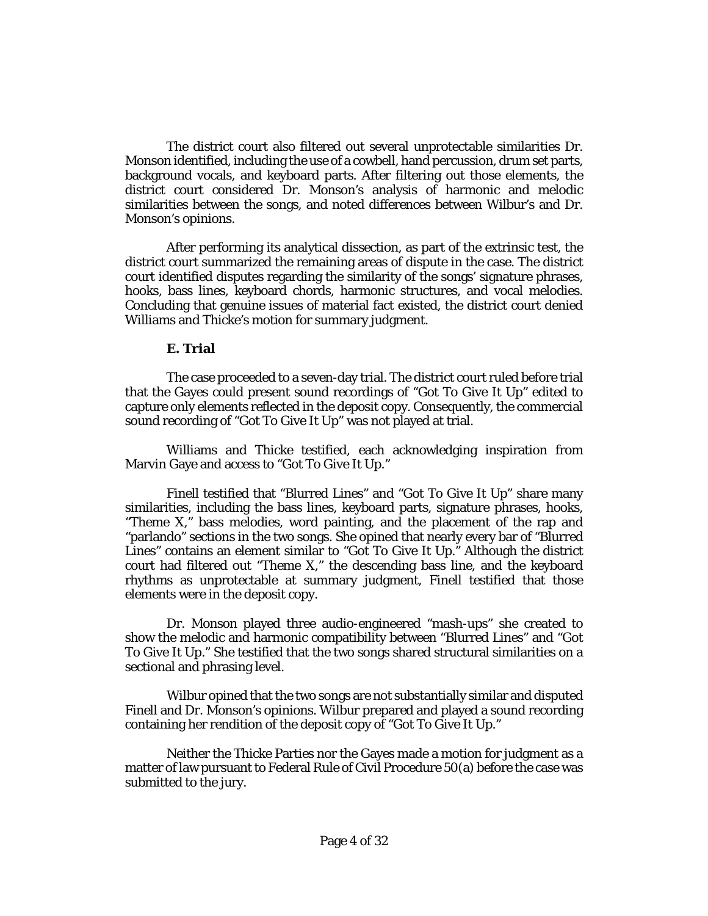The district court also filtered out several unprotectable similarities Dr. Monson identified, including the use of a cowbell, hand percussion, drum set parts, background vocals, and keyboard parts. After filtering out those elements, the district court considered Dr. Monson's analysis of harmonic and melodic similarities between the songs, and noted differences between Wilbur's and Dr. Monson's opinions.

After performing its analytical dissection, as part of the extrinsic test, the district court summarized the remaining areas of dispute in the case. The district court identified disputes regarding the similarity of the songs' signature phrases, hooks, bass lines, keyboard chords, harmonic structures, and vocal melodies. Concluding that genuine issues of material fact existed, the district court denied Williams and Thicke's motion for summary judgment.

#### **E. Trial**

The case proceeded to a seven-day trial. The district court ruled before trial that the Gayes could present sound recordings of "Got To Give It Up" edited to capture only elements reflected in the deposit copy. Consequently, the commercial sound recording of "Got To Give It Up" was not played at trial.

Williams and Thicke testified, each acknowledging inspiration from Marvin Gaye and access to "Got To Give It Up."

Finell testified that "Blurred Lines" and "Got To Give It Up" share many similarities, including the bass lines, keyboard parts, signature phrases, hooks, "Theme X," bass melodies, word painting, and the placement of the rap and "parlando" sections in the two songs. She opined that nearly every bar of "Blurred Lines" contains an element similar to "Got To Give It Up." Although the district court had filtered out "Theme X," the descending bass line, and the keyboard rhythms as unprotectable at summary judgment, Finell testified that those elements were in the deposit copy.

Dr. Monson played three audio-engineered "mash-ups" she created to show the melodic and harmonic compatibility between "Blurred Lines" and "Got To Give It Up." She testified that the two songs shared structural similarities on a sectional and phrasing level.

Wilbur opined that the two songs are not substantially similar and disputed Finell and Dr. Monson's opinions. Wilbur prepared and played a sound recording containing her rendition of the deposit copy of "Got To Give It Up."

Neither the Thicke Parties nor the Gayes made a motion for judgment as a matter of law pursuant t[o Federal Rule of Civil Procedure 50\(a\)](http://www.westlaw.com/Link/Document/FullText?findType=L&pubNum=1000600&cite=USFRCPR50&originatingDoc=Ib17569402d2211e8bf39ca8c49083d45&refType=LQ&originationContext=document&vr=3.0&rs=cblt1.0&transitionType=DocumentItem&contextData=(sc.Keycite)) before the case was submitted to the jury.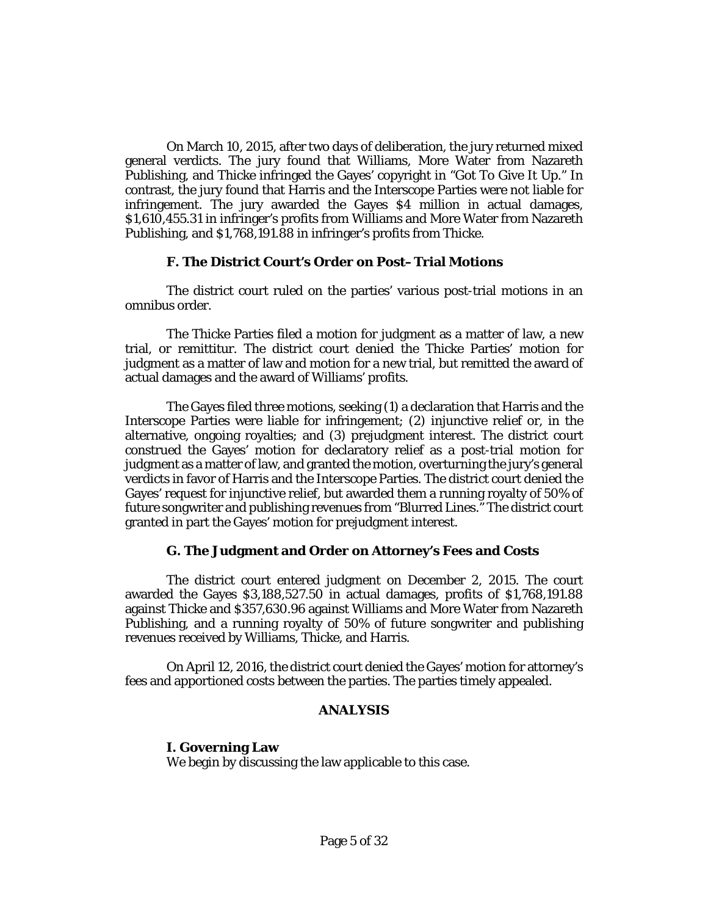On March 10, 2015, after two days of deliberation, the jury returned mixed general verdicts. The jury found that Williams, More Water from Nazareth Publishing, and Thicke infringed the Gayes' copyright in "Got To Give It Up." In contrast, the jury found that Harris and the Interscope Parties were not liable for infringement. The jury awarded the Gayes \$4 million in actual damages, \$1,610,455.31 in infringer's profits from Williams and More Water from Nazareth Publishing, and \$1,768,191.88 in infringer's profits from Thicke.

## **F. The District Court's Order on Post–Trial Motions**

The district court ruled on the parties' various post-trial motions in an omnibus order.

The Thicke Parties filed a motion for judgment as a matter of law, a new trial, or remittitur. The district court denied the Thicke Parties' motion for judgment as a matter of law and motion for a new trial, but remitted the award of actual damages and the award of Williams' profits.

The Gayes filed three motions, seeking (1) a declaration that Harris and the Interscope Parties were liable for infringement; (2) injunctive relief or, in the alternative, ongoing royalties; and (3) prejudgment interest. The district court construed the Gayes' motion for declaratory relief as a post-trial motion for judgment as a matter of law, and granted the motion, overturning the jury's general verdicts in favor of Harris and the Interscope Parties. The district court denied the Gayes' request for injunctive relief, but awarded them a running royalty of 50% of future songwriter and publishing revenues from "Blurred Lines." The district court granted in part the Gayes' motion for prejudgment interest.

# **G. The Judgment and Order on Attorney's Fees and Costs**

The district court entered judgment on December 2, 2015. The court awarded the Gayes \$3,188,527.50 in actual damages, profits of \$1,768,191.88 against Thicke and \$357,630.96 against Williams and More Water from Nazareth Publishing, and a running royalty of 50% of future songwriter and publishing revenues received by Williams, Thicke, and Harris.

On April 12, 2016, the district court denied the Gayes' motion for attorney's fees and apportioned costs between the parties. The parties timely appealed.

# **ANALYSIS**

**I. Governing Law** We begin by discussing the law applicable to this case.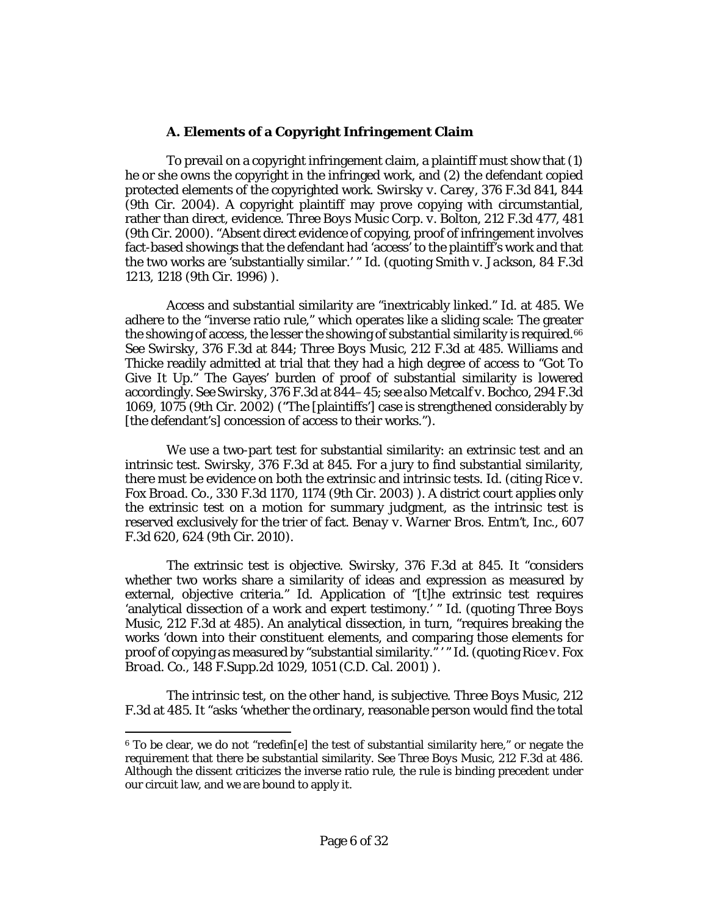## **A. Elements of a Copyright Infringement Claim**

To prevail on a copyright infringement claim, a plaintiff must show that (1) he or she owns the copyright in the infringed work, and (2) the defendant copied protected elements of the copyrighted work. *Swirsky v. Carey*[, 376 F.3d 841, 844](http://www.westlaw.com/Link/Document/FullText?findType=Y&serNum=2004692521&pubNum=0000506&originatingDoc=Ib17569402d2211e8bf39ca8c49083d45&refType=RP&fi=co_pp_sp_506_844&originationContext=document&vr=3.0&rs=cblt1.0&transitionType=DocumentItem&contextData=(sc.Keycite)#co_pp_sp_506_844)  [\(9th Cir. 2004\).](http://www.westlaw.com/Link/Document/FullText?findType=Y&serNum=2004692521&pubNum=0000506&originatingDoc=Ib17569402d2211e8bf39ca8c49083d45&refType=RP&fi=co_pp_sp_506_844&originationContext=document&vr=3.0&rs=cblt1.0&transitionType=DocumentItem&contextData=(sc.Keycite)#co_pp_sp_506_844) A copyright plaintiff may prove copying with circumstantial, rather than direct, evidence. *[Three Boys Music Corp. v. Bolton](http://www.westlaw.com/Link/Document/FullText?findType=Y&serNum=2000304625&pubNum=0000506&originatingDoc=Ib17569402d2211e8bf39ca8c49083d45&refType=RP&fi=co_pp_sp_506_481&originationContext=document&vr=3.0&rs=cblt1.0&transitionType=DocumentItem&contextData=(sc.Keycite)#co_pp_sp_506_481)*, 212 F.3d 477, 481 [\(9th Cir. 2000\).](http://www.westlaw.com/Link/Document/FullText?findType=Y&serNum=2000304625&pubNum=0000506&originatingDoc=Ib17569402d2211e8bf39ca8c49083d45&refType=RP&fi=co_pp_sp_506_481&originationContext=document&vr=3.0&rs=cblt1.0&transitionType=DocumentItem&contextData=(sc.Keycite)#co_pp_sp_506_481) "Absent direct evidence of copying, proof of infringement involves fact-based showings that the defendant had 'access' to the plaintiff's work and that the two works are 'substantially similar.' " *[Id.](http://www.westlaw.com/Link/Document/FullText?findType=Y&serNum=2000304625&pubNum=0000506&originatingDoc=Ib17569402d2211e8bf39ca8c49083d45&refType=RP&originationContext=document&vr=3.0&rs=cblt1.0&transitionType=DocumentItem&contextData=(sc.Keycite))* (quoting *[Smith v. Jackson](http://www.westlaw.com/Link/Document/FullText?findType=Y&serNum=1996128764&pubNum=0000506&originatingDoc=Ib17569402d2211e8bf39ca8c49083d45&refType=RP&fi=co_pp_sp_506_1218&originationContext=document&vr=3.0&rs=cblt1.0&transitionType=DocumentItem&contextData=(sc.Keycite)#co_pp_sp_506_1218)*, 84 F.3d [1213, 1218 \(9th Cir. 1996\)](http://www.westlaw.com/Link/Document/FullText?findType=Y&serNum=1996128764&pubNum=0000506&originatingDoc=Ib17569402d2211e8bf39ca8c49083d45&refType=RP&fi=co_pp_sp_506_1218&originationContext=document&vr=3.0&rs=cblt1.0&transitionType=DocumentItem&contextData=(sc.Keycite)#co_pp_sp_506_1218) ).

Access and substantial similarity are "inextricably linked." *Id.* [at 485.](http://www.westlaw.com/Link/Document/FullText?findType=Y&serNum=2000304625&pubNum=0000506&originatingDoc=Ib17569402d2211e8bf39ca8c49083d45&refType=RP&fi=co_pp_sp_506_485&originationContext=document&vr=3.0&rs=cblt1.0&transitionType=DocumentItem&contextData=(sc.Keycite)#co_pp_sp_506_485) We adhere to the "inverse ratio rule," which operates like a sliding scale: The greater the showing of access, the lesser the showing of substantial similarity is required.<sup>[6](#page-5-0)6</sup> *See Swirsky*[, 376 F.3d at 844;](http://www.westlaw.com/Link/Document/FullText?findType=Y&serNum=2004692521&pubNum=0000506&originatingDoc=Ib17569402d2211e8bf39ca8c49083d45&refType=RP&fi=co_pp_sp_506_844&originationContext=document&vr=3.0&rs=cblt1.0&transitionType=DocumentItem&contextData=(sc.Keycite)#co_pp_sp_506_844) *[Three Boys Music](http://www.westlaw.com/Link/Document/FullText?findType=Y&serNum=2000304625&pubNum=0000506&originatingDoc=Ib17569402d2211e8bf39ca8c49083d45&refType=RP&fi=co_pp_sp_506_485&originationContext=document&vr=3.0&rs=cblt1.0&transitionType=DocumentItem&contextData=(sc.Keycite)#co_pp_sp_506_485)*, 212 F.3d at 485. Williams and Thicke readily admitted at trial that they had a high degree of access to "Got To Give It Up." The Gayes' burden of proof of substantial similarity is lowered accordingly. *See Swirsky*[, 376 F.3d at 844–45;](http://www.westlaw.com/Link/Document/FullText?findType=Y&serNum=2004692521&pubNum=0000506&originatingDoc=Ib17569402d2211e8bf39ca8c49083d45&refType=RP&fi=co_pp_sp_506_844&originationContext=document&vr=3.0&rs=cblt1.0&transitionType=DocumentItem&contextData=(sc.Keycite)#co_pp_sp_506_844) *see als[o Metcalf v. Bochco](http://www.westlaw.com/Link/Document/FullText?findType=Y&serNum=2002365597&pubNum=0000506&originatingDoc=Ib17569402d2211e8bf39ca8c49083d45&refType=RP&fi=co_pp_sp_506_1075&originationContext=document&vr=3.0&rs=cblt1.0&transitionType=DocumentItem&contextData=(sc.Keycite)#co_pp_sp_506_1075)*, 294 F.3d [1069, 1075 \(9th Cir. 2002\)](http://www.westlaw.com/Link/Document/FullText?findType=Y&serNum=2002365597&pubNum=0000506&originatingDoc=Ib17569402d2211e8bf39ca8c49083d45&refType=RP&fi=co_pp_sp_506_1075&originationContext=document&vr=3.0&rs=cblt1.0&transitionType=DocumentItem&contextData=(sc.Keycite)#co_pp_sp_506_1075) ("The [plaintiffs'] case is strengthened considerably by [the defendant's] concession of access to their works.").

<span id="page-5-0"></span>We use a two-part test for substantial similarity: an extrinsic test and an intrinsic test. *Swirsky*[, 376 F.3d at 845.](http://www.westlaw.com/Link/Document/FullText?findType=Y&serNum=2004692521&pubNum=0000506&originatingDoc=Ib17569402d2211e8bf39ca8c49083d45&refType=RP&fi=co_pp_sp_506_845&originationContext=document&vr=3.0&rs=cblt1.0&transitionType=DocumentItem&contextData=(sc.Keycite)#co_pp_sp_506_845) For a jury to find substantial similarity, there must be evidence on both the extrinsic and intrinsic tests. *[Id.](http://www.westlaw.com/Link/Document/FullText?findType=Y&serNum=2004692521&pubNum=0000506&originatingDoc=Ib17569402d2211e8bf39ca8c49083d45&refType=RP&originationContext=document&vr=3.0&rs=cblt1.0&transitionType=DocumentItem&contextData=(sc.Keycite))* (citing *[Rice v.](http://www.westlaw.com/Link/Document/FullText?findType=Y&serNum=2003385009&pubNum=0000506&originatingDoc=Ib17569402d2211e8bf39ca8c49083d45&refType=RP&fi=co_pp_sp_506_1174&originationContext=document&vr=3.0&rs=cblt1.0&transitionType=DocumentItem&contextData=(sc.Keycite)#co_pp_sp_506_1174)  Fox Broad. Co.*[, 330 F.3d 1170, 1174 \(9th Cir. 2003\)](http://www.westlaw.com/Link/Document/FullText?findType=Y&serNum=2003385009&pubNum=0000506&originatingDoc=Ib17569402d2211e8bf39ca8c49083d45&refType=RP&fi=co_pp_sp_506_1174&originationContext=document&vr=3.0&rs=cblt1.0&transitionType=DocumentItem&contextData=(sc.Keycite)#co_pp_sp_506_1174) ). A district court applies only the extrinsic test on a motion for summary judgment, as the intrinsic test is reserved exclusively for the trier of fact. *[Benay v. Warner Bros. Entm't, Inc.](http://www.westlaw.com/Link/Document/FullText?findType=Y&serNum=2022264635&pubNum=0000506&originatingDoc=Ib17569402d2211e8bf39ca8c49083d45&refType=RP&fi=co_pp_sp_506_624&originationContext=document&vr=3.0&rs=cblt1.0&transitionType=DocumentItem&contextData=(sc.Keycite)#co_pp_sp_506_624)*, 607 [F.3d 620, 624 \(9th Cir. 2010\).](http://www.westlaw.com/Link/Document/FullText?findType=Y&serNum=2022264635&pubNum=0000506&originatingDoc=Ib17569402d2211e8bf39ca8c49083d45&refType=RP&fi=co_pp_sp_506_624&originationContext=document&vr=3.0&rs=cblt1.0&transitionType=DocumentItem&contextData=(sc.Keycite)#co_pp_sp_506_624)

The extrinsic test is objective. *Swirsky*[, 376 F.3d at 845.](http://www.westlaw.com/Link/Document/FullText?findType=Y&serNum=2004692521&pubNum=0000506&originatingDoc=Ib17569402d2211e8bf39ca8c49083d45&refType=RP&fi=co_pp_sp_506_845&originationContext=document&vr=3.0&rs=cblt1.0&transitionType=DocumentItem&contextData=(sc.Keycite)#co_pp_sp_506_845) It "considers whether two works share a similarity of ideas and expression as measured by external, objective criteria." *[Id.](http://www.westlaw.com/Link/Document/FullText?findType=Y&serNum=2004692521&pubNum=0000506&originatingDoc=Ib17569402d2211e8bf39ca8c49083d45&refType=RP&originationContext=document&vr=3.0&rs=cblt1.0&transitionType=DocumentItem&contextData=(sc.Keycite))* Application of "[t]he extrinsic test requires 'analytical dissection of a work and expert testimony.' " *[Id.](http://www.westlaw.com/Link/Document/FullText?findType=Y&serNum=2004692521&pubNum=0000506&originatingDoc=Ib17569402d2211e8bf39ca8c49083d45&refType=RP&originationContext=document&vr=3.0&rs=cblt1.0&transitionType=DocumentItem&contextData=(sc.Keycite))* (quoting *[Three Boys](http://www.westlaw.com/Link/Document/FullText?findType=Y&serNum=2000304625&pubNum=0000506&originatingDoc=Ib17569402d2211e8bf39ca8c49083d45&refType=RP&fi=co_pp_sp_506_485&originationContext=document&vr=3.0&rs=cblt1.0&transitionType=DocumentItem&contextData=(sc.Keycite)#co_pp_sp_506_485)  Music*[, 212 F.3d at 485\)](http://www.westlaw.com/Link/Document/FullText?findType=Y&serNum=2000304625&pubNum=0000506&originatingDoc=Ib17569402d2211e8bf39ca8c49083d45&refType=RP&fi=co_pp_sp_506_485&originationContext=document&vr=3.0&rs=cblt1.0&transitionType=DocumentItem&contextData=(sc.Keycite)#co_pp_sp_506_485). An analytical dissection, in turn, "requires breaking the works 'down into their constituent elements, and comparing those elements for proof of copying as measured by "substantial similarity." ' " *[Id.](http://www.westlaw.com/Link/Document/FullText?findType=Y&serNum=2004692521&pubNum=0000506&originatingDoc=Ib17569402d2211e8bf39ca8c49083d45&refType=RP&originationContext=document&vr=3.0&rs=cblt1.0&transitionType=DocumentItem&contextData=(sc.Keycite))* (quoting *[Rice v. Fox](http://www.westlaw.com/Link/Document/FullText?findType=Y&serNum=2001582622&pubNum=0004637&originatingDoc=Ib17569402d2211e8bf39ca8c49083d45&refType=RP&fi=co_pp_sp_4637_1051&originationContext=document&vr=3.0&rs=cblt1.0&transitionType=DocumentItem&contextData=(sc.Keycite)#co_pp_sp_4637_1051)  Broad. Co.*[, 148 F.Supp.2d 1029, 1051 \(C.D. Cal. 2001\)](http://www.westlaw.com/Link/Document/FullText?findType=Y&serNum=2001582622&pubNum=0004637&originatingDoc=Ib17569402d2211e8bf39ca8c49083d45&refType=RP&fi=co_pp_sp_4637_1051&originationContext=document&vr=3.0&rs=cblt1.0&transitionType=DocumentItem&contextData=(sc.Keycite)#co_pp_sp_4637_1051) ).

The intrinsic test, on the other hand, is subjective. *[Three Boys Music](http://www.westlaw.com/Link/Document/FullText?findType=Y&serNum=2000304625&pubNum=0000506&originatingDoc=Ib17569402d2211e8bf39ca8c49083d45&refType=RP&fi=co_pp_sp_506_485&originationContext=document&vr=3.0&rs=cblt1.0&transitionType=DocumentItem&contextData=(sc.Keycite)#co_pp_sp_506_485)*, 212 [F.3d at 485.](http://www.westlaw.com/Link/Document/FullText?findType=Y&serNum=2000304625&pubNum=0000506&originatingDoc=Ib17569402d2211e8bf39ca8c49083d45&refType=RP&fi=co_pp_sp_506_485&originationContext=document&vr=3.0&rs=cblt1.0&transitionType=DocumentItem&contextData=(sc.Keycite)#co_pp_sp_506_485) It "asks 'whether the ordinary, reasonable person would find the total

 $\overline{\phantom{a}}$ 

<span id="page-5-1"></span> $6$  To be clear, we do not "redefin[e] the test of substantial similarity here," or negate the requirement that there be substantial similarity. *See [Three Boys Music](http://www.westlaw.com/Link/Document/FullText?findType=Y&serNum=2000304625&pubNum=0000506&originatingDoc=Ib17569402d2211e8bf39ca8c49083d45&refType=RP&fi=co_pp_sp_506_486&originationContext=document&vr=3.0&rs=cblt1.0&transitionType=DocumentItem&contextData=(sc.Keycite)#co_pp_sp_506_486)*, 212 F.3d at 486. Although the dissent criticizes the inverse ratio rule, the rule is binding precedent under our circuit law, and we are bound to apply it.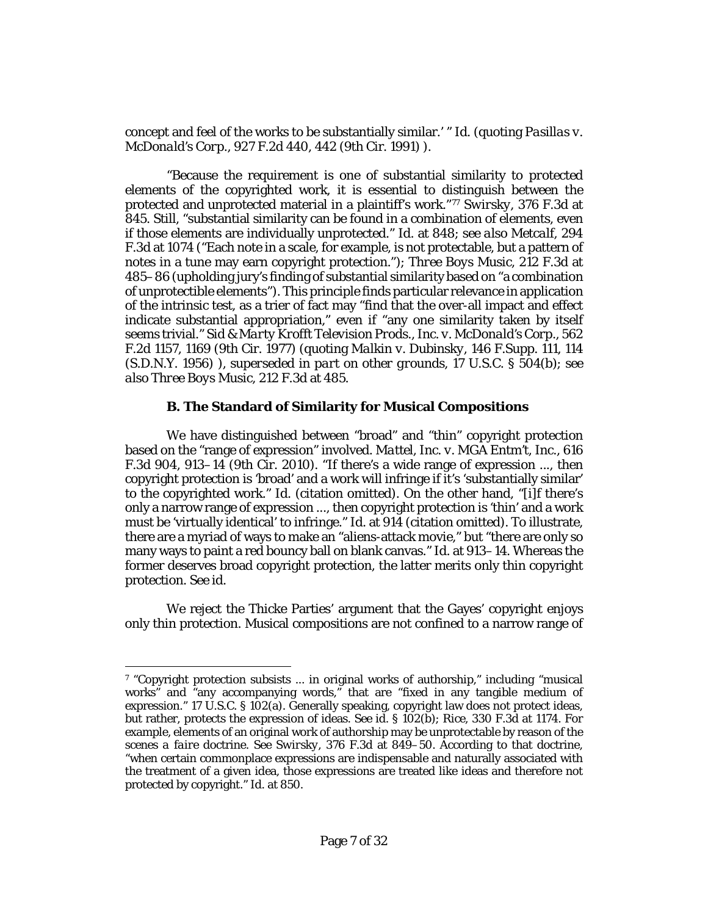concept and feel of the works to be substantially similar.' " *[Id.](http://www.westlaw.com/Link/Document/FullText?findType=Y&serNum=2000304625&pubNum=0000506&originatingDoc=Ib17569402d2211e8bf39ca8c49083d45&refType=RP&originationContext=document&vr=3.0&rs=cblt1.0&transitionType=DocumentItem&contextData=(sc.Keycite))* (quoting *[Pasillas v.](http://www.westlaw.com/Link/Document/FullText?findType=Y&serNum=1991039425&pubNum=0000350&originatingDoc=Ib17569402d2211e8bf39ca8c49083d45&refType=RP&fi=co_pp_sp_350_442&originationContext=document&vr=3.0&rs=cblt1.0&transitionType=DocumentItem&contextData=(sc.Keycite)#co_pp_sp_350_442)  McDonald's Corp.*[, 927 F.2d 440, 442 \(9th Cir. 1991\)](http://www.westlaw.com/Link/Document/FullText?findType=Y&serNum=1991039425&pubNum=0000350&originatingDoc=Ib17569402d2211e8bf39ca8c49083d45&refType=RP&fi=co_pp_sp_350_442&originationContext=document&vr=3.0&rs=cblt1.0&transitionType=DocumentItem&contextData=(sc.Keycite)#co_pp_sp_350_442) ).

"Because the requirement is one of substantial similarity to *protected* elements of the copyrighted work, it is essential to distinguish between the protected and unprotected material in a plaintiff's work."[7](#page-6-1)[7](#page-6-0) *Swirsky*[, 376 F.3d at](http://www.westlaw.com/Link/Document/FullText?findType=Y&serNum=2004692521&pubNum=0000506&originatingDoc=Ib17569402d2211e8bf39ca8c49083d45&refType=RP&fi=co_pp_sp_506_845&originationContext=document&vr=3.0&rs=cblt1.0&transitionType=DocumentItem&contextData=(sc.Keycite)#co_pp_sp_506_845)  [845.](http://www.westlaw.com/Link/Document/FullText?findType=Y&serNum=2004692521&pubNum=0000506&originatingDoc=Ib17569402d2211e8bf39ca8c49083d45&refType=RP&fi=co_pp_sp_506_845&originationContext=document&vr=3.0&rs=cblt1.0&transitionType=DocumentItem&contextData=(sc.Keycite)#co_pp_sp_506_845) Still, "substantial similarity can be found in a combination of elements, even if those elements are individually unprotected." *Id.* [at 848;](http://www.westlaw.com/Link/Document/FullText?findType=Y&serNum=2004692521&pubNum=0000506&originatingDoc=Ib17569402d2211e8bf39ca8c49083d45&refType=RP&fi=co_pp_sp_506_848&originationContext=document&vr=3.0&rs=cblt1.0&transitionType=DocumentItem&contextData=(sc.Keycite)#co_pp_sp_506_848) *see also [Metcalf](http://www.westlaw.com/Link/Document/FullText?findType=Y&serNum=2002365597&pubNum=0000506&originatingDoc=Ib17569402d2211e8bf39ca8c49083d45&refType=RP&fi=co_pp_sp_506_1074&originationContext=document&vr=3.0&rs=cblt1.0&transitionType=DocumentItem&contextData=(sc.Keycite)#co_pp_sp_506_1074)*, 294 [F.3d at 1074](http://www.westlaw.com/Link/Document/FullText?findType=Y&serNum=2002365597&pubNum=0000506&originatingDoc=Ib17569402d2211e8bf39ca8c49083d45&refType=RP&fi=co_pp_sp_506_1074&originationContext=document&vr=3.0&rs=cblt1.0&transitionType=DocumentItem&contextData=(sc.Keycite)#co_pp_sp_506_1074) ("Each note in a scale, for example, is not protectable, but a pattern of notes in a tune may earn copyright protection."); *[Three Boys Music](http://www.westlaw.com/Link/Document/FullText?findType=Y&serNum=2000304625&pubNum=0000506&originatingDoc=Ib17569402d2211e8bf39ca8c49083d45&refType=RP&fi=co_pp_sp_506_485&originationContext=document&vr=3.0&rs=cblt1.0&transitionType=DocumentItem&contextData=(sc.Keycite)#co_pp_sp_506_485)*, 212 F.3d at [485–86](http://www.westlaw.com/Link/Document/FullText?findType=Y&serNum=2000304625&pubNum=0000506&originatingDoc=Ib17569402d2211e8bf39ca8c49083d45&refType=RP&fi=co_pp_sp_506_485&originationContext=document&vr=3.0&rs=cblt1.0&transitionType=DocumentItem&contextData=(sc.Keycite)#co_pp_sp_506_485) (upholding jury's finding of substantial similarity based on "a combination of unprotectible elements"). This principle finds particular relevance in application of the intrinsic test, as a trier of fact may "find that the over-all impact and effect indicate substantial appropriation," even if "any one similarity taken by itself seems trivial." *[Sid & Marty Krofft Television Prods., Inc. v. McDonald's Corp.](http://www.westlaw.com/Link/Document/FullText?findType=Y&serNum=1977123881&pubNum=0000350&originatingDoc=Ib17569402d2211e8bf39ca8c49083d45&refType=RP&fi=co_pp_sp_350_1169&originationContext=document&vr=3.0&rs=cblt1.0&transitionType=DocumentItem&contextData=(sc.Keycite)#co_pp_sp_350_1169)*, 562 [F.2d 1157, 1169 \(9th Cir. 1977\)](http://www.westlaw.com/Link/Document/FullText?findType=Y&serNum=1977123881&pubNum=0000350&originatingDoc=Ib17569402d2211e8bf39ca8c49083d45&refType=RP&fi=co_pp_sp_350_1169&originationContext=document&vr=3.0&rs=cblt1.0&transitionType=DocumentItem&contextData=(sc.Keycite)#co_pp_sp_350_1169) (quoting *Malkin v. Dubinsky*[, 146 F.Supp. 111, 114](http://www.westlaw.com/Link/Document/FullText?findType=Y&serNum=1957102660&pubNum=0000345&originatingDoc=Ib17569402d2211e8bf39ca8c49083d45&refType=RP&fi=co_pp_sp_345_114&originationContext=document&vr=3.0&rs=cblt1.0&transitionType=DocumentItem&contextData=(sc.Keycite)#co_pp_sp_345_114)  [\(S.D.N.Y. 1956\)](http://www.westlaw.com/Link/Document/FullText?findType=Y&serNum=1957102660&pubNum=0000345&originatingDoc=Ib17569402d2211e8bf39ca8c49083d45&refType=RP&fi=co_pp_sp_345_114&originationContext=document&vr=3.0&rs=cblt1.0&transitionType=DocumentItem&contextData=(sc.Keycite)#co_pp_sp_345_114) ), *superseded in part on other grounds*, [17 U.S.C. § 504\(b\);](http://www.westlaw.com/Link/Document/FullText?findType=L&pubNum=1000546&cite=17USCAS504&originatingDoc=Ib17569402d2211e8bf39ca8c49083d45&refType=RB&originationContext=document&vr=3.0&rs=cblt1.0&transitionType=DocumentItem&contextData=(sc.Keycite)#co_pp_a83b000018c76) *see als[o Three Boys Music](http://www.westlaw.com/Link/Document/FullText?findType=Y&serNum=2000304625&pubNum=0000506&originatingDoc=Ib17569402d2211e8bf39ca8c49083d45&refType=RP&fi=co_pp_sp_506_485&originationContext=document&vr=3.0&rs=cblt1.0&transitionType=DocumentItem&contextData=(sc.Keycite)#co_pp_sp_506_485)*, 212 F.3d at 485.

# **B. The Standard of Similarity for Musical Compositions**

<span id="page-6-0"></span>We have distinguished between "broad" and "thin" copyright protection based on the "range of expression" involved. *[Mattel, Inc. v. MGA Entm't, Inc.](http://www.westlaw.com/Link/Document/FullText?findType=Y&serNum=2022583077&pubNum=0000506&originatingDoc=Ib17569402d2211e8bf39ca8c49083d45&refType=RP&fi=co_pp_sp_506_913&originationContext=document&vr=3.0&rs=cblt1.0&transitionType=DocumentItem&contextData=(sc.Keycite)#co_pp_sp_506_913)*, 616 [F.3d 904, 913–14 \(9th Cir. 2010\).](http://www.westlaw.com/Link/Document/FullText?findType=Y&serNum=2022583077&pubNum=0000506&originatingDoc=Ib17569402d2211e8bf39ca8c49083d45&refType=RP&fi=co_pp_sp_506_913&originationContext=document&vr=3.0&rs=cblt1.0&transitionType=DocumentItem&contextData=(sc.Keycite)#co_pp_sp_506_913) "If there's a wide range of expression ..., then copyright protection is 'broad' and a work will infringe if it's 'substantially similar' to the copyrighted work." *[Id.](http://www.westlaw.com/Link/Document/FullText?findType=Y&serNum=2022583077&pubNum=0000506&originatingDoc=Ib17569402d2211e8bf39ca8c49083d45&refType=RP&originationContext=document&vr=3.0&rs=cblt1.0&transitionType=DocumentItem&contextData=(sc.Keycite))* (citation omitted). On the other hand, "[i]f there's only a narrow range of expression ..., then copyright protection is 'thin' and a work must be 'virtually identical' to infringe." *Id.* [at 914](http://www.westlaw.com/Link/Document/FullText?findType=Y&serNum=2022583077&pubNum=0000506&originatingDoc=Ib17569402d2211e8bf39ca8c49083d45&refType=RP&fi=co_pp_sp_506_914&originationContext=document&vr=3.0&rs=cblt1.0&transitionType=DocumentItem&contextData=(sc.Keycite)#co_pp_sp_506_914) (citation omitted). To illustrate, there are a myriad of ways to make an "aliens-attack movie," but "there are only so many ways to paint a red bouncy ball on blank canvas." *Id.* [at 913–14.](http://www.westlaw.com/Link/Document/FullText?findType=Y&serNum=2022583077&pubNum=0000506&originatingDoc=Ib17569402d2211e8bf39ca8c49083d45&refType=RP&fi=co_pp_sp_506_913&originationContext=document&vr=3.0&rs=cblt1.0&transitionType=DocumentItem&contextData=(sc.Keycite)#co_pp_sp_506_913) Whereas the former deserves broad copyright protection, the latter merits only thin copyright protection. *See [id.](http://www.westlaw.com/Link/Document/FullText?findType=Y&serNum=2022583077&pubNum=0000506&originatingDoc=Ib17569402d2211e8bf39ca8c49083d45&refType=RP&originationContext=document&vr=3.0&rs=cblt1.0&transitionType=DocumentItem&contextData=(sc.Keycite))*

We reject the Thicke Parties' argument that the Gayes' copyright enjoys only thin protection. Musical compositions are not confined to a narrow range of

l

<span id="page-6-1"></span><sup>7</sup> "Copyright protection subsists ... in original works of authorship," including "musical works" and "any accompanying words," that are "fixed in any tangible medium of expression." [17 U.S.C. § 102\(a\).](http://www.westlaw.com/Link/Document/FullText?findType=L&pubNum=1000546&cite=17USCAS102&originatingDoc=Ib17569402d2211e8bf39ca8c49083d45&refType=RB&originationContext=document&vr=3.0&rs=cblt1.0&transitionType=DocumentItem&contextData=(sc.Keycite)#co_pp_8b3b0000958a4) Generally speaking, copyright law does not protect ideas, but rather, protects the expression of ideas. *See id.* [§ 102\(b\);](http://www.westlaw.com/Link/Document/FullText?findType=L&pubNum=1000546&cite=17USCAS102&originatingDoc=Ib17569402d2211e8bf39ca8c49083d45&refType=RB&originationContext=document&vr=3.0&rs=cblt1.0&transitionType=DocumentItem&contextData=(sc.Keycite)#co_pp_a83b000018c76) *Rice*[, 330 F.3d at 1174.](http://www.westlaw.com/Link/Document/FullText?findType=Y&serNum=2003385009&pubNum=0000506&originatingDoc=Ib17569402d2211e8bf39ca8c49083d45&refType=RP&fi=co_pp_sp_506_1174&originationContext=document&vr=3.0&rs=cblt1.0&transitionType=DocumentItem&contextData=(sc.Keycite)#co_pp_sp_506_1174) For example, elements of an original work of authorship may be unprotectable by reason of the *scenes a faire* doctrine. *See Swirsky*[, 376 F.3d at 849–50.](http://www.westlaw.com/Link/Document/FullText?findType=Y&serNum=2004692521&pubNum=0000506&originatingDoc=Ib17569402d2211e8bf39ca8c49083d45&refType=RP&fi=co_pp_sp_506_849&originationContext=document&vr=3.0&rs=cblt1.0&transitionType=DocumentItem&contextData=(sc.Keycite)#co_pp_sp_506_849) According to that doctrine, "when certain commonplace expressions are indispensable and naturally associated with the treatment of a given idea, those expressions are treated like ideas and therefore not protected by copyright." *Id.* [at 850.](http://www.westlaw.com/Link/Document/FullText?findType=Y&serNum=2004692521&pubNum=0000506&originatingDoc=Ib17569402d2211e8bf39ca8c49083d45&refType=RP&fi=co_pp_sp_506_850&originationContext=document&vr=3.0&rs=cblt1.0&transitionType=DocumentItem&contextData=(sc.Keycite)#co_pp_sp_506_850)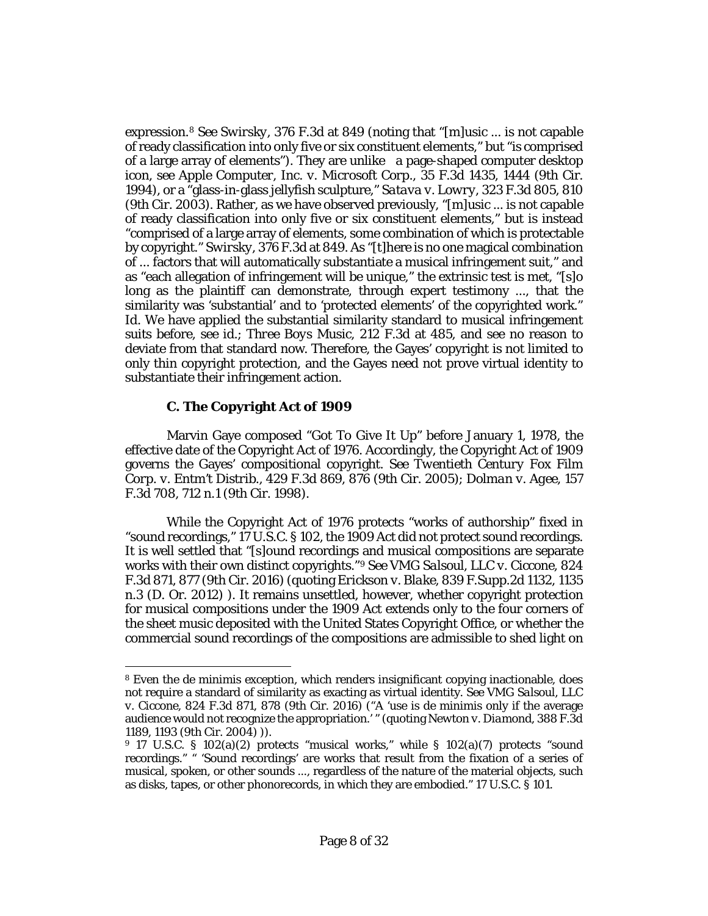expression.[8](#page-7-0) *See Swirsky*[, 376 F.3d at 849](http://www.westlaw.com/Link/Document/FullText?findType=Y&serNum=2004692521&pubNum=0000506&originatingDoc=Ib17569402d2211e8bf39ca8c49083d45&refType=RP&fi=co_pp_sp_506_849&originationContext=document&vr=3.0&rs=cblt1.0&transitionType=DocumentItem&contextData=(sc.Keycite)#co_pp_sp_506_849) (noting that "[m]usic ... is not capable of ready classification into only five or six constituent elements," but "is comprised of a large array of elements"). They are unlike a page-shaped computer desktop icon, *see [Apple Computer, Inc. v. Microsoft Corp.](http://www.westlaw.com/Link/Document/FullText?findType=Y&serNum=1994188702&pubNum=0000506&originatingDoc=Ib17569402d2211e8bf39ca8c49083d45&refType=RP&fi=co_pp_sp_506_1444&originationContext=document&vr=3.0&rs=cblt1.0&transitionType=DocumentItem&contextData=(sc.Keycite)#co_pp_sp_506_1444)*, 35 F.3d 1435, 1444 (9th Cir. [1994\),](http://www.westlaw.com/Link/Document/FullText?findType=Y&serNum=1994188702&pubNum=0000506&originatingDoc=Ib17569402d2211e8bf39ca8c49083d45&refType=RP&fi=co_pp_sp_506_1444&originationContext=document&vr=3.0&rs=cblt1.0&transitionType=DocumentItem&contextData=(sc.Keycite)#co_pp_sp_506_1444) or a "glass-in-glass jellyfish sculpture," *Satava v. Lowry*[, 323 F.3d 805, 810](http://www.westlaw.com/Link/Document/FullText?findType=Y&serNum=2003233155&pubNum=0000506&originatingDoc=Ib17569402d2211e8bf39ca8c49083d45&refType=RP&fi=co_pp_sp_506_810&originationContext=document&vr=3.0&rs=cblt1.0&transitionType=DocumentItem&contextData=(sc.Keycite)#co_pp_sp_506_810)  [\(9th Cir. 2003\).](http://www.westlaw.com/Link/Document/FullText?findType=Y&serNum=2003233155&pubNum=0000506&originatingDoc=Ib17569402d2211e8bf39ca8c49083d45&refType=RP&fi=co_pp_sp_506_810&originationContext=document&vr=3.0&rs=cblt1.0&transitionType=DocumentItem&contextData=(sc.Keycite)#co_pp_sp_506_810) Rather, as we have observed previously, "[m]usic ... is not capable of ready classification into only five or six constituent elements," but is instead "comprised of a large array of elements, some combination of which is protectable by copyright." *Swirsky*[, 376 F.3d at 849.](http://www.westlaw.com/Link/Document/FullText?findType=Y&serNum=2004692521&pubNum=0000506&originatingDoc=Ib17569402d2211e8bf39ca8c49083d45&refType=RP&fi=co_pp_sp_506_849&originationContext=document&vr=3.0&rs=cblt1.0&transitionType=DocumentItem&contextData=(sc.Keycite)#co_pp_sp_506_849) As "[t]here is no one magical combination of ... factors that will automatically substantiate a musical infringement suit," and as "each allegation of infringement will be unique," the extrinsic test is met, "[s]o long as the plaintiff can demonstrate, through expert testimony ..., that the similarity was 'substantial' and to 'protected elements' of the copyrighted work." *[Id.](http://www.westlaw.com/Link/Document/FullText?findType=Y&serNum=2004692521&pubNum=0000506&originatingDoc=Ib17569402d2211e8bf39ca8c49083d45&refType=RP&originationContext=document&vr=3.0&rs=cblt1.0&transitionType=DocumentItem&contextData=(sc.Keycite))* We have applied the substantial similarity standard to musical infringement suits before, *see [id.](http://www.westlaw.com/Link/Document/FullText?findType=Y&serNum=2004692521&pubNum=0000506&originatingDoc=Ib17569402d2211e8bf39ca8c49083d45&refType=RP&originationContext=document&vr=3.0&rs=cblt1.0&transitionType=DocumentItem&contextData=(sc.Keycite))*; *[Three Boys Music](http://www.westlaw.com/Link/Document/FullText?findType=Y&serNum=2000304625&pubNum=0000506&originatingDoc=Ib17569402d2211e8bf39ca8c49083d45&refType=RP&fi=co_pp_sp_506_485&originationContext=document&vr=3.0&rs=cblt1.0&transitionType=DocumentItem&contextData=(sc.Keycite)#co_pp_sp_506_485)*, 212 F.3d at 485, and see no reason to deviate from that standard now. Therefore, the Gayes' copyright is not limited to only thin copyright protection, and the Gayes need not prove virtual identity to substantiate their infringement action.

# **C. The Copyright Act of 1909**

l

Marvin Gaye composed "Got To Give It Up" before January 1, 1978, the effective date of the Copyright Act of 1976. Accordingly, the Copyright Act of 1909 governs the Gayes' compositional copyright. *See [Twentieth Century Fox Film](http://www.westlaw.com/Link/Document/FullText?findType=Y&serNum=2007707162&pubNum=0000506&originatingDoc=Ib17569402d2211e8bf39ca8c49083d45&refType=RP&fi=co_pp_sp_506_876&originationContext=document&vr=3.0&rs=cblt1.0&transitionType=DocumentItem&contextData=(sc.Keycite)#co_pp_sp_506_876)  Corp. v. Entm't Distrib.*[, 429 F.3d 869, 876 \(9th Cir. 2005\);](http://www.westlaw.com/Link/Document/FullText?findType=Y&serNum=2007707162&pubNum=0000506&originatingDoc=Ib17569402d2211e8bf39ca8c49083d45&refType=RP&fi=co_pp_sp_506_876&originationContext=document&vr=3.0&rs=cblt1.0&transitionType=DocumentItem&contextData=(sc.Keycite)#co_pp_sp_506_876) *[Dolman v. Agee](http://www.westlaw.com/Link/Document/FullText?findType=Y&serNum=1998203681&pubNum=0000506&originatingDoc=Ib17569402d2211e8bf39ca8c49083d45&refType=RP&fi=co_pp_sp_506_712&originationContext=document&vr=3.0&rs=cblt1.0&transitionType=DocumentItem&contextData=(sc.Keycite)#co_pp_sp_506_712)*, 157 [F.3d 708, 712 n.1 \(9th Cir. 1998\).](http://www.westlaw.com/Link/Document/FullText?findType=Y&serNum=1998203681&pubNum=0000506&originatingDoc=Ib17569402d2211e8bf39ca8c49083d45&refType=RP&fi=co_pp_sp_506_712&originationContext=document&vr=3.0&rs=cblt1.0&transitionType=DocumentItem&contextData=(sc.Keycite)#co_pp_sp_506_712)

While the Copyright Act of 1976 protects "works of authorship" fixed in "sound recordings," [17 U.S.C. § 102,](http://www.westlaw.com/Link/Document/FullText?findType=L&pubNum=1000546&cite=17USCAS102&originatingDoc=Ib17569402d2211e8bf39ca8c49083d45&refType=LQ&originationContext=document&vr=3.0&rs=cblt1.0&transitionType=DocumentItem&contextData=(sc.Keycite)) the 1909 Act did not protect sound recordings. It is well settled that "[s]ound recordings and musical compositions are separate works with their own distinct copyrights.["9](#page-7-1) *See [VMG Salsoul, LLC v. Ciccone](http://www.westlaw.com/Link/Document/FullText?findType=Y&serNum=2038981103&pubNum=0000506&originatingDoc=Ib17569402d2211e8bf39ca8c49083d45&refType=RP&fi=co_pp_sp_506_877&originationContext=document&vr=3.0&rs=cblt1.0&transitionType=DocumentItem&contextData=(sc.Keycite)#co_pp_sp_506_877)*, 824 [F.3d 871, 877 \(9th Cir. 2016\)](http://www.westlaw.com/Link/Document/FullText?findType=Y&serNum=2038981103&pubNum=0000506&originatingDoc=Ib17569402d2211e8bf39ca8c49083d45&refType=RP&fi=co_pp_sp_506_877&originationContext=document&vr=3.0&rs=cblt1.0&transitionType=DocumentItem&contextData=(sc.Keycite)#co_pp_sp_506_877) (quoting *Erickson v. Blake*[, 839 F.Supp.2d 1132, 1135](http://www.westlaw.com/Link/Document/FullText?findType=Y&serNum=2027313284&pubNum=0004637&originatingDoc=Ib17569402d2211e8bf39ca8c49083d45&refType=RP&fi=co_pp_sp_4637_1135&originationContext=document&vr=3.0&rs=cblt1.0&transitionType=DocumentItem&contextData=(sc.Keycite)#co_pp_sp_4637_1135)  [n.3 \(D. Or. 2012\)](http://www.westlaw.com/Link/Document/FullText?findType=Y&serNum=2027313284&pubNum=0004637&originatingDoc=Ib17569402d2211e8bf39ca8c49083d45&refType=RP&fi=co_pp_sp_4637_1135&originationContext=document&vr=3.0&rs=cblt1.0&transitionType=DocumentItem&contextData=(sc.Keycite)#co_pp_sp_4637_1135) ). It remains unsettled, however, whether copyright protection for musical compositions under the 1909 Act extends only to the four corners of the sheet music deposited with the United States Copyright Office, or whether the commercial sound recordings of the compositions are admissible to shed light on

<span id="page-7-0"></span><sup>8</sup> Even the de minimis exception, which renders insignificant copying inactionable, does not require a standard of similarity as exacting as virtual identity. *See [VMG Salsoul, LLC](http://www.westlaw.com/Link/Document/FullText?findType=Y&serNum=2038981103&pubNum=0000506&originatingDoc=Ib17569402d2211e8bf39ca8c49083d45&refType=RP&fi=co_pp_sp_506_878&originationContext=document&vr=3.0&rs=cblt1.0&transitionType=DocumentItem&contextData=(sc.Keycite)#co_pp_sp_506_878)  v. Ciccone*[, 824 F.3d 871, 878 \(9th Cir. 2016\)](http://www.westlaw.com/Link/Document/FullText?findType=Y&serNum=2038981103&pubNum=0000506&originatingDoc=Ib17569402d2211e8bf39ca8c49083d45&refType=RP&fi=co_pp_sp_506_878&originationContext=document&vr=3.0&rs=cblt1.0&transitionType=DocumentItem&contextData=(sc.Keycite)#co_pp_sp_506_878) ("A 'use is de minimis only if the average audience would not recognize the appropriation.' " (quoting *[Newton v. Diamond](http://www.westlaw.com/Link/Document/FullText?findType=Y&serNum=2005466062&pubNum=0000506&originatingDoc=Ib17569402d2211e8bf39ca8c49083d45&refType=RP&fi=co_pp_sp_506_1193&originationContext=document&vr=3.0&rs=cblt1.0&transitionType=DocumentItem&contextData=(sc.Keycite)#co_pp_sp_506_1193)*, 388 F.3d [1189, 1193 \(9th Cir. 2004\)](http://www.westlaw.com/Link/Document/FullText?findType=Y&serNum=2005466062&pubNum=0000506&originatingDoc=Ib17569402d2211e8bf39ca8c49083d45&refType=RP&fi=co_pp_sp_506_1193&originationContext=document&vr=3.0&rs=cblt1.0&transitionType=DocumentItem&contextData=(sc.Keycite)#co_pp_sp_506_1193) )).

<span id="page-7-1"></span><sup>9</sup> [17 U.S.C. § 102\(a\)\(2\)](http://www.westlaw.com/Link/Document/FullText?findType=L&pubNum=1000546&cite=17USCAS102&originatingDoc=Ib17569402d2211e8bf39ca8c49083d45&refType=RB&originationContext=document&vr=3.0&rs=cblt1.0&transitionType=DocumentItem&contextData=(sc.Keycite)#co_pp_d86d0000be040) protects "musical works," while [§ 102\(a\)\(7\)](http://www.westlaw.com/Link/Document/FullText?findType=L&pubNum=1000546&cite=17USCAS102&originatingDoc=Ib17569402d2211e8bf39ca8c49083d45&refType=RB&originationContext=document&vr=3.0&rs=cblt1.0&transitionType=DocumentItem&contextData=(sc.Keycite)#co_pp_36f10000408d4) protects "sound recordings." " 'Sound recordings' are works that result from the fixation of a series of musical, spoken, or other sounds ..., regardless of the nature of the material objects, such as disks, tapes, or other phonorecords, in which they are embodied." [17 U.S.C. § 101.](http://www.westlaw.com/Link/Document/FullText?findType=L&pubNum=1000546&cite=17USCAS101&originatingDoc=Ib17569402d2211e8bf39ca8c49083d45&refType=LQ&originationContext=document&vr=3.0&rs=cblt1.0&transitionType=DocumentItem&contextData=(sc.Keycite))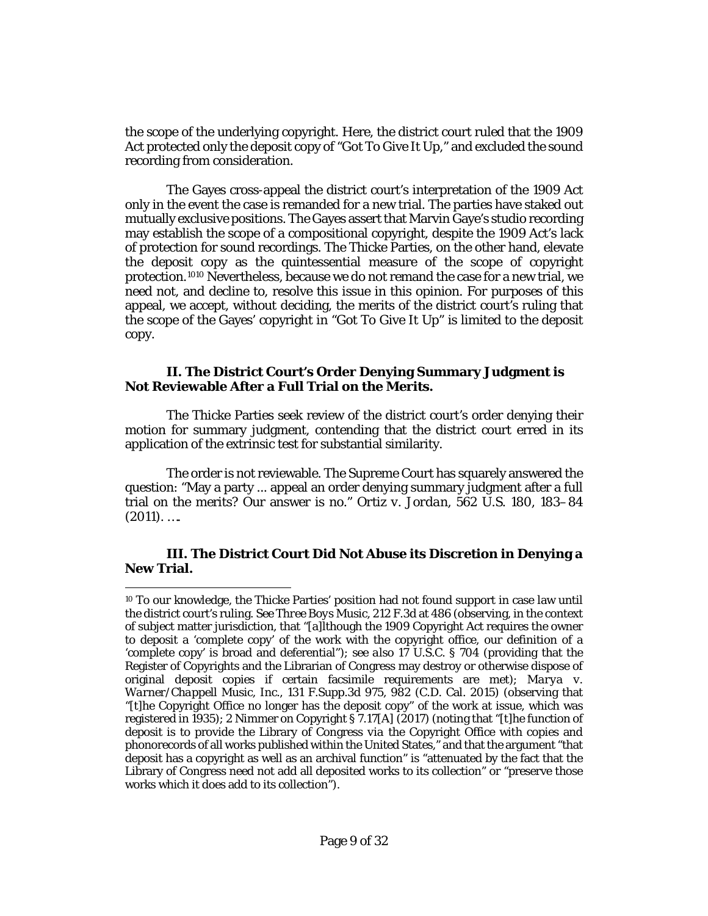the scope of the underlying copyright. Here, the district court ruled that the 1909 Act protected only the deposit copy of "Got To Give It Up," and excluded the sound recording from consideration.

The Gayes cross-appeal the district court's interpretation of the 1909 Act only in the event the case is remanded for a new trial. The parties have staked out mutually exclusive positions. The Gayes assert that Marvin Gaye's studio recording may establish the scope of a compositional copyright, despite the 1909 Act's lack of protection for sound recordings. The Thicke Parties, on the other hand, elevate the deposit copy as the quintessential measure of the scope of copyright protection.[10](#page-8-1)[10](#page-8-0) Nevertheless, because we do not remand the case for a new trial, we need not, and decline to, resolve this issue in this opinion. For purposes of this appeal, we accept, without deciding, the merits of the district court's ruling that the scope of the Gayes' copyright in "Got To Give It Up" is limited to the deposit copy.

#### <span id="page-8-0"></span>**II. The District Court's Order Denying Summary Judgment is Not Reviewable After a Full Trial on the Merits.**

The Thicke Parties seek review of the district court's order denying their motion for summary judgment, contending that the district court erred in its application of the extrinsic test for substantial similarity.

The order is not reviewable. The Supreme Court has squarely answered the question: "May a party ... appeal an order denying summary judgment after a full trial on the merits? Our answer is no." *Ortiz v. Jordan*[, 562 U.S. 180, 183–84](http://www.westlaw.com/Link/Document/FullText?findType=Y&serNum=2024443643&pubNum=0000708&originatingDoc=Ib17569402d2211e8bf39ca8c49083d45&refType=RP&originationContext=document&vr=3.0&rs=cblt1.0&transitionType=DocumentItem&contextData=(sc.Keycite))   $(2011)$ . ....

## **III. The District Court Did Not Abuse its Discretion in Denying a New Trial.**

 $\overline{\phantom{a}}$ 

<span id="page-8-1"></span><sup>10</sup> To our knowledge, the Thicke Parties' position had not found support in case law until the district court's ruling. *See Three Boys Music*[, 212 F.3d at 486](http://www.westlaw.com/Link/Document/FullText?findType=Y&serNum=2000304625&pubNum=0000506&originatingDoc=Ib17569402d2211e8bf39ca8c49083d45&refType=RP&fi=co_pp_sp_506_486&originationContext=document&vr=3.0&rs=cblt1.0&transitionType=DocumentItem&contextData=(sc.Keycite)#co_pp_sp_506_486) (observing, in the context of subject matter jurisdiction, that "[a]lthough the 1909 Copyright Act requires the owner to deposit a 'complete copy' of the work with the copyright office, our definition of a 'complete copy' is broad and deferential"); *see also* [17 U.S.C. § 704](http://www.westlaw.com/Link/Document/FullText?findType=L&pubNum=1000546&cite=17USCAS704&originatingDoc=Ib17569402d2211e8bf39ca8c49083d45&refType=LQ&originationContext=document&vr=3.0&rs=cblt1.0&transitionType=DocumentItem&contextData=(sc.Keycite)) (providing that the Register of Copyrights and the Librarian of Congress may destroy or otherwise dispose of original deposit copies if certain facsimile requirements are met); *[Marya v.](http://www.westlaw.com/Link/Document/FullText?findType=Y&serNum=2037224373&pubNum=0007903&originatingDoc=Ib17569402d2211e8bf39ca8c49083d45&refType=RP&fi=co_pp_sp_7903_982&originationContext=document&vr=3.0&rs=cblt1.0&transitionType=DocumentItem&contextData=(sc.Keycite)#co_pp_sp_7903_982)  Warner/Chappell Music, Inc.*[, 131 F.Supp.3d 975, 982 \(C.D. Cal. 2015\)](http://www.westlaw.com/Link/Document/FullText?findType=Y&serNum=2037224373&pubNum=0007903&originatingDoc=Ib17569402d2211e8bf39ca8c49083d45&refType=RP&fi=co_pp_sp_7903_982&originationContext=document&vr=3.0&rs=cblt1.0&transitionType=DocumentItem&contextData=(sc.Keycite)#co_pp_sp_7903_982) (observing that "[t]he Copyright Office no longer has the deposit copy" of the work at issue, which was registered in 1935); 2 Nimmer on Copyright § 7.17[A] (2017) (noting that "[t]he function of deposit is to provide the Library of Congress *via* the Copyright Office with copies and phonorecords of all works published within the United States," and that the argument "that deposit has a copyright as well as an archival function" is "attenuated by the fact that the Library of Congress need not add all deposited works to its collection" or "preserve those works which it does add to its collection").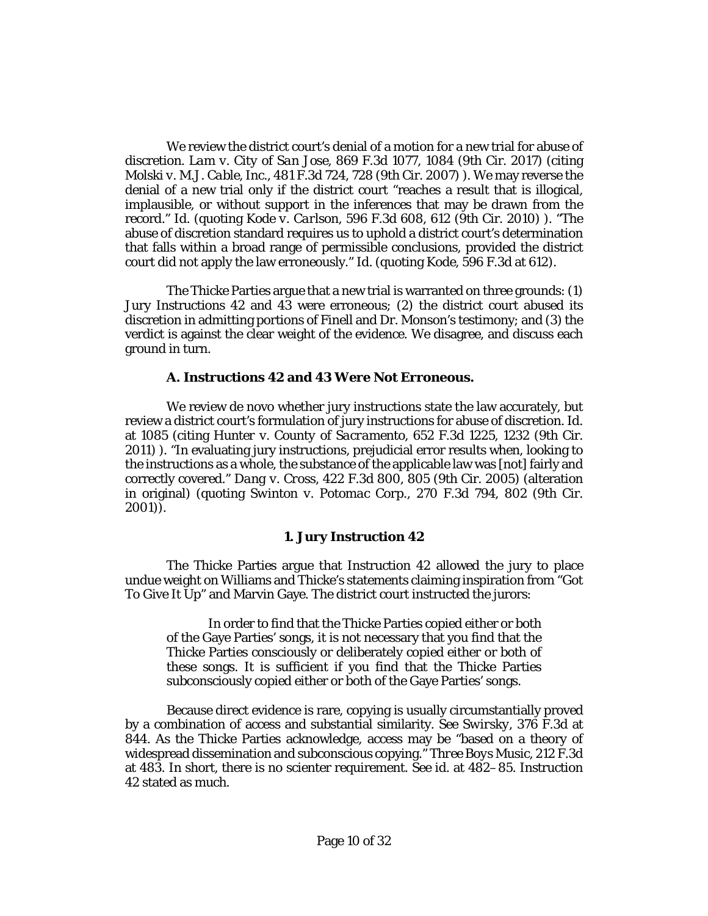We review the district court's denial of a motion for a new trial for abuse of discretion. *Lam v. City of San Jose*[, 869 F.3d 1077, 1084 \(9th Cir. 2017\)](http://www.westlaw.com/Link/Document/FullText?findType=Y&serNum=2042530645&pubNum=0000506&originatingDoc=Ib17569402d2211e8bf39ca8c49083d45&refType=RP&fi=co_pp_sp_506_1084&originationContext=document&vr=3.0&rs=cblt1.0&transitionType=DocumentItem&contextData=(sc.Keycite)#co_pp_sp_506_1084) (citing *Molski v. M.J. Cable, Inc.*[, 481 F.3d 724, 728 \(9th Cir. 2007\)](http://www.westlaw.com/Link/Document/FullText?findType=Y&serNum=2011761761&pubNum=0000506&originatingDoc=Ib17569402d2211e8bf39ca8c49083d45&refType=RP&fi=co_pp_sp_506_728&originationContext=document&vr=3.0&rs=cblt1.0&transitionType=DocumentItem&contextData=(sc.Keycite)#co_pp_sp_506_728) ). We may reverse the denial of a new trial only if the district court "reaches a result that is illogical, implausible, or without support in the inferences that may be drawn from the record." *[Id.](http://www.westlaw.com/Link/Document/FullText?findType=Y&serNum=2042530645&pubNum=0000506&originatingDoc=Ib17569402d2211e8bf39ca8c49083d45&refType=RP&originationContext=document&vr=3.0&rs=cblt1.0&transitionType=DocumentItem&contextData=(sc.Keycite))* (quoting *Kode v. Carlson*[, 596 F.3d 608, 612 \(9th Cir. 2010\)](http://www.westlaw.com/Link/Document/FullText?findType=Y&serNum=2021420709&pubNum=0000506&originatingDoc=Ib17569402d2211e8bf39ca8c49083d45&refType=RP&fi=co_pp_sp_506_612&originationContext=document&vr=3.0&rs=cblt1.0&transitionType=DocumentItem&contextData=(sc.Keycite)#co_pp_sp_506_612) ). "The abuse of discretion standard requires us to uphold a district court's determination that falls within a broad range of permissible conclusions, provided the district court did not apply the law erroneously." *[Id.](http://www.westlaw.com/Link/Document/FullText?findType=Y&serNum=2042530645&pubNum=0000506&originatingDoc=Ib17569402d2211e8bf39ca8c49083d45&refType=RP&originationContext=document&vr=3.0&rs=cblt1.0&transitionType=DocumentItem&contextData=(sc.Keycite))* (quoting *Kode*[, 596 F.3d at 612\)](http://www.westlaw.com/Link/Document/FullText?findType=Y&serNum=2021420709&pubNum=0000506&originatingDoc=Ib17569402d2211e8bf39ca8c49083d45&refType=RP&fi=co_pp_sp_506_612&originationContext=document&vr=3.0&rs=cblt1.0&transitionType=DocumentItem&contextData=(sc.Keycite)#co_pp_sp_506_612).

The Thicke Parties argue that a new trial is warranted on three grounds: (1) Jury Instructions 42 and 43 were erroneous; (2) the district court abused its discretion in admitting portions of Finell and Dr. Monson's testimony; and (3) the verdict is against the clear weight of the evidence. We disagree, and discuss each ground in turn.

## **A. Instructions 42 and 43 Were Not Erroneous.**

We review de novo whether jury instructions state the law accurately, but review a district court's formulation of jury instructions for abuse of discretion. *[Id.](http://www.westlaw.com/Link/Document/FullText?findType=Y&serNum=2042530645&pubNum=0000506&originatingDoc=Ib17569402d2211e8bf39ca8c49083d45&refType=RP&fi=co_pp_sp_506_1085&originationContext=document&vr=3.0&rs=cblt1.0&transitionType=DocumentItem&contextData=(sc.Keycite)#co_pp_sp_506_1085)* [at 1085](http://www.westlaw.com/Link/Document/FullText?findType=Y&serNum=2042530645&pubNum=0000506&originatingDoc=Ib17569402d2211e8bf39ca8c49083d45&refType=RP&fi=co_pp_sp_506_1085&originationContext=document&vr=3.0&rs=cblt1.0&transitionType=DocumentItem&contextData=(sc.Keycite)#co_pp_sp_506_1085) (citing *[Hunter v. County of Sacramento](http://www.westlaw.com/Link/Document/FullText?findType=Y&serNum=2025772272&pubNum=0000506&originatingDoc=Ib17569402d2211e8bf39ca8c49083d45&refType=RP&fi=co_pp_sp_506_1232&originationContext=document&vr=3.0&rs=cblt1.0&transitionType=DocumentItem&contextData=(sc.Keycite)#co_pp_sp_506_1232)*, 652 F.3d 1225, 1232 (9th Cir. [2011\)](http://www.westlaw.com/Link/Document/FullText?findType=Y&serNum=2025772272&pubNum=0000506&originatingDoc=Ib17569402d2211e8bf39ca8c49083d45&refType=RP&fi=co_pp_sp_506_1232&originationContext=document&vr=3.0&rs=cblt1.0&transitionType=DocumentItem&contextData=(sc.Keycite)#co_pp_sp_506_1232) ). "In evaluating jury instructions, prejudicial error results when, looking to the instructions as a whole, the substance of the applicable law was [not] fairly and correctly covered." *Dang v. Cross*[, 422 F.3d 800, 805 \(9th Cir. 2005\)](http://www.westlaw.com/Link/Document/FullText?findType=Y&serNum=2007169674&pubNum=0000506&originatingDoc=Ib17569402d2211e8bf39ca8c49083d45&refType=RP&fi=co_pp_sp_506_805&originationContext=document&vr=3.0&rs=cblt1.0&transitionType=DocumentItem&contextData=(sc.Keycite)#co_pp_sp_506_805) (alteration in original) (quoting *Swinton v. Potomac Corp.*, 270 F.3d 794, 802 (9th Cir. 2001)).

#### **1. Jury Instruction 42**

The Thicke Parties argue that Instruction 42 allowed the jury to place undue weight on Williams and Thicke's statements claiming inspiration from "Got To Give It Up" and Marvin Gaye. The district court instructed the jurors:

In order to find that the Thicke Parties copied either or both of the Gaye Parties' songs, it is not necessary that you find that the Thicke Parties consciously or deliberately copied either or both of these songs. It is sufficient if you find that the Thicke Parties subconsciously copied either or both of the Gaye Parties' songs.

Because direct evidence is rare, copying is usually circumstantially proved by a combination of access and substantial similarity. *See Swirsky*[, 376 F.3d at](http://www.westlaw.com/Link/Document/FullText?findType=Y&serNum=2004692521&pubNum=0000506&originatingDoc=Ib17569402d2211e8bf39ca8c49083d45&refType=RP&fi=co_pp_sp_506_844&originationContext=document&vr=3.0&rs=cblt1.0&transitionType=DocumentItem&contextData=(sc.Keycite)#co_pp_sp_506_844)  [844.](http://www.westlaw.com/Link/Document/FullText?findType=Y&serNum=2004692521&pubNum=0000506&originatingDoc=Ib17569402d2211e8bf39ca8c49083d45&refType=RP&fi=co_pp_sp_506_844&originationContext=document&vr=3.0&rs=cblt1.0&transitionType=DocumentItem&contextData=(sc.Keycite)#co_pp_sp_506_844) As the Thicke Parties acknowledge, access may be "based on a theory of widespread dissemination and subconscious copying." *[Three Boys Music](http://www.westlaw.com/Link/Document/FullText?findType=Y&serNum=2000304625&pubNum=0000506&originatingDoc=Ib17569402d2211e8bf39ca8c49083d45&refType=RP&fi=co_pp_sp_506_483&originationContext=document&vr=3.0&rs=cblt1.0&transitionType=DocumentItem&contextData=(sc.Keycite)#co_pp_sp_506_483)*, 212 F.3d [at 483.](http://www.westlaw.com/Link/Document/FullText?findType=Y&serNum=2000304625&pubNum=0000506&originatingDoc=Ib17569402d2211e8bf39ca8c49083d45&refType=RP&fi=co_pp_sp_506_483&originationContext=document&vr=3.0&rs=cblt1.0&transitionType=DocumentItem&contextData=(sc.Keycite)#co_pp_sp_506_483) In short, there is no scienter requirement. *See id.* [at 482–85.](http://www.westlaw.com/Link/Document/FullText?findType=Y&serNum=2000304625&pubNum=0000506&originatingDoc=Ib17569402d2211e8bf39ca8c49083d45&refType=RP&fi=co_pp_sp_506_482&originationContext=document&vr=3.0&rs=cblt1.0&transitionType=DocumentItem&contextData=(sc.Keycite)#co_pp_sp_506_482) Instruction 42 stated as much.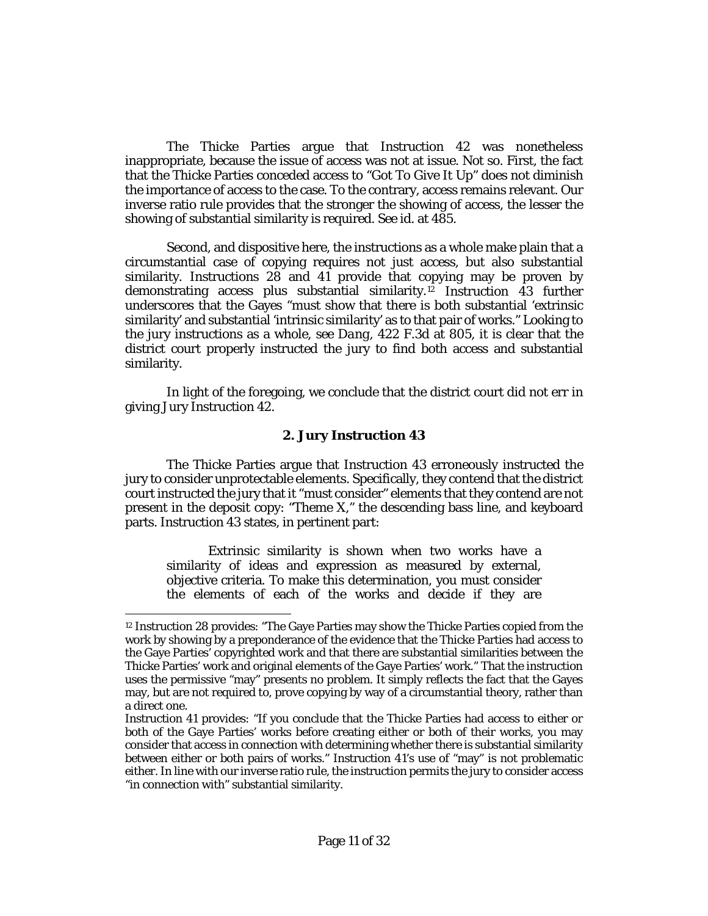The Thicke Parties argue that Instruction 42 was nonetheless inappropriate, because the issue of access was not at issue. Not so. First, the fact that the Thicke Parties conceded access to "Got To Give It Up" does not diminish the importance of access to the case. To the contrary, access remains relevant. Our inverse ratio rule provides that the stronger the showing of access, the lesser the showing of substantial similarity is required. *See id.* [at 485.](http://www.westlaw.com/Link/Document/FullText?findType=Y&serNum=2000304625&pubNum=0000506&originatingDoc=Ib17569402d2211e8bf39ca8c49083d45&refType=RP&fi=co_pp_sp_506_485&originationContext=document&vr=3.0&rs=cblt1.0&transitionType=DocumentItem&contextData=(sc.Keycite)#co_pp_sp_506_485)

Second, and dispositive here, the instructions as a whole make plain that a circumstantial case of copying requires not just access, but also substantial similarity. Instructions 28 and 41 provide that copying may be proven by demonstrating access plus substantial similarity.[12](#page-10-0) Instruction 43 further underscores that the Gayes "must show that there is both substantial 'extrinsic similarity' and substantial 'intrinsic similarity' as to that pair of works." Looking to the jury instructions as a whole, *see Dang*[, 422 F.3d at 805,](http://www.westlaw.com/Link/Document/FullText?findType=Y&serNum=2007169674&pubNum=0000506&originatingDoc=Ib17569402d2211e8bf39ca8c49083d45&refType=RP&fi=co_pp_sp_506_805&originationContext=document&vr=3.0&rs=cblt1.0&transitionType=DocumentItem&contextData=(sc.Keycite)#co_pp_sp_506_805) it is clear that the district court properly instructed the jury to find both access and substantial similarity.

In light of the foregoing, we conclude that the district court did not err in giving Jury Instruction 42.

#### **2. Jury Instruction 43**

The Thicke Parties argue that Instruction 43 erroneously instructed the jury to consider unprotectable elements. Specifically, they contend that the district court instructed the jury that it "must consider" elements that they contend are not present in the deposit copy: "Theme X," the descending bass line, and keyboard parts. Instruction 43 states, in pertinent part:

Extrinsic similarity is shown when two works have a similarity of ideas and expression as measured by external, objective criteria. To make this determination, you must consider the elements of each of the works and decide if they are

 $\overline{a}$ 

<span id="page-10-0"></span><sup>12</sup> Instruction 28 provides: "The Gaye Parties may show the Thicke Parties copied from the work by showing by a preponderance of the evidence that the Thicke Parties had access to the Gaye Parties' copyrighted work and that there are substantial similarities between the Thicke Parties' work and original elements of the Gaye Parties' work." That the instruction uses the permissive "may" presents no problem. It simply reflects the fact that the Gayes may, but are not required to, prove copying by way of a circumstantial theory, rather than a direct one.

Instruction 41 provides: "If you conclude that the Thicke Parties had access to either or both of the Gaye Parties' works before creating either or both of their works, you may consider that access in connection with determining whether there is substantial similarity between either or both pairs of works." Instruction 41's use of "may" is not problematic either. In line with our inverse ratio rule, the instruction permits the jury to consider access "in connection with" substantial similarity.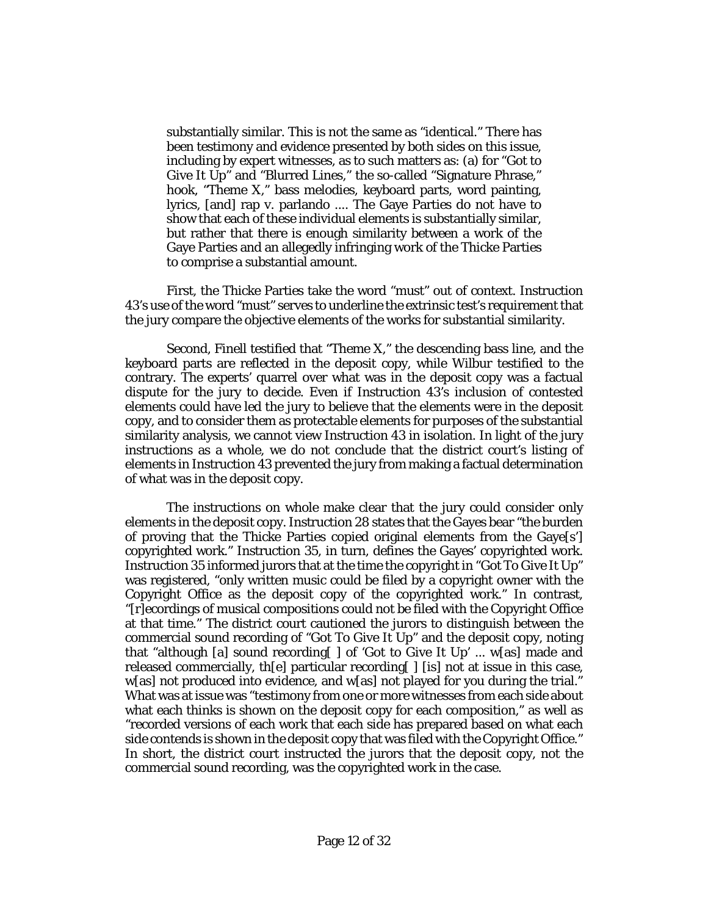substantially similar. This is not the same as "identical." There has been testimony and evidence presented by both sides on this issue, including by expert witnesses, as to such matters as: (a) for "Got to Give It Up" and "Blurred Lines," the so-called "Signature Phrase," hook, "Theme X," bass melodies, keyboard parts, word painting, lyrics, [and] rap v. parlando .... The Gaye Parties do not have to show that each of these individual elements is substantially similar, but rather that there is enough similarity between a work of the Gaye Parties and an allegedly infringing work of the Thicke Parties to comprise a substantial amount.

First, the Thicke Parties take the word "must" out of context. Instruction 43's use of the word "must" serves to underline the extrinsic test's requirement that the jury compare the objective elements of the works for substantial similarity.

Second, Finell testified that "Theme X," the descending bass line, and the keyboard parts are reflected in the deposit copy, while Wilbur testified to the contrary. The experts' quarrel over what was in the deposit copy was a factual dispute for the jury to decide. Even if Instruction 43's inclusion of contested elements could have led the jury to believe that the elements were in the deposit copy, and to consider them as protectable elements for purposes of the substantial similarity analysis, we cannot view Instruction 43 in isolation. In light of the jury instructions as a whole, we do not conclude that the district court's listing of elements in Instruction 43 prevented the jury from making a factual determination of what was in the deposit copy.

The instructions on whole make clear that the jury could consider only elements in the deposit copy. Instruction 28 states that the Gayes bear "the burden of proving that the Thicke Parties copied original elements from the Gaye[s'] copyrighted work." Instruction 35, in turn, defines the Gayes' copyrighted work. Instruction 35 informed jurors that at the time the copyright in "Got To Give It Up" was registered, "only written music could be filed by a copyright owner with the Copyright Office as the deposit copy of the copyrighted work." In contrast, "[r]ecordings of musical compositions could not be filed with the Copyright Office at that time." The district court cautioned the jurors to distinguish between the commercial sound recording of "Got To Give It Up" and the deposit copy, noting that "although [a] sound recording[ ] of 'Got to Give It Up' ... w[as] made and released commercially, th[e] particular recording[ ] [is] not at issue in this case, w[as] not produced into evidence, and w[as] not played for you during the trial." What was at issue was "testimony from one or more witnesses from each side about what each thinks is shown on the deposit copy for each composition," as well as "recorded versions of each work that each side has prepared based on what each side contends is shown in the deposit copy that was filed with the Copyright Office." In short, the district court instructed the jurors that the deposit copy, not the commercial sound recording, was the copyrighted work in the case.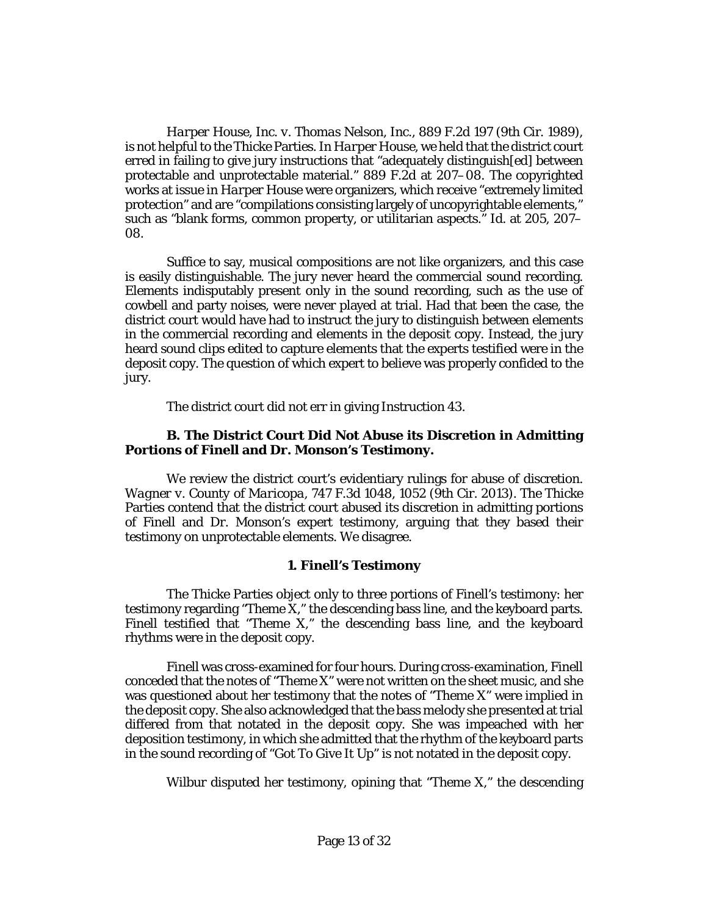*[Harper House, Inc. v. Thomas Nelson, Inc.](http://www.westlaw.com/Link/Document/FullText?findType=Y&serNum=1989155351&pubNum=0000350&originatingDoc=Ib17569402d2211e8bf39ca8c49083d45&refType=RP&originationContext=document&vr=3.0&rs=cblt1.0&transitionType=DocumentItem&contextData=(sc.Keycite))*, 889 F.2d 197 (9th Cir. 1989), is not helpful to the Thicke Parties. In *[Harper House](http://www.westlaw.com/Link/Document/FullText?findType=Y&serNum=1989155351&pubNum=0000350&originatingDoc=Ib17569402d2211e8bf39ca8c49083d45&refType=RP&originationContext=document&vr=3.0&rs=cblt1.0&transitionType=DocumentItem&contextData=(sc.Keycite))*, we held that the district court erred in failing to give jury instructions that "adequately distinguish[ed] between protectable and unprotectable material." [889 F.2d at 207–08.](http://www.westlaw.com/Link/Document/FullText?findType=Y&serNum=1989155351&pubNum=0000350&originatingDoc=Ib17569402d2211e8bf39ca8c49083d45&refType=RP&fi=co_pp_sp_350_207&originationContext=document&vr=3.0&rs=cblt1.0&transitionType=DocumentItem&contextData=(sc.Keycite)#co_pp_sp_350_207) The copyrighted works at issue in *[Harper House](http://www.westlaw.com/Link/Document/FullText?findType=Y&serNum=1989155351&pubNum=0000350&originatingDoc=Ib17569402d2211e8bf39ca8c49083d45&refType=RP&originationContext=document&vr=3.0&rs=cblt1.0&transitionType=DocumentItem&contextData=(sc.Keycite))* were organizers, which receive "extremely limited protection" and are "compilations consisting largely of uncopyrightable elements," such as "blank forms, common property, or utilitarian aspects." *Id.* at 205, 207– 08.

Suffice to say, musical compositions are not like organizers, and this case is easily distinguishable. The jury never heard the commercial sound recording. Elements indisputably present only in the sound recording, such as the use of cowbell and party noises, were never played at trial. Had that been the case, the district court would have had to instruct the jury to distinguish between elements in the commercial recording and elements in the deposit copy. Instead, the jury heard sound clips edited to capture elements that the experts testified were in the deposit copy. The question of which expert to believe was properly confided to the jury.

The district court did not err in giving Instruction 43.

### **B. The District Court Did Not Abuse its Discretion in Admitting Portions of Finell and Dr. Monson's Testimony.**

We review the district court's evidentiary rulings for abuse of discretion. *Wagner v. County of Maricopa*[, 747 F.3d 1048, 1052 \(9th Cir. 2013\).](http://www.westlaw.com/Link/Document/FullText?findType=Y&serNum=2032751272&pubNum=0000506&originatingDoc=Ib17569402d2211e8bf39ca8c49083d45&refType=RP&fi=co_pp_sp_506_1052&originationContext=document&vr=3.0&rs=cblt1.0&transitionType=DocumentItem&contextData=(sc.Keycite)#co_pp_sp_506_1052) The Thicke Parties contend that the district court abused its discretion in admitting portions of Finell and Dr. Monson's expert testimony, arguing that they based their testimony on unprotectable elements. We disagree.

#### **1. Finell's Testimony**

The Thicke Parties object only to three portions of Finell's testimony: her testimony regarding "Theme X," the descending bass line, and the keyboard parts. Finell testified that "Theme X," the descending bass line, and the keyboard rhythms were in the deposit copy.

Finell was cross-examined for four hours. During cross-examination, Finell conceded that the notes of "Theme X" were not written on the sheet music, and she was questioned about her testimony that the notes of "Theme X" were implied in the deposit copy. She also acknowledged that the bass melody she presented at trial differed from that notated in the deposit copy. She was impeached with her deposition testimony, in which she admitted that the rhythm of the keyboard parts in the sound recording of "Got To Give It Up" is not notated in the deposit copy.

Wilbur disputed her testimony, opining that "Theme X," the descending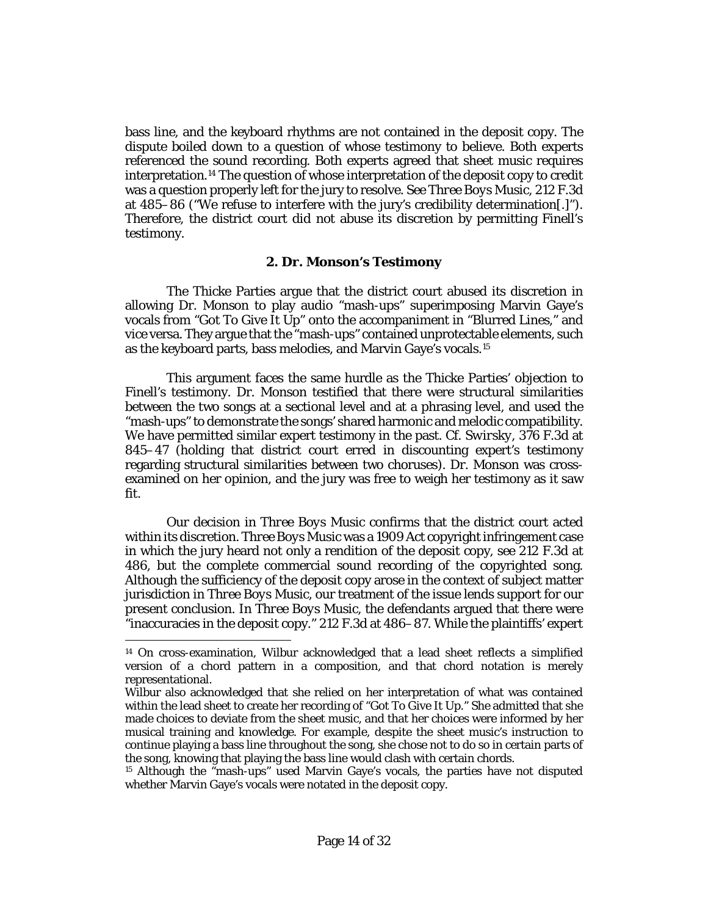bass line, and the keyboard rhythms are not contained in the deposit copy. The dispute boiled down to a question of whose testimony to believe. Both experts referenced the sound recording. Both experts agreed that sheet music requires interpretation.[14](#page-13-0) The question of whose interpretation of the deposit copy to credit was a question properly left for the jury to resolve. *Se[e Three Boys Music](http://www.westlaw.com/Link/Document/FullText?findType=Y&serNum=2000304625&pubNum=0000506&originatingDoc=Ib17569402d2211e8bf39ca8c49083d45&refType=RP&fi=co_pp_sp_506_485&originationContext=document&vr=3.0&rs=cblt1.0&transitionType=DocumentItem&contextData=(sc.Keycite)#co_pp_sp_506_485)*, 212 F.3d [at 485–86](http://www.westlaw.com/Link/Document/FullText?findType=Y&serNum=2000304625&pubNum=0000506&originatingDoc=Ib17569402d2211e8bf39ca8c49083d45&refType=RP&fi=co_pp_sp_506_485&originationContext=document&vr=3.0&rs=cblt1.0&transitionType=DocumentItem&contextData=(sc.Keycite)#co_pp_sp_506_485) ("We refuse to interfere with the jury's credibility determination[.]"). Therefore, the district court did not abuse its discretion by permitting Finell's testimony.

#### **2. Dr. Monson's Testimony**

The Thicke Parties argue that the district court abused its discretion in allowing Dr. Monson to play audio "mash-ups" superimposing Marvin Gaye's vocals from "Got To Give It Up" onto the accompaniment in "Blurred Lines," and vice versa. They argue that the "mash-ups" contained unprotectable elements, such as the keyboard parts, bass melodies, and Marvin Gaye's vocals.[15](#page-13-1)

This argument faces the same hurdle as the Thicke Parties' objection to Finell's testimony. Dr. Monson testified that there were structural similarities between the two songs at a sectional level and at a phrasing level, and used the "mash-ups" to demonstrate the songs' shared harmonic and melodic compatibility. We have permitted similar expert testimony in the past. *Cf. Swirsky*[, 376 F.3d at](http://www.westlaw.com/Link/Document/FullText?findType=Y&serNum=2004692521&pubNum=0000506&originatingDoc=Ib17569402d2211e8bf39ca8c49083d45&refType=RP&fi=co_pp_sp_506_845&originationContext=document&vr=3.0&rs=cblt1.0&transitionType=DocumentItem&contextData=(sc.Keycite)#co_pp_sp_506_845)  [845–47](http://www.westlaw.com/Link/Document/FullText?findType=Y&serNum=2004692521&pubNum=0000506&originatingDoc=Ib17569402d2211e8bf39ca8c49083d45&refType=RP&fi=co_pp_sp_506_845&originationContext=document&vr=3.0&rs=cblt1.0&transitionType=DocumentItem&contextData=(sc.Keycite)#co_pp_sp_506_845) (holding that district court erred in discounting expert's testimony regarding structural similarities between two choruses). Dr. Monson was crossexamined on her opinion, and the jury was free to weigh her testimony as it saw fit.

Our decision in *[Three Boys Music](http://www.westlaw.com/Link/Document/FullText?findType=Y&serNum=2000304625&pubNum=0000506&originatingDoc=Ib17569402d2211e8bf39ca8c49083d45&refType=RP&originationContext=document&vr=3.0&rs=cblt1.0&transitionType=DocumentItem&contextData=(sc.Keycite))* confirms that the district court acted within its discretion. *[Three Boys Music](http://www.westlaw.com/Link/Document/FullText?findType=Y&serNum=2000304625&pubNum=0000506&originatingDoc=Ib17569402d2211e8bf39ca8c49083d45&refType=RP&originationContext=document&vr=3.0&rs=cblt1.0&transitionType=DocumentItem&contextData=(sc.Keycite))* was a 1909 Act copyright infringement case in which the jury heard not only a rendition of the deposit copy, *see* [212 F.3d at](http://www.westlaw.com/Link/Document/FullText?findType=Y&serNum=2000304625&pubNum=0000506&originatingDoc=Ib17569402d2211e8bf39ca8c49083d45&refType=RP&fi=co_pp_sp_506_486&originationContext=document&vr=3.0&rs=cblt1.0&transitionType=DocumentItem&contextData=(sc.Keycite)#co_pp_sp_506_486)  [486,](http://www.westlaw.com/Link/Document/FullText?findType=Y&serNum=2000304625&pubNum=0000506&originatingDoc=Ib17569402d2211e8bf39ca8c49083d45&refType=RP&fi=co_pp_sp_506_486&originationContext=document&vr=3.0&rs=cblt1.0&transitionType=DocumentItem&contextData=(sc.Keycite)#co_pp_sp_506_486) but the complete commercial sound recording of the copyrighted song. Although the sufficiency of the deposit copy arose in the context of subject matter jurisdiction in *[Three Boys Music](http://www.westlaw.com/Link/Document/FullText?findType=Y&serNum=2000304625&pubNum=0000506&originatingDoc=Ib17569402d2211e8bf39ca8c49083d45&refType=RP&originationContext=document&vr=3.0&rs=cblt1.0&transitionType=DocumentItem&contextData=(sc.Keycite))*, our treatment of the issue lends support for our present conclusion. In *[Three Boys Music](http://www.westlaw.com/Link/Document/FullText?findType=Y&serNum=2000304625&pubNum=0000506&originatingDoc=Ib17569402d2211e8bf39ca8c49083d45&refType=RP&originationContext=document&vr=3.0&rs=cblt1.0&transitionType=DocumentItem&contextData=(sc.Keycite))*, the defendants argued that there were "inaccuracies in the deposit copy." [212 F.3d at 486–87.](http://www.westlaw.com/Link/Document/FullText?findType=Y&serNum=2000304625&pubNum=0000506&originatingDoc=Ib17569402d2211e8bf39ca8c49083d45&refType=RP&fi=co_pp_sp_506_486&originationContext=document&vr=3.0&rs=cblt1.0&transitionType=DocumentItem&contextData=(sc.Keycite)#co_pp_sp_506_486) While the plaintiffs' expert

l

<span id="page-13-0"></span><sup>14</sup> On cross-examination, Wilbur acknowledged that a lead sheet reflects a simplified version of a chord pattern in a composition, and that chord notation is merely representational.

Wilbur also acknowledged that she relied on her interpretation of what was contained within the lead sheet to create her recording of "Got To Give It Up." She admitted that she made choices to deviate from the sheet music, and that her choices were informed by her musical training and knowledge. For example, despite the sheet music's instruction to continue playing a bass line throughout the song, she chose not to do so in certain parts of the song, knowing that playing the bass line would clash with certain chords.

<span id="page-13-1"></span><sup>15</sup> Although the "mash-ups" used Marvin Gaye's vocals, the parties have not disputed whether Marvin Gaye's vocals were notated in the deposit copy.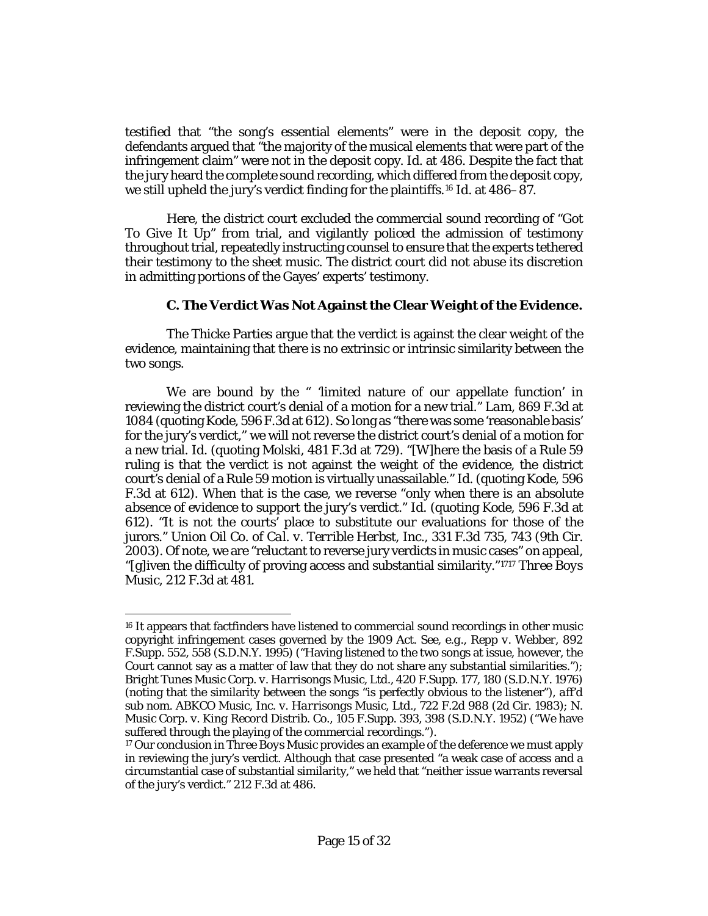testified that "the song's essential elements" were in the deposit copy, the defendants argued that "the majority of the musical elements that were part of the infringement claim" were not in the deposit copy. *Id.* [at 486.](http://www.westlaw.com/Link/Document/FullText?findType=Y&serNum=2000304625&pubNum=0000506&originatingDoc=Ib17569402d2211e8bf39ca8c49083d45&refType=RP&fi=co_pp_sp_506_486&originationContext=document&vr=3.0&rs=cblt1.0&transitionType=DocumentItem&contextData=(sc.Keycite)#co_pp_sp_506_486) Despite the fact that the jury heard the complete sound recording, which differed from the deposit copy, we still upheld the jury's verdict finding for the plaintiffs.[16](#page-14-0) *Id.* [at 486–87.](http://www.westlaw.com/Link/Document/FullText?findType=Y&serNum=2000304625&pubNum=0000506&originatingDoc=Ib17569402d2211e8bf39ca8c49083d45&refType=RP&fi=co_pp_sp_506_486&originationContext=document&vr=3.0&rs=cblt1.0&transitionType=DocumentItem&contextData=(sc.Keycite)#co_pp_sp_506_486)

Here, the district court excluded the commercial sound recording of "Got To Give It Up" from trial, and vigilantly policed the admission of testimony throughout trial, repeatedly instructing counsel to ensure that the experts tethered their testimony to the sheet music. The district court did not abuse its discretion in admitting portions of the Gayes' experts' testimony.

## **C. The Verdict Was Not Against the Clear Weight of the Evidence.**

The Thicke Parties argue that the verdict is against the clear weight of the evidence, maintaining that there is no extrinsic or intrinsic similarity between the two songs.

We are bound by the " 'limited nature of our appellate function' in reviewing the district court's denial of a motion for a new trial." *Lam*[, 869 F.3d at](http://www.westlaw.com/Link/Document/FullText?findType=Y&serNum=2042530645&pubNum=0000506&originatingDoc=Ib17569402d2211e8bf39ca8c49083d45&refType=RP&fi=co_pp_sp_506_1084&originationContext=document&vr=3.0&rs=cblt1.0&transitionType=DocumentItem&contextData=(sc.Keycite)#co_pp_sp_506_1084)  [1084](http://www.westlaw.com/Link/Document/FullText?findType=Y&serNum=2042530645&pubNum=0000506&originatingDoc=Ib17569402d2211e8bf39ca8c49083d45&refType=RP&fi=co_pp_sp_506_1084&originationContext=document&vr=3.0&rs=cblt1.0&transitionType=DocumentItem&contextData=(sc.Keycite)#co_pp_sp_506_1084) (quoting *Kode*[, 596 F.3d at 612\)](http://www.westlaw.com/Link/Document/FullText?findType=Y&serNum=2021420709&pubNum=0000506&originatingDoc=Ib17569402d2211e8bf39ca8c49083d45&refType=RP&fi=co_pp_sp_506_612&originationContext=document&vr=3.0&rs=cblt1.0&transitionType=DocumentItem&contextData=(sc.Keycite)#co_pp_sp_506_612). So long as "there was some 'reasonable basis' for the jury's verdict," we will not reverse the district court's denial of a motion for a new trial. *[Id.](http://www.westlaw.com/Link/Document/FullText?findType=Y&serNum=2042530645&pubNum=0000506&originatingDoc=Ib17569402d2211e8bf39ca8c49083d45&refType=RP&originationContext=document&vr=3.0&rs=cblt1.0&transitionType=DocumentItem&contextData=(sc.Keycite))* (quoting *Molski*[, 481 F.3d at 729\)](http://www.westlaw.com/Link/Document/FullText?findType=Y&serNum=2011761761&pubNum=0000506&originatingDoc=Ib17569402d2211e8bf39ca8c49083d45&refType=RP&fi=co_pp_sp_506_729&originationContext=document&vr=3.0&rs=cblt1.0&transitionType=DocumentItem&contextData=(sc.Keycite)#co_pp_sp_506_729). "[W]here the basis of a Rule 59 ruling is that the verdict is not against the weight of the evidence, the district court's denial of a Rule 59 motion is virtually unassailable." *[Id.](http://www.westlaw.com/Link/Document/FullText?findType=Y&serNum=2042530645&pubNum=0000506&originatingDoc=Ib17569402d2211e8bf39ca8c49083d45&refType=RP&originationContext=document&vr=3.0&rs=cblt1.0&transitionType=DocumentItem&contextData=(sc.Keycite))* (quoting *Kode*[, 596](http://www.westlaw.com/Link/Document/FullText?findType=Y&serNum=2021420709&pubNum=0000506&originatingDoc=Ib17569402d2211e8bf39ca8c49083d45&refType=RP&fi=co_pp_sp_506_612&originationContext=document&vr=3.0&rs=cblt1.0&transitionType=DocumentItem&contextData=(sc.Keycite)#co_pp_sp_506_612)  [F.3d at 612\)](http://www.westlaw.com/Link/Document/FullText?findType=Y&serNum=2021420709&pubNum=0000506&originatingDoc=Ib17569402d2211e8bf39ca8c49083d45&refType=RP&fi=co_pp_sp_506_612&originationContext=document&vr=3.0&rs=cblt1.0&transitionType=DocumentItem&contextData=(sc.Keycite)#co_pp_sp_506_612). When that is the case, we reverse "only when there is an *absolute absence of evidence* to support the jury's verdict." *[Id.](http://www.westlaw.com/Link/Document/FullText?findType=Y&serNum=2042530645&pubNum=0000506&originatingDoc=Ib17569402d2211e8bf39ca8c49083d45&refType=RP&originationContext=document&vr=3.0&rs=cblt1.0&transitionType=DocumentItem&contextData=(sc.Keycite))* (quoting *Kode*[, 596 F.3d at](http://www.westlaw.com/Link/Document/FullText?findType=Y&serNum=2021420709&pubNum=0000506&originatingDoc=Ib17569402d2211e8bf39ca8c49083d45&refType=RP&fi=co_pp_sp_506_612&originationContext=document&vr=3.0&rs=cblt1.0&transitionType=DocumentItem&contextData=(sc.Keycite)#co_pp_sp_506_612)  [612\)](http://www.westlaw.com/Link/Document/FullText?findType=Y&serNum=2021420709&pubNum=0000506&originatingDoc=Ib17569402d2211e8bf39ca8c49083d45&refType=RP&fi=co_pp_sp_506_612&originationContext=document&vr=3.0&rs=cblt1.0&transitionType=DocumentItem&contextData=(sc.Keycite)#co_pp_sp_506_612). "It is not the courts' place to substitute our evaluations for those of the jurors." *[Union Oil Co. of Cal. v. Terrible Herbst, Inc.](http://www.westlaw.com/Link/Document/FullText?findType=Y&serNum=2003402976&pubNum=0000506&originatingDoc=Ib17569402d2211e8bf39ca8c49083d45&refType=RP&fi=co_pp_sp_506_743&originationContext=document&vr=3.0&rs=cblt1.0&transitionType=DocumentItem&contextData=(sc.Keycite)#co_pp_sp_506_743)*, 331 F.3d 735, 743 (9th Cir. [2003\).](http://www.westlaw.com/Link/Document/FullText?findType=Y&serNum=2003402976&pubNum=0000506&originatingDoc=Ib17569402d2211e8bf39ca8c49083d45&refType=RP&fi=co_pp_sp_506_743&originationContext=document&vr=3.0&rs=cblt1.0&transitionType=DocumentItem&contextData=(sc.Keycite)#co_pp_sp_506_743) Of note, we are "reluctant to reverse jury verdicts in music cases" on appeal, "[g]iven the difficulty of proving access and substantial similarity."[17](#page-14-1)[17](#page-15-0) *[Three Boys](http://www.westlaw.com/Link/Document/FullText?findType=Y&serNum=2000304625&pubNum=0000506&originatingDoc=Ib17569402d2211e8bf39ca8c49083d45&refType=RP&fi=co_pp_sp_506_481&originationContext=document&vr=3.0&rs=cblt1.0&transitionType=DocumentItem&contextData=(sc.Keycite)#co_pp_sp_506_481)  Music*[, 212 F.3d at 481.](http://www.westlaw.com/Link/Document/FullText?findType=Y&serNum=2000304625&pubNum=0000506&originatingDoc=Ib17569402d2211e8bf39ca8c49083d45&refType=RP&fi=co_pp_sp_506_481&originationContext=document&vr=3.0&rs=cblt1.0&transitionType=DocumentItem&contextData=(sc.Keycite)#co_pp_sp_506_481)

<span id="page-14-0"></span> $\overline{a}$ <sup>16</sup> It appears that factfinders have listened to commercial sound recordings in other music copyright infringement cases governed by the 1909 Act. *See, e.g.*, *[Repp v. Webber](http://www.westlaw.com/Link/Document/FullText?findType=Y&serNum=1995153670&pubNum=0000345&originatingDoc=Ib17569402d2211e8bf39ca8c49083d45&refType=RP&fi=co_pp_sp_345_558&originationContext=document&vr=3.0&rs=cblt1.0&transitionType=DocumentItem&contextData=(sc.Keycite)#co_pp_sp_345_558)*, 892 [F.Supp. 552, 558 \(S.D.N.Y. 1995\)](http://www.westlaw.com/Link/Document/FullText?findType=Y&serNum=1995153670&pubNum=0000345&originatingDoc=Ib17569402d2211e8bf39ca8c49083d45&refType=RP&fi=co_pp_sp_345_558&originationContext=document&vr=3.0&rs=cblt1.0&transitionType=DocumentItem&contextData=(sc.Keycite)#co_pp_sp_345_558) ("Having listened to the two songs at issue, however, the Court cannot say as a matter of law that they do not share any substantial similarities."); *[Bright Tunes Music Corp. v. Harrisongs Music, Ltd.](http://www.westlaw.com/Link/Document/FullText?findType=Y&serNum=1976127327&pubNum=0000345&originatingDoc=Ib17569402d2211e8bf39ca8c49083d45&refType=RP&fi=co_pp_sp_345_180&originationContext=document&vr=3.0&rs=cblt1.0&transitionType=DocumentItem&contextData=(sc.Keycite)#co_pp_sp_345_180)*, 420 F.Supp. 177, 180 (S.D.N.Y. 1976) (noting that the similarity between the songs "is perfectly obvious to the listener"), *aff'd sub nom. [ABKCO Music, Inc. v. Harrisongs Music, Ltd.](http://www.westlaw.com/Link/Document/FullText?findType=Y&serNum=1983154506&pubNum=0000350&originatingDoc=Ib17569402d2211e8bf39ca8c49083d45&refType=RP&originationContext=document&vr=3.0&rs=cblt1.0&transitionType=DocumentItem&contextData=(sc.Keycite))*, 722 F.2d 988 (2d Cir. 1983); *[N.](http://www.westlaw.com/Link/Document/FullText?findType=Y&serNum=1952118533&pubNum=0000345&originatingDoc=Ib17569402d2211e8bf39ca8c49083d45&refType=RP&fi=co_pp_sp_345_398&originationContext=document&vr=3.0&rs=cblt1.0&transitionType=DocumentItem&contextData=(sc.Keycite)#co_pp_sp_345_398)  [Music Corp. v. King Record Distrib. Co.](http://www.westlaw.com/Link/Document/FullText?findType=Y&serNum=1952118533&pubNum=0000345&originatingDoc=Ib17569402d2211e8bf39ca8c49083d45&refType=RP&fi=co_pp_sp_345_398&originationContext=document&vr=3.0&rs=cblt1.0&transitionType=DocumentItem&contextData=(sc.Keycite)#co_pp_sp_345_398)*, 105 F.Supp. 393, 398 (S.D.N.Y. 1952) ("We have suffered through the playing of the commercial recordings.").

<span id="page-14-1"></span><sup>17</sup> Our conclusion in *[Three Boys Music](http://www.westlaw.com/Link/Document/FullText?findType=Y&serNum=2000304625&pubNum=0000506&originatingDoc=Ib17569402d2211e8bf39ca8c49083d45&refType=RP&originationContext=document&vr=3.0&rs=cblt1.0&transitionType=DocumentItem&contextData=(sc.Keycite))* provides an example of the deference we must apply in reviewing the jury's verdict. Although that case presented "a weak case of access and a circumstantial case of substantial similarity," we held that "neither issue warrants reversal of the jury's verdict." [212 F.3d at 486.](http://www.westlaw.com/Link/Document/FullText?findType=Y&serNum=2000304625&pubNum=0000506&originatingDoc=Ib17569402d2211e8bf39ca8c49083d45&refType=RP&fi=co_pp_sp_506_486&originationContext=document&vr=3.0&rs=cblt1.0&transitionType=DocumentItem&contextData=(sc.Keycite)#co_pp_sp_506_486)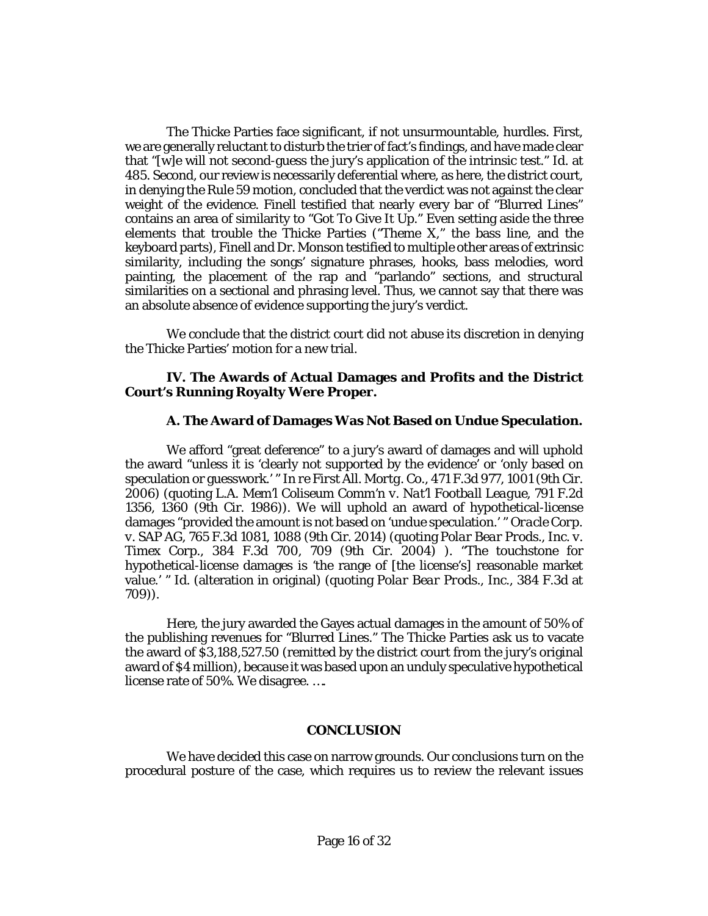<span id="page-15-0"></span>The Thicke Parties face significant, if not unsurmountable, hurdles. First, we are generally reluctant to disturb the trier of fact's findings, and have made clear that "[w]e will not second-guess the jury's application of the intrinsic test." *[Id.](http://www.westlaw.com/Link/Document/FullText?findType=Y&serNum=2000304625&pubNum=0000506&originatingDoc=Ib17569402d2211e8bf39ca8c49083d45&refType=RP&fi=co_pp_sp_506_485&originationContext=document&vr=3.0&rs=cblt1.0&transitionType=DocumentItem&contextData=(sc.Keycite)#co_pp_sp_506_485)* at [485.](http://www.westlaw.com/Link/Document/FullText?findType=Y&serNum=2000304625&pubNum=0000506&originatingDoc=Ib17569402d2211e8bf39ca8c49083d45&refType=RP&fi=co_pp_sp_506_485&originationContext=document&vr=3.0&rs=cblt1.0&transitionType=DocumentItem&contextData=(sc.Keycite)#co_pp_sp_506_485) Second, our review is necessarily deferential where, as here, the district court, in denying the Rule 59 motion, concluded that the verdict was not against the clear weight of the evidence. Finell testified that nearly every bar of "Blurred Lines" contains an area of similarity to "Got To Give It Up." Even setting aside the three elements that trouble the Thicke Parties ("Theme X," the bass line, and the keyboard parts), Finell and Dr. Monson testified to multiple other areas of extrinsic similarity, including the songs' signature phrases, hooks, bass melodies, word painting, the placement of the rap and "parlando" sections, and structural similarities on a sectional and phrasing level. Thus, we cannot say that there was an absolute absence of evidence supporting the jury's verdict.

We conclude that the district court did not abuse its discretion in denying the Thicke Parties' motion for a new trial.

#### **IV. The Awards of Actual Damages and Profits and the District Court's Running Royalty Were Proper.**

#### **A. The Award of Damages Was Not Based on Undue Speculation.**

We afford "great deference" to a jury's award of damages and will uphold the award "unless it is 'clearly not supported by the evidence' or 'only based on speculation or guesswork.' " *In re First All. Mortg. Co.*[, 471 F.3d 977, 1001 \(9th Cir.](http://www.westlaw.com/Link/Document/FullText?findType=Y&serNum=2010826820&pubNum=0000506&originatingDoc=Ib17569402d2211e8bf39ca8c49083d45&refType=RP&fi=co_pp_sp_506_1001&originationContext=document&vr=3.0&rs=cblt1.0&transitionType=DocumentItem&contextData=(sc.Keycite)#co_pp_sp_506_1001)  [2006\)](http://www.westlaw.com/Link/Document/FullText?findType=Y&serNum=2010826820&pubNum=0000506&originatingDoc=Ib17569402d2211e8bf39ca8c49083d45&refType=RP&fi=co_pp_sp_506_1001&originationContext=document&vr=3.0&rs=cblt1.0&transitionType=DocumentItem&contextData=(sc.Keycite)#co_pp_sp_506_1001) (quoting *L.A. Mem'l Coliseum Comm'n v. Nat'l Football League*, 791 F.2d 1356, 1360 (9th Cir. 1986)). We will uphold an award of hypothetical-license damages "provided the amount is not based on 'undue speculation.' " *[Oracle Corp.](http://www.westlaw.com/Link/Document/FullText?findType=Y&serNum=2034239755&pubNum=0000506&originatingDoc=Ib17569402d2211e8bf39ca8c49083d45&refType=RP&fi=co_pp_sp_506_1088&originationContext=document&vr=3.0&rs=cblt1.0&transitionType=DocumentItem&contextData=(sc.Keycite)#co_pp_sp_506_1088)  v. SAP AG*[, 765 F.3d 1081, 1088 \(9th Cir. 2014\)](http://www.westlaw.com/Link/Document/FullText?findType=Y&serNum=2034239755&pubNum=0000506&originatingDoc=Ib17569402d2211e8bf39ca8c49083d45&refType=RP&fi=co_pp_sp_506_1088&originationContext=document&vr=3.0&rs=cblt1.0&transitionType=DocumentItem&contextData=(sc.Keycite)#co_pp_sp_506_1088) (quoting *[Polar Bear Prods., Inc. v.](http://www.westlaw.com/Link/Document/FullText?findType=Y&serNum=2004975477&pubNum=0000506&originatingDoc=Ib17569402d2211e8bf39ca8c49083d45&refType=RP&fi=co_pp_sp_506_709&originationContext=document&vr=3.0&rs=cblt1.0&transitionType=DocumentItem&contextData=(sc.Keycite)#co_pp_sp_506_709)  Timex Corp.*[, 384 F.3d 700, 709 \(9th Cir. 2004\)](http://www.westlaw.com/Link/Document/FullText?findType=Y&serNum=2004975477&pubNum=0000506&originatingDoc=Ib17569402d2211e8bf39ca8c49083d45&refType=RP&fi=co_pp_sp_506_709&originationContext=document&vr=3.0&rs=cblt1.0&transitionType=DocumentItem&contextData=(sc.Keycite)#co_pp_sp_506_709) ). "The touchstone for hypothetical-license damages is 'the range of [the license's] reasonable market value.' " *[Id.](http://www.westlaw.com/Link/Document/FullText?findType=Y&serNum=2034239755&pubNum=0000506&originatingDoc=Ib17569402d2211e8bf39ca8c49083d45&refType=RP&originationContext=document&vr=3.0&rs=cblt1.0&transitionType=DocumentItem&contextData=(sc.Keycite))* (alteration in original) (quoting *Polar Bear Prods., Inc.*, 384 F.3d at 709)).

Here, the jury awarded the Gayes actual damages in the amount of 50% of the publishing revenues for "Blurred Lines." The Thicke Parties ask us to vacate the award of \$3,188,527.50 (remitted by the district court from the jury's original award of \$4 million), because it was based upon an unduly speculative hypothetical license rate of 50%. We disagree. ….

#### **CONCLUSION**

We have decided this case on narrow grounds. Our conclusions turn on the procedural posture of the case, which requires us to review the relevant issues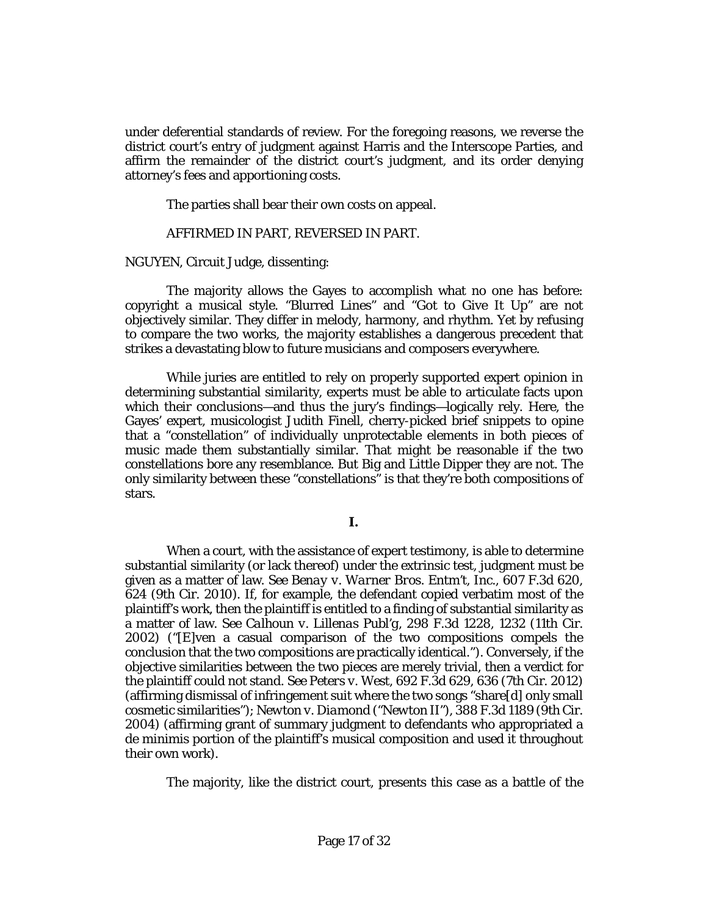under deferential standards of review. For the foregoing reasons, we reverse the district court's entry of judgment against Harris and the Interscope Parties, and affirm the remainder of the district court's judgment, and its order denying attorney's fees and apportioning costs.

The parties shall bear their own costs on appeal.

#### AFFIRMED IN PART, REVERSED IN PART.

[NGUYEN,](http://www.westlaw.com/Link/Document/FullText?findType=h&pubNum=176284&cite=0427663801&originatingDoc=Ib17569402d2211e8bf39ca8c49083d45&refType=RQ&originationContext=document&vr=3.0&rs=cblt1.0&transitionType=DocumentItem&contextData=(sc.Keycite)) Circuit Judge, dissenting:

The majority allows the Gayes to accomplish what no one has before: copyright a musical style. "Blurred Lines" and "Got to Give It Up" are not objectively similar. They differ in melody, harmony, and rhythm. Yet by refusing to compare the two works, the majority establishes a dangerous precedent that strikes a devastating blow to future musicians and composers everywhere.

While juries are entitled to rely on properly supported expert opinion in determining substantial similarity, experts must be able to articulate facts upon which their conclusions—and thus the jury's findings—logically rely. Here, the Gayes' expert, musicologist Judith Finell, cherry-picked brief snippets to opine that a "constellation" of individually unprotectable elements in both pieces of music made them substantially similar. That might be reasonable if the two constellations bore any resemblance. But Big and Little Dipper they are not. The only similarity between these "constellations" is that they're both compositions of stars.

When a court, with the assistance of expert testimony, is able to determine substantial similarity (or lack thereof) under the extrinsic test, judgment must be given as a matter of law. *See [Benay v. Warner Bros. Entm't, Inc.](http://www.westlaw.com/Link/Document/FullText?findType=Y&serNum=2022264635&pubNum=0000506&originatingDoc=Ib17569402d2211e8bf39ca8c49083d45&refType=RP&fi=co_pp_sp_506_624&originationContext=document&vr=3.0&rs=cblt1.0&transitionType=DocumentItem&contextData=(sc.Keycite)#co_pp_sp_506_624)*, 607 F.3d 620, [624 \(9th Cir. 2010\).](http://www.westlaw.com/Link/Document/FullText?findType=Y&serNum=2022264635&pubNum=0000506&originatingDoc=Ib17569402d2211e8bf39ca8c49083d45&refType=RP&fi=co_pp_sp_506_624&originationContext=document&vr=3.0&rs=cblt1.0&transitionType=DocumentItem&contextData=(sc.Keycite)#co_pp_sp_506_624) If, for example, the defendant copied verbatim most of the plaintiff's work, then the plaintiff is entitled to a finding of substantial similarity as a matter of law. *See Calhoun v. Lillenas Publ'g*[, 298 F.3d 1228, 1232 \(11th Cir.](http://www.westlaw.com/Link/Document/FullText?findType=Y&serNum=2002458647&pubNum=0000506&originatingDoc=Ib17569402d2211e8bf39ca8c49083d45&refType=RP&fi=co_pp_sp_506_1232&originationContext=document&vr=3.0&rs=cblt1.0&transitionType=DocumentItem&contextData=(sc.Keycite)#co_pp_sp_506_1232)  [2002\)](http://www.westlaw.com/Link/Document/FullText?findType=Y&serNum=2002458647&pubNum=0000506&originatingDoc=Ib17569402d2211e8bf39ca8c49083d45&refType=RP&fi=co_pp_sp_506_1232&originationContext=document&vr=3.0&rs=cblt1.0&transitionType=DocumentItem&contextData=(sc.Keycite)#co_pp_sp_506_1232) ("[E]ven a casual comparison of the two compositions compels the conclusion that the two compositions are practically identical."). Conversely, if the objective similarities between the two pieces are merely trivial, then a verdict for the plaintiff could not stand. *See Peters v. West*[, 692 F.3d 629, 636 \(7th Cir. 2012\)](http://www.westlaw.com/Link/Document/FullText?findType=Y&serNum=2028435200&pubNum=0000506&originatingDoc=Ib17569402d2211e8bf39ca8c49083d45&refType=RP&fi=co_pp_sp_506_636&originationContext=document&vr=3.0&rs=cblt1.0&transitionType=DocumentItem&contextData=(sc.Keycite)#co_pp_sp_506_636) (affirming dismissal of infringement suit where the two songs "share[d] only small cosmetic similarities"); *Newton v. Diamond ("Newton II")*, 388 F.3d 1189 (9th Cir. 2004) (affirming grant of summary judgment to defendants who appropriated a de minimis portion of the plaintiff's musical composition and used it throughout their own work).

The majority, like the district court, presents this case as a battle of the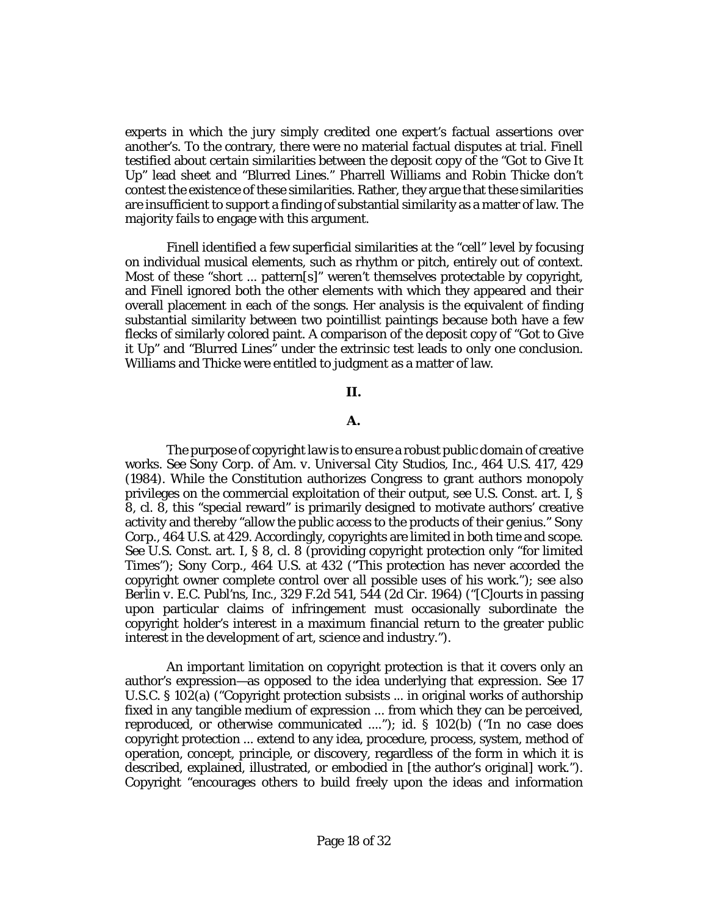experts in which the jury simply credited one expert's factual assertions over another's. To the contrary, there were no material factual disputes at trial. Finell testified about certain similarities between the deposit copy of the "Got to Give It Up" lead sheet and "Blurred Lines." Pharrell Williams and Robin Thicke don't contest the existence of these similarities. Rather, they argue that these similarities are insufficient to support a finding of substantial similarity as a matter of law. The majority fails to engage with this argument.

Finell identified a few superficial similarities at the "cell" level by focusing on individual musical elements, such as rhythm or pitch, entirely out of context. Most of these "short ... pattern[s]" weren't themselves protectable by copyright, and Finell ignored both the other elements with which they appeared and their overall placement in each of the songs. Her analysis is the equivalent of finding substantial similarity between two pointillist paintings because both have a few flecks of similarly colored paint. A comparison of the deposit copy of "Got to Give it Up" and "Blurred Lines" under the extrinsic test leads to only one conclusion. Williams and Thicke were entitled to judgment as a matter of law.

#### **II.**

#### **A.**

The purpose of copyright law is to ensure a robust public domain of creative works. *See [Sony Corp. of Am. v. Universal City Studios, Inc.](http://www.westlaw.com/Link/Document/FullText?findType=Y&serNum=1984103021&pubNum=0000708&originatingDoc=Ib17569402d2211e8bf39ca8c49083d45&refType=RP&originationContext=document&vr=3.0&rs=cblt1.0&transitionType=DocumentItem&contextData=(sc.Keycite))*, 464 U.S. 417, 429 [\(1984\).](http://www.westlaw.com/Link/Document/FullText?findType=Y&serNum=1984103021&pubNum=0000708&originatingDoc=Ib17569402d2211e8bf39ca8c49083d45&refType=RP&originationContext=document&vr=3.0&rs=cblt1.0&transitionType=DocumentItem&contextData=(sc.Keycite)) While the Constitution authorizes Congress to grant authors monopoly privileges on the commercial exploitation of their output, *see* [U.S. Const. art. I, §](http://www.westlaw.com/Link/Document/FullText?findType=L&pubNum=1000583&cite=USCOARTIS8CL8&originatingDoc=Ib17569402d2211e8bf39ca8c49083d45&refType=LQ&originationContext=document&vr=3.0&rs=cblt1.0&transitionType=DocumentItem&contextData=(sc.Keycite))  [8, cl. 8,](http://www.westlaw.com/Link/Document/FullText?findType=L&pubNum=1000583&cite=USCOARTIS8CL8&originatingDoc=Ib17569402d2211e8bf39ca8c49083d45&refType=LQ&originationContext=document&vr=3.0&rs=cblt1.0&transitionType=DocumentItem&contextData=(sc.Keycite)) this "special reward" is primarily designed to motivate authors' creative activity and thereby "allow the public access to the products of their genius." *[Sony](http://www.westlaw.com/Link/Document/FullText?findType=Y&serNum=1984103021&pubNum=0000708&originatingDoc=Ib17569402d2211e8bf39ca8c49083d45&refType=RP&originationContext=document&vr=3.0&rs=cblt1.0&transitionType=DocumentItem&contextData=(sc.Keycite))  Corp.*[, 464 U.S. at 429.](http://www.westlaw.com/Link/Document/FullText?findType=Y&serNum=1984103021&pubNum=0000708&originatingDoc=Ib17569402d2211e8bf39ca8c49083d45&refType=RP&originationContext=document&vr=3.0&rs=cblt1.0&transitionType=DocumentItem&contextData=(sc.Keycite)) Accordingly, copyrights are limited in both time and scope. *See* [U.S. Const. art. I, § 8, cl. 8](http://www.westlaw.com/Link/Document/FullText?findType=L&pubNum=1000583&cite=USCOARTIS8CL8&originatingDoc=Ib17569402d2211e8bf39ca8c49083d45&refType=LQ&originationContext=document&vr=3.0&rs=cblt1.0&transitionType=DocumentItem&contextData=(sc.Keycite)) (providing copyright protection only "for limited Times"); *Sony Corp.*[, 464 U.S. at 432](http://www.westlaw.com/Link/Document/FullText?findType=Y&serNum=1984103021&pubNum=0000708&originatingDoc=Ib17569402d2211e8bf39ca8c49083d45&refType=RP&originationContext=document&vr=3.0&rs=cblt1.0&transitionType=DocumentItem&contextData=(sc.Keycite)) ("This protection has never accorded the copyright owner complete control over all possible uses of his work."); *see also Berlin v. E.C. Publ'ns, Inc.*[, 329 F.2d 541, 544 \(2d Cir. 1964\)](http://www.westlaw.com/Link/Document/FullText?findType=Y&serNum=1964113635&pubNum=0000350&originatingDoc=Ib17569402d2211e8bf39ca8c49083d45&refType=RP&fi=co_pp_sp_350_544&originationContext=document&vr=3.0&rs=cblt1.0&transitionType=DocumentItem&contextData=(sc.Keycite)#co_pp_sp_350_544) ("[C]ourts in passing upon particular claims of infringement must occasionally subordinate the copyright holder's interest in a maximum financial return to the greater public interest in the development of art, science and industry.").

An important limitation on copyright protection is that it covers only an author's expression—as opposed to the idea underlying that expression. *See* [17](http://www.westlaw.com/Link/Document/FullText?findType=L&pubNum=1000546&cite=17USCAS102&originatingDoc=Ib17569402d2211e8bf39ca8c49083d45&refType=RB&originationContext=document&vr=3.0&rs=cblt1.0&transitionType=DocumentItem&contextData=(sc.Keycite)#co_pp_8b3b0000958a4)  [U.S.C. § 102\(a\)](http://www.westlaw.com/Link/Document/FullText?findType=L&pubNum=1000546&cite=17USCAS102&originatingDoc=Ib17569402d2211e8bf39ca8c49083d45&refType=RB&originationContext=document&vr=3.0&rs=cblt1.0&transitionType=DocumentItem&contextData=(sc.Keycite)#co_pp_8b3b0000958a4) ("Copyright protection subsists ... in original works of authorship fixed in any tangible medium of expression ... from which they can be perceived, reproduced, or otherwise communicated ...."); *id.* [§ 102\(b\)](http://www.westlaw.com/Link/Document/FullText?findType=L&pubNum=1000546&cite=17USCAS102&originatingDoc=Ib17569402d2211e8bf39ca8c49083d45&refType=RB&originationContext=document&vr=3.0&rs=cblt1.0&transitionType=DocumentItem&contextData=(sc.Keycite)#co_pp_a83b000018c76) ("In no case does copyright protection ... extend to any idea, procedure, process, system, method of operation, concept, principle, or discovery, regardless of the form in which it is described, explained, illustrated, or embodied in [the author's original] work."). Copyright "encourages others to build freely upon the ideas and information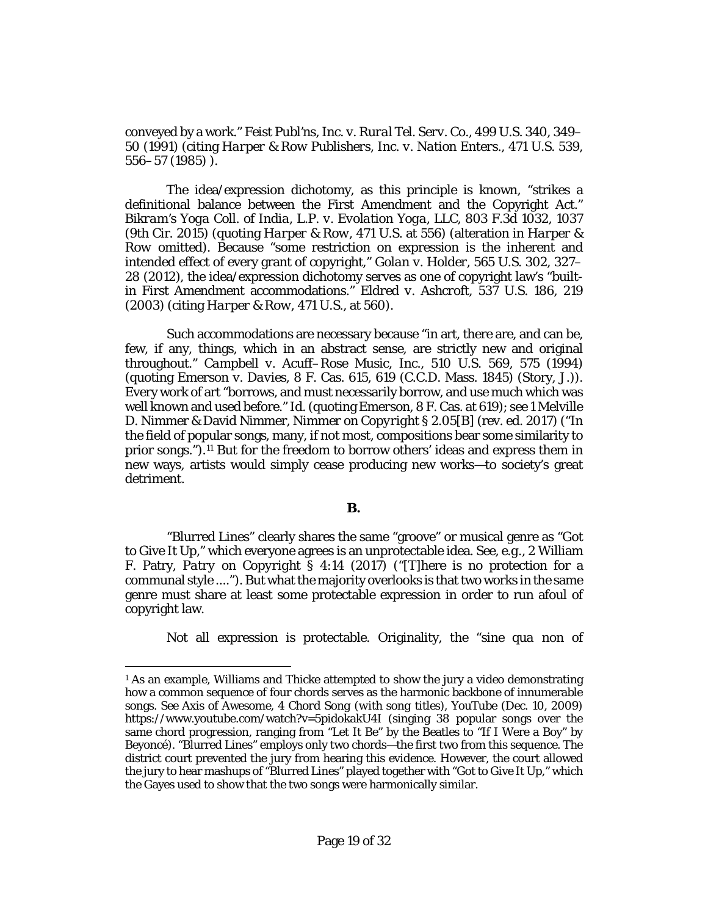conveyed by a work." *[Feist Publ'ns, Inc. v. Rural Tel. Serv. Co.](http://www.westlaw.com/Link/Document/FullText?findType=Y&serNum=1991060551&pubNum=0000708&originatingDoc=Ib17569402d2211e8bf39ca8c49083d45&refType=RP&originationContext=document&vr=3.0&rs=cblt1.0&transitionType=DocumentItem&contextData=(sc.Keycite))*, 499 U.S. 340, 349– 50 [\(1991\)](http://www.westlaw.com/Link/Document/FullText?findType=Y&serNum=1991060551&pubNum=0000708&originatingDoc=Ib17569402d2211e8bf39ca8c49083d45&refType=RP&originationContext=document&vr=3.0&rs=cblt1.0&transitionType=DocumentItem&contextData=(sc.Keycite)) (citing *Harper & Row [Publishers, Inc. v. Nation Enters.](http://www.westlaw.com/Link/Document/FullText?findType=Y&serNum=1985125844&pubNum=0000708&originatingDoc=Ib17569402d2211e8bf39ca8c49083d45&refType=RP&originationContext=document&vr=3.0&rs=cblt1.0&transitionType=DocumentItem&contextData=(sc.Keycite))*, 471 U.S. 539, [556–57](http://www.westlaw.com/Link/Document/FullText?findType=Y&serNum=1985125844&pubNum=0000708&originatingDoc=Ib17569402d2211e8bf39ca8c49083d45&refType=RP&originationContext=document&vr=3.0&rs=cblt1.0&transitionType=DocumentItem&contextData=(sc.Keycite)) (1985) ).

The idea/expression dichotomy, as this principle is known, "strikes a definitional balance between the First Amendment and the Copyright Act." *[Bikram's Yoga Coll. of India, L.P. v. Evolation Yoga, LLC](http://www.westlaw.com/Link/Document/FullText?findType=Y&serNum=2037334947&pubNum=0000506&originatingDoc=Ib17569402d2211e8bf39ca8c49083d45&refType=RP&fi=co_pp_sp_506_1037&originationContext=document&vr=3.0&rs=cblt1.0&transitionType=DocumentItem&contextData=(sc.Keycite)#co_pp_sp_506_1037)*, 803 F.3d 1032, 1037 [\(9th Cir. 2015\)](http://www.westlaw.com/Link/Document/FullText?findType=Y&serNum=2037334947&pubNum=0000506&originatingDoc=Ib17569402d2211e8bf39ca8c49083d45&refType=RP&fi=co_pp_sp_506_1037&originationContext=document&vr=3.0&rs=cblt1.0&transitionType=DocumentItem&contextData=(sc.Keycite)#co_pp_sp_506_1037) (quoting *Harper & Row*[, 471 U.S. at 556\)](http://www.westlaw.com/Link/Document/FullText?findType=Y&serNum=1985125844&pubNum=0000708&originatingDoc=Ib17569402d2211e8bf39ca8c49083d45&refType=RP&originationContext=document&vr=3.0&rs=cblt1.0&transitionType=DocumentItem&contextData=(sc.Keycite)) (alteration in *[Harper &](http://www.westlaw.com/Link/Document/FullText?findType=Y&serNum=1985125844&pubNum=0000780&originatingDoc=Ib17569402d2211e8bf39ca8c49083d45&refType=RP&originationContext=document&vr=3.0&rs=cblt1.0&transitionType=DocumentItem&contextData=(sc.Keycite))  [Row](http://www.westlaw.com/Link/Document/FullText?findType=Y&serNum=1985125844&pubNum=0000780&originatingDoc=Ib17569402d2211e8bf39ca8c49083d45&refType=RP&originationContext=document&vr=3.0&rs=cblt1.0&transitionType=DocumentItem&contextData=(sc.Keycite))* omitted). Because "some restriction on expression is the inherent and intended effect of every grant of copyright," *Golan v. Holder*[, 565 U.S. 302, 327–](http://www.westlaw.com/Link/Document/FullText?findType=Y&serNum=2026877422&pubNum=0000708&originatingDoc=Ib17569402d2211e8bf39ca8c49083d45&refType=RP&originationContext=document&vr=3.0&rs=cblt1.0&transitionType=DocumentItem&contextData=(sc.Keycite)) [28 \(2012\),](http://www.westlaw.com/Link/Document/FullText?findType=Y&serNum=2026877422&pubNum=0000708&originatingDoc=Ib17569402d2211e8bf39ca8c49083d45&refType=RP&originationContext=document&vr=3.0&rs=cblt1.0&transitionType=DocumentItem&contextData=(sc.Keycite)) the idea/expression dichotomy serves as one of copyright law's "builtin First Amendment accommodations." *Eldred v. Ashcroft*[, 537 U.S. 186, 219](http://www.westlaw.com/Link/Document/FullText?findType=Y&serNum=2003078650&pubNum=0000708&originatingDoc=Ib17569402d2211e8bf39ca8c49083d45&refType=RP&originationContext=document&vr=3.0&rs=cblt1.0&transitionType=DocumentItem&contextData=(sc.Keycite)) [\(2003\)](http://www.westlaw.com/Link/Document/FullText?findType=Y&serNum=2003078650&pubNum=0000708&originatingDoc=Ib17569402d2211e8bf39ca8c49083d45&refType=RP&originationContext=document&vr=3.0&rs=cblt1.0&transitionType=DocumentItem&contextData=(sc.Keycite)) (citing *Harper & Row*[, 471 U.S., at 560\)](http://www.westlaw.com/Link/Document/FullText?findType=Y&serNum=1985125844&pubNum=0000708&originatingDoc=Ib17569402d2211e8bf39ca8c49083d45&refType=RP&originationContext=document&vr=3.0&rs=cblt1.0&transitionType=DocumentItem&contextData=(sc.Keycite)).

Such accommodations are necessary because "in art, there are, and can be, few, if any, things, which in an abstract sense, are strictly new and original throughout." *[Campbell v. Acuff–Rose Music, Inc.](http://www.westlaw.com/Link/Document/FullText?findType=Y&serNum=1994058334&pubNum=0000708&originatingDoc=Ib17569402d2211e8bf39ca8c49083d45&refType=RP&originationContext=document&vr=3.0&rs=cblt1.0&transitionType=DocumentItem&contextData=(sc.Keycite))*, 510 U.S. 569, 575 (1994) (quoting *Emerson v. Davies*[, 8 F. Cas. 615, 619 \(C.C.D. Mass. 1845\)](http://www.westlaw.com/Link/Document/FullText?findType=Y&serNum=1800115367&pubNum=0000349&originatingDoc=Ib17569402d2211e8bf39ca8c49083d45&refType=RP&fi=co_pp_sp_349_619&originationContext=document&vr=3.0&rs=cblt1.0&transitionType=DocumentItem&contextData=(sc.Keycite)#co_pp_sp_349_619) (Story, J.)). Every work of art "borrows, and must necessarily borrow, and use much which was well known and used before." *Id.*(quoting *Emerson*[, 8 F. Cas. at 619\)](http://www.westlaw.com/Link/Document/FullText?findType=Y&serNum=1800115367&pubNum=0000349&originatingDoc=Ib17569402d2211e8bf39ca8c49083d45&refType=RP&fi=co_pp_sp_349_619&originationContext=document&vr=3.0&rs=cblt1.0&transitionType=DocumentItem&contextData=(sc.Keycite)#co_pp_sp_349_619); *see* 1 Melville D. Nimmer & David Nimmer, *Nimmer on Copyright* § 2.05[B] (rev. ed. 2017) ("In the field of popular songs, many, if not most, compositions bear some similarity to prior songs.").[1](#page-18-1)[1](#page-18-0) But for the freedom to borrow others' ideas and express them in new ways, artists would simply cease producing new works—to society's great detriment.

#### **B.**

<span id="page-18-0"></span>"Blurred Lines" clearly shares the same "groove" or musical genre as "Got to Give It Up," which everyone agrees is an unprotectable idea. *See, e.g.*, 2 William F. Patry, *[Patry on Copyright](http://www.westlaw.com/Link/Document/FullText?findType=Y&serNum=0329604805&pubNum=0196399&originatingDoc=Ib17569402d2211e8bf39ca8c49083d45&refType=TS&originationContext=document&vr=3.0&rs=cblt1.0&transitionType=DocumentItem&contextData=(sc.Keycite))* § 4:14 (2017) ("[T]here is no protection for a communal style ...."). But what the majority overlooks is that two works in the same genre must share at least some protectable expression in order to run afoul of copyright law.

Not all expression is protectable. Originality, the "*sine qua non* of

l

<span id="page-18-1"></span><sup>&</sup>lt;sup>1</sup> As an example, Williams and Thicke attempted to show the jury a video demonstrating how a common sequence of four chords serves as the harmonic backbone of innumerable songs. *See* Axis of Awesome, *4 Chord Song (with song titles)*, YouTube (Dec. 10, 2009) https://www.youtube.com/watch?v=5pidokakU4I (singing 38 popular songs over the same chord progression, ranging from "Let It Be" by the Beatles to "If I Were a Boy" by Beyoncé). "Blurred Lines" employs only two chords—the first two from this sequence. The district court prevented the jury from hearing this evidence. However, the court allowed the jury to hear mashups of "Blurred Lines" played together with "Got to Give It Up," which the Gayes used to show that the two songs were harmonically similar.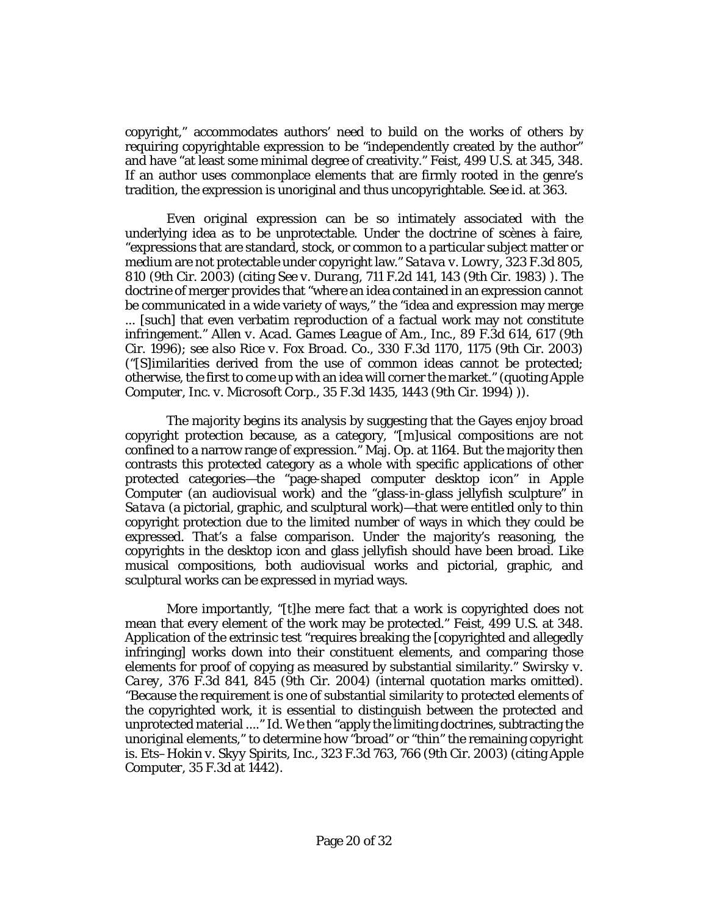copyright," accommodates authors' need to build on the works of others by requiring copyrightable expression to be "independently created by the author" and have "at least some minimal degree of creativity." *Feist*[, 499 U.S. at 345, 348.](http://www.westlaw.com/Link/Document/FullText?findType=Y&serNum=1991060551&pubNum=0000708&originatingDoc=Ib17569402d2211e8bf39ca8c49083d45&refType=RP&originationContext=document&vr=3.0&rs=cblt1.0&transitionType=DocumentItem&contextData=(sc.Keycite)) If an author uses commonplace elements that are firmly rooted in the genre's tradition, the expression is unoriginal and thus uncopyrightable. *See id.* at 363.

Even original expression can be so intimately associated with the underlying idea as to be unprotectable. Under the doctrine of scènes à faire, "expressions that are standard, stock, or common to a particular subject matter or medium are not protectable under copyright law." *[Satava v. Lowry](http://www.westlaw.com/Link/Document/FullText?findType=Y&serNum=2003233155&pubNum=0000506&originatingDoc=Ib17569402d2211e8bf39ca8c49083d45&refType=RP&fi=co_pp_sp_506_810&originationContext=document&vr=3.0&rs=cblt1.0&transitionType=DocumentItem&contextData=(sc.Keycite)#co_pp_sp_506_810)*, 323 F.3d 805, [810 \(9th Cir. 2003\)](http://www.westlaw.com/Link/Document/FullText?findType=Y&serNum=2003233155&pubNum=0000506&originatingDoc=Ib17569402d2211e8bf39ca8c49083d45&refType=RP&fi=co_pp_sp_506_810&originationContext=document&vr=3.0&rs=cblt1.0&transitionType=DocumentItem&contextData=(sc.Keycite)#co_pp_sp_506_810) (citing *See v. Durang*[, 711 F.2d 141, 143 \(9th Cir. 1983\)](http://www.westlaw.com/Link/Document/FullText?findType=Y&serNum=1983134383&pubNum=0000350&originatingDoc=Ib17569402d2211e8bf39ca8c49083d45&refType=RP&fi=co_pp_sp_350_143&originationContext=document&vr=3.0&rs=cblt1.0&transitionType=DocumentItem&contextData=(sc.Keycite)#co_pp_sp_350_143) ). The doctrine of merger provides that "where an idea contained in an expression cannot be communicated in a wide variety of ways," the "idea and expression may merge ... [such] that even verbatim reproduction of a factual work may not constitute infringement." *[Allen v. Acad. Games League of Am., Inc.](http://www.westlaw.com/Link/Document/FullText?findType=Y&serNum=1996158364&pubNum=0000506&originatingDoc=Ib17569402d2211e8bf39ca8c49083d45&refType=RP&fi=co_pp_sp_506_617&originationContext=document&vr=3.0&rs=cblt1.0&transitionType=DocumentItem&contextData=(sc.Keycite)#co_pp_sp_506_617)*, 89 F.3d 614, 617 (9th [Cir. 1996\);](http://www.westlaw.com/Link/Document/FullText?findType=Y&serNum=1996158364&pubNum=0000506&originatingDoc=Ib17569402d2211e8bf39ca8c49083d45&refType=RP&fi=co_pp_sp_506_617&originationContext=document&vr=3.0&rs=cblt1.0&transitionType=DocumentItem&contextData=(sc.Keycite)#co_pp_sp_506_617) *see also Rice v. Fox Broad. Co.*[, 330 F.3d 1170, 1175 \(9th Cir. 2003\)](http://www.westlaw.com/Link/Document/FullText?findType=Y&serNum=2003385009&pubNum=0000506&originatingDoc=Ib17569402d2211e8bf39ca8c49083d45&refType=RP&fi=co_pp_sp_506_1175&originationContext=document&vr=3.0&rs=cblt1.0&transitionType=DocumentItem&contextData=(sc.Keycite)#co_pp_sp_506_1175) ("[S]imilarities derived from the use of common ideas cannot be protected; otherwise, the first to come up with an idea will corner the market." (quoting *[Apple](http://www.westlaw.com/Link/Document/FullText?findType=Y&serNum=1994188702&pubNum=0000506&originatingDoc=Ib17569402d2211e8bf39ca8c49083d45&refType=RP&fi=co_pp_sp_506_1443&originationContext=document&vr=3.0&rs=cblt1.0&transitionType=DocumentItem&contextData=(sc.Keycite)#co_pp_sp_506_1443)  Computer, Inc. v. Microsoft Corp.*[, 35 F.3d 1435, 1443 \(9th Cir. 1994\)](http://www.westlaw.com/Link/Document/FullText?findType=Y&serNum=1994188702&pubNum=0000506&originatingDoc=Ib17569402d2211e8bf39ca8c49083d45&refType=RP&fi=co_pp_sp_506_1443&originationContext=document&vr=3.0&rs=cblt1.0&transitionType=DocumentItem&contextData=(sc.Keycite)#co_pp_sp_506_1443) )).

The majority begins its analysis by suggesting that the Gayes enjoy broad copyright protection because, as a category, "[m]usical compositions are not confined to a narrow range of expression." Maj. Op. at 1164. But the majority then contrasts this protected category as a whole with specific applications of other protected categories—the "page-shaped computer desktop icon" in *[Apple](http://www.westlaw.com/Link/Document/FullText?findType=Y&serNum=1994188702&pubNum=0000506&originatingDoc=Ib17569402d2211e8bf39ca8c49083d45&refType=RP&originationContext=document&vr=3.0&rs=cblt1.0&transitionType=DocumentItem&contextData=(sc.Keycite))  [Computer](http://www.westlaw.com/Link/Document/FullText?findType=Y&serNum=1994188702&pubNum=0000506&originatingDoc=Ib17569402d2211e8bf39ca8c49083d45&refType=RP&originationContext=document&vr=3.0&rs=cblt1.0&transitionType=DocumentItem&contextData=(sc.Keycite))* (an audiovisual work) and the "glass-in-glass jellyfish sculpture" in *[Satava](http://www.westlaw.com/Link/Document/FullText?findType=Y&serNum=2003233155&pubNum=0000506&originatingDoc=Ib17569402d2211e8bf39ca8c49083d45&refType=RP&originationContext=document&vr=3.0&rs=cblt1.0&transitionType=DocumentItem&contextData=(sc.Keycite))* (a pictorial, graphic, and sculptural work)—that were entitled only to thin copyright protection due to the limited number of ways in which they could be expressed. That's a false comparison. Under the majority's reasoning, the copyrights in the desktop icon and glass jellyfish should have been broad. Like musical compositions, both audiovisual works and pictorial, graphic, and sculptural works can be expressed in myriad ways.

More importantly, "[t]he mere fact that a work is copyrighted does not mean that every element of the work may be protected." *Feist*[, 499 U.S. at 348.](http://www.westlaw.com/Link/Document/FullText?findType=Y&serNum=1991060551&pubNum=0000708&originatingDoc=Ib17569402d2211e8bf39ca8c49083d45&refType=RP&originationContext=document&vr=3.0&rs=cblt1.0&transitionType=DocumentItem&contextData=(sc.Keycite)) Application of the extrinsic test "requires breaking the [copyrighted and allegedly infringing] works down into their constituent elements, and comparing those elements for proof of copying as measured by substantial similarity." *[Swirsky v.](http://www.westlaw.com/Link/Document/FullText?findType=Y&serNum=2004692521&pubNum=0000506&originatingDoc=Ib17569402d2211e8bf39ca8c49083d45&refType=RP&fi=co_pp_sp_506_845&originationContext=document&vr=3.0&rs=cblt1.0&transitionType=DocumentItem&contextData=(sc.Keycite)#co_pp_sp_506_845)  Carey*[, 376 F.3d 841, 845 \(9th Cir. 2004\)](http://www.westlaw.com/Link/Document/FullText?findType=Y&serNum=2004692521&pubNum=0000506&originatingDoc=Ib17569402d2211e8bf39ca8c49083d45&refType=RP&fi=co_pp_sp_506_845&originationContext=document&vr=3.0&rs=cblt1.0&transitionType=DocumentItem&contextData=(sc.Keycite)#co_pp_sp_506_845) (internal quotation marks omitted). "Because the requirement is one of substantial similarity to *protected* elements of the copyrighted work, it is essential to distinguish between the protected and unprotected material ...." *Id.* We then "apply the limiting doctrines, subtracting the unoriginal elements," to determine how "broad" or "thin" the remaining copyright is. *Ets–Hokin v. Skyy Spirits, Inc.*[, 323 F.3d 763, 766 \(9th Cir. 2003\)](http://www.westlaw.com/Link/Document/FullText?findType=Y&serNum=2003214096&pubNum=0000506&originatingDoc=Ib17569402d2211e8bf39ca8c49083d45&refType=RP&fi=co_pp_sp_506_766&originationContext=document&vr=3.0&rs=cblt1.0&transitionType=DocumentItem&contextData=(sc.Keycite)#co_pp_sp_506_766) (citing *[Apple](http://www.westlaw.com/Link/Document/FullText?findType=Y&serNum=1994188702&pubNum=0000506&originatingDoc=Ib17569402d2211e8bf39ca8c49083d45&refType=RP&fi=co_pp_sp_506_1442&originationContext=document&vr=3.0&rs=cblt1.0&transitionType=DocumentItem&contextData=(sc.Keycite)#co_pp_sp_506_1442)  Computer*[, 35 F.3d at 1442\)](http://www.westlaw.com/Link/Document/FullText?findType=Y&serNum=1994188702&pubNum=0000506&originatingDoc=Ib17569402d2211e8bf39ca8c49083d45&refType=RP&fi=co_pp_sp_506_1442&originationContext=document&vr=3.0&rs=cblt1.0&transitionType=DocumentItem&contextData=(sc.Keycite)#co_pp_sp_506_1442).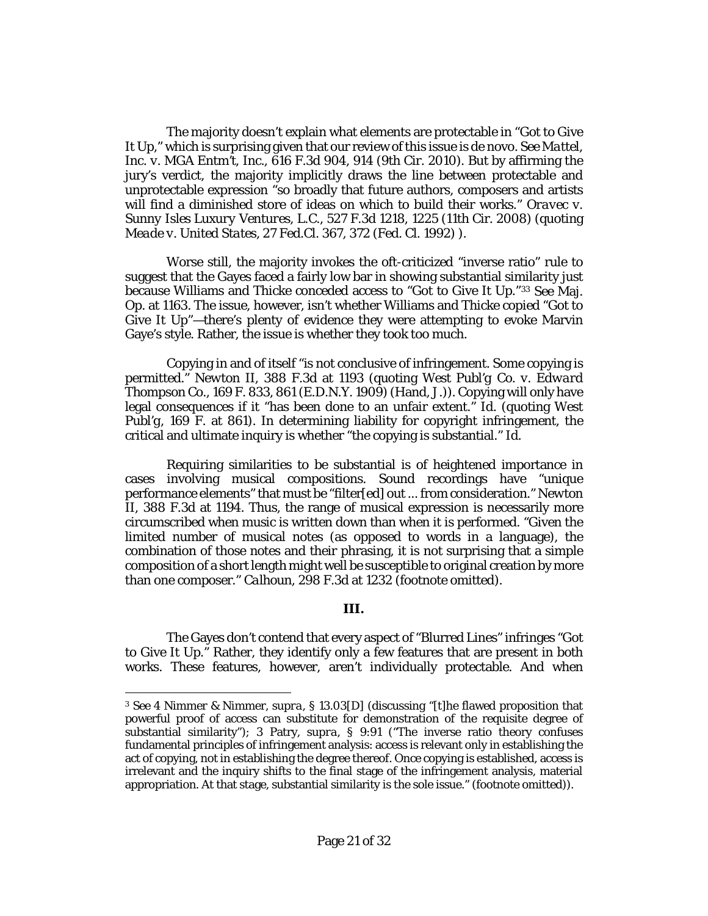The majority doesn't explain what elements are protectable in "Got to Give It Up," which is surprising given that our review of this issue is de novo. *Se[e Mattel,](http://www.westlaw.com/Link/Document/FullText?findType=Y&serNum=2022583077&pubNum=0000506&originatingDoc=Ib17569402d2211e8bf39ca8c49083d45&refType=RP&fi=co_pp_sp_506_914&originationContext=document&vr=3.0&rs=cblt1.0&transitionType=DocumentItem&contextData=(sc.Keycite)#co_pp_sp_506_914)  Inc. v. MGA Entm't, Inc.*[, 616 F.3d 904, 914 \(9th Cir. 2010\).](http://www.westlaw.com/Link/Document/FullText?findType=Y&serNum=2022583077&pubNum=0000506&originatingDoc=Ib17569402d2211e8bf39ca8c49083d45&refType=RP&fi=co_pp_sp_506_914&originationContext=document&vr=3.0&rs=cblt1.0&transitionType=DocumentItem&contextData=(sc.Keycite)#co_pp_sp_506_914) But by affirming the jury's verdict, the majority implicitly draws the line between protectable and unprotectable expression "so broadly that future authors, composers and artists will find a diminished store of ideas on which to build their works." *[Oravec v.](http://www.westlaw.com/Link/Document/FullText?findType=Y&serNum=2016097869&pubNum=0000506&originatingDoc=Ib17569402d2211e8bf39ca8c49083d45&refType=RP&fi=co_pp_sp_506_1225&originationContext=document&vr=3.0&rs=cblt1.0&transitionType=DocumentItem&contextData=(sc.Keycite)#co_pp_sp_506_1225)  Sunny Isles Luxury Ventures, L.C.*[, 527 F.3d 1218, 1225 \(11th Cir. 2008\)](http://www.westlaw.com/Link/Document/FullText?findType=Y&serNum=2016097869&pubNum=0000506&originatingDoc=Ib17569402d2211e8bf39ca8c49083d45&refType=RP&fi=co_pp_sp_506_1225&originationContext=document&vr=3.0&rs=cblt1.0&transitionType=DocumentItem&contextData=(sc.Keycite)#co_pp_sp_506_1225) (quoting *Meade v. United States*[, 27 Fed.Cl. 367, 372 \(Fed. Cl. 1992\)](http://www.westlaw.com/Link/Document/FullText?findType=Y&serNum=1992224663&pubNum=0000613&originatingDoc=Ib17569402d2211e8bf39ca8c49083d45&refType=RP&fi=co_pp_sp_613_372&originationContext=document&vr=3.0&rs=cblt1.0&transitionType=DocumentItem&contextData=(sc.Keycite)#co_pp_sp_613_372) ).

Worse still, the majority invokes the oft-criticized "inverse ratio" rule to suggest that the Gayes faced a fairly low bar in showing substantial similarity just because Williams and Thicke conceded access to "Got to Give It Up."[3](#page-20-1)[3](#page-20-0) *See* Maj. Op. at 1163. The issue, however, isn't whether Williams and Thicke copied "Got to Give It Up"—there's plenty of evidence they were attempting to evoke Marvin Gaye's style. Rather, the issue is whether they took too much.

<span id="page-20-0"></span>Copying in and of itself "is not conclusive of infringement. Some copying is permitted." *Newton II*, 388 F.3d at 1193 (quoting *West Publ'g Co. v. Edward Thompson Co.*, 169 F. 833, 861 (E.D.N.Y. 1909) (Hand, J.)). Copying will only have legal consequences if it "has been done to an unfair extent." *Id.* (quoting *[West](http://www.westlaw.com/Link/Document/FullText?findType=Y&serNum=1909102059&pubNum=0000348&originatingDoc=Ib17569402d2211e8bf39ca8c49083d45&refType=RP&fi=co_pp_sp_348_861&originationContext=document&vr=3.0&rs=cblt1.0&transitionType=DocumentItem&contextData=(sc.Keycite)#co_pp_sp_348_861)  Publ'g*[, 169 F. at 861\)](http://www.westlaw.com/Link/Document/FullText?findType=Y&serNum=1909102059&pubNum=0000348&originatingDoc=Ib17569402d2211e8bf39ca8c49083d45&refType=RP&fi=co_pp_sp_348_861&originationContext=document&vr=3.0&rs=cblt1.0&transitionType=DocumentItem&contextData=(sc.Keycite)#co_pp_sp_348_861). In determining liability for copyright infringement, the critical and ultimate inquiry is whether "the copying is substantial." *Id.*

Requiring similarities to be substantial is of heightened importance in cases involving musical compositions. Sound recordings have "unique performance elements" that must be "filter[ed] out ... from consideration." *Newton II*, 388 F.3d at 1194. Thus, the range of musical expression is necessarily more circumscribed when music is written down than when it is performed. "Given the limited number of musical notes (as opposed to words in a language), the combination of those notes and their phrasing, it is not surprising that a simple composition of a short length might well be susceptible to original creation by more than one composer." *Calhoun*[, 298 F.3d at 1232](http://www.westlaw.com/Link/Document/FullText?findType=Y&serNum=2002458647&pubNum=0000506&originatingDoc=Ib17569402d2211e8bf39ca8c49083d45&refType=RP&fi=co_pp_sp_506_1232&originationContext=document&vr=3.0&rs=cblt1.0&transitionType=DocumentItem&contextData=(sc.Keycite)#co_pp_sp_506_1232) (footnote omitted).

#### **III.**

The Gayes don't contend that every aspect of "Blurred Lines" infringes "Got to Give It Up." Rather, they identify only a few features that are present in both works. These features, however, aren't individually protectable. And when

 $\overline{\phantom{a}}$ 

<span id="page-20-1"></span><sup>3</sup> *See* 4 Nimmer & Nimmer, *supra*, § 13.03[D] (discussing "[t]he flawed proposition that powerful proof of access can substitute for demonstration of the requisite degree of substantial similarity"); 3 Patry, *supra*, § 9:91 ("The inverse ratio theory confuses fundamental principles of infringement analysis: access is relevant only in establishing the act of copying, not in establishing the degree thereof. Once copying is established, access is irrelevant and the inquiry shifts to the final stage of the infringement analysis, material appropriation. At that stage, substantial similarity is the sole issue." (footnote omitted)).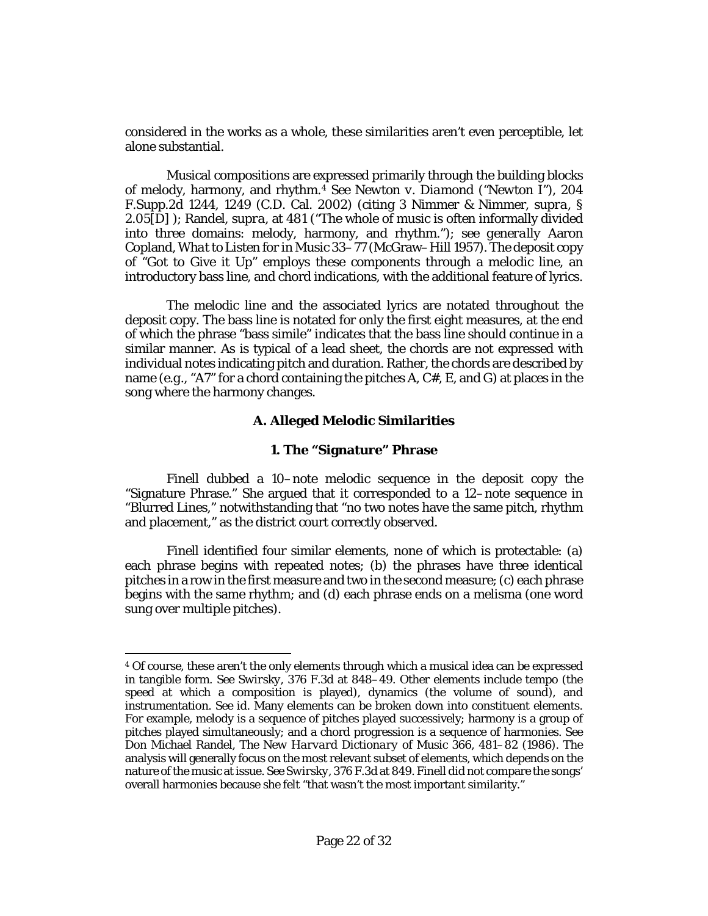considered in the works as a whole, these similarities aren't even perceptible, let alone substantial.

Musical compositions are expressed primarily through the building blocks of melody, harmony, and rhythm.[4](#page-21-0) *See Newton v. Diamond ("Newton I")*, 204 F.Supp.2d 1244, 1249 (C.D. Cal. 2002) (citing 3 Nimmer & Nimmer, *supra*, § 2.05[D] ); Randel, *supra*, at 481 ("The whole of music is often informally divided into three domains: melody, harmony, and rhythm."); *see generally* Aaron Copland, *What to Listen for in Music* 33–77 (McGraw–Hill 1957). The deposit copy of "Got to Give it Up" employs these components through a melodic line, an introductory bass line, and chord indications, with the additional feature of lyrics.

The melodic line and the associated lyrics are notated throughout the deposit copy. The bass line is notated for only the first eight measures, at the end of which the phrase "bass simile" indicates that the bass line should continue in a similar manner. As is typical of a lead sheet, the chords are not expressed with individual notes indicating pitch and duration. Rather, the chords are described by name (*e.g.*, "A7" for a chord containing the pitches A, C#, E, and G) at places in the song where the harmony changes.

## **A. Alleged Melodic Similarities**

## **1. The "Signature" Phrase**

Finell dubbed a 10–note melodic sequence in the deposit copy the "Signature Phrase." She argued that it corresponded to a 12–note sequence in "Blurred Lines," notwithstanding that "no two notes have the same pitch, rhythm and placement," as the district court correctly observed.

Finell identified four similar elements, none of which is protectable: (a) each phrase begins with repeated notes; (b) the phrases have three identical pitches in a row in the first measure and two in the second measure; (c) each phrase begins with the same rhythm; and (d) each phrase ends on a melisma (one word sung over multiple pitches).

 $\overline{a}$ 

<span id="page-21-0"></span><sup>4</sup> Of course, these aren't the only elements through which a musical idea can be expressed in tangible form. *See Swirsky*[, 376 F.3d at 848–49.](http://www.westlaw.com/Link/Document/FullText?findType=Y&serNum=2004692521&pubNum=0000506&originatingDoc=Ib17569402d2211e8bf39ca8c49083d45&refType=RP&fi=co_pp_sp_506_848&originationContext=document&vr=3.0&rs=cblt1.0&transitionType=DocumentItem&contextData=(sc.Keycite)#co_pp_sp_506_848) Other elements include tempo (the speed at which a composition is played), dynamics (the volume of sound), and instrumentation. *See id.* Many elements can be broken down into constituent elements. For example, melody is a sequence of pitches played successively; harmony is a group of pitches played simultaneously; and a chord progression is a sequence of harmonies. *See* Don Michael Randel, *The New Harvard Dictionary of Music* 366, 481–82 (1986). The analysis will generally focus on the most relevant subset of elements, which depends on the nature of the music at issue. *See Swirsky*[, 376 F.3d at 849.](http://www.westlaw.com/Link/Document/FullText?findType=Y&serNum=2004692521&pubNum=0000506&originatingDoc=Ib17569402d2211e8bf39ca8c49083d45&refType=RP&fi=co_pp_sp_506_849&originationContext=document&vr=3.0&rs=cblt1.0&transitionType=DocumentItem&contextData=(sc.Keycite)#co_pp_sp_506_849) Finell did not compare the songs' overall harmonies because she felt "that wasn't the most important similarity."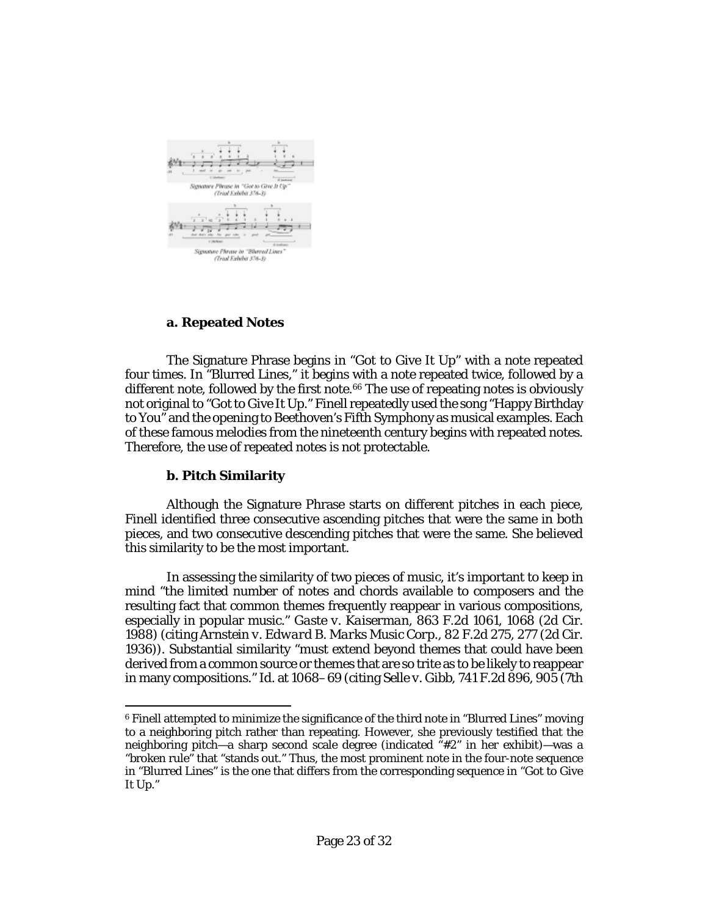

## **a. Repeated Notes**

The Signature Phrase begins in "Got to Give It Up" with a note repeated four times. In "Blurred Lines," it begins with a note repeated twice, followed by a different note, followed by the first note.<sup>[6](#page-22-0)6</sup> The use of repeating notes is obviously not original to "Got to Give It Up." Finell repeatedly used the song "Happy Birthday to You" and the opening to Beethoven's Fifth Symphony as musical examples. Each of these famous melodies from the nineteenth century begins with repeated notes. Therefore, the use of repeated notes is not protectable.

# **b. Pitch Similarity**

l

<span id="page-22-0"></span>Although the Signature Phrase starts on different pitches in each piece, Finell identified three consecutive ascending pitches that were the same in both pieces, and two consecutive descending pitches that were the same. She believed this similarity to be the most important.

In assessing the similarity of two pieces of music, it's important to keep in mind "the limited number of notes and chords available to composers and the resulting fact that common themes frequently reappear in various compositions, especially in popular music." *Gaste v. Kaiserman*[, 863 F.2d 1061, 1068 \(2d Cir.](http://www.westlaw.com/Link/Document/FullText?findType=Y&serNum=1988157436&pubNum=0000350&originatingDoc=Ib17569402d2211e8bf39ca8c49083d45&refType=RP&fi=co_pp_sp_350_1068&originationContext=document&vr=3.0&rs=cblt1.0&transitionType=DocumentItem&contextData=(sc.Keycite)#co_pp_sp_350_1068)  [1988\)](http://www.westlaw.com/Link/Document/FullText?findType=Y&serNum=1988157436&pubNum=0000350&originatingDoc=Ib17569402d2211e8bf39ca8c49083d45&refType=RP&fi=co_pp_sp_350_1068&originationContext=document&vr=3.0&rs=cblt1.0&transitionType=DocumentItem&contextData=(sc.Keycite)#co_pp_sp_350_1068) (citing *Arnstein v. Edward B. Marks Music Corp.*, 82 F.2d 275, 277 (2d Cir. 1936)). Substantial similarity "must extend beyond themes that could have been derived from a common source or themes that are so trite as to be likely to reappear in many compositions." *Id.* at 1068–69 (citing *Selle v. Gibb*[, 741 F.2d 896, 905 \(7th](http://www.westlaw.com/Link/Document/FullText?findType=Y&serNum=1984136016&pubNum=0000350&originatingDoc=Ib17569402d2211e8bf39ca8c49083d45&refType=RP&fi=co_pp_sp_350_905&originationContext=document&vr=3.0&rs=cblt1.0&transitionType=DocumentItem&contextData=(sc.Keycite)#co_pp_sp_350_905) 

<span id="page-22-1"></span><sup>6</sup> Finell attempted to minimize the significance of the third note in "Blurred Lines" moving to a neighboring pitch rather than repeating. However, she previously testified that the neighboring pitch—a sharp second scale degree (indicated "#2" in her exhibit)—was a "broken rule" that "stands out." Thus, the most prominent note in the four-note sequence in "Blurred Lines" is the one that differs from the corresponding sequence in "Got to Give It Up."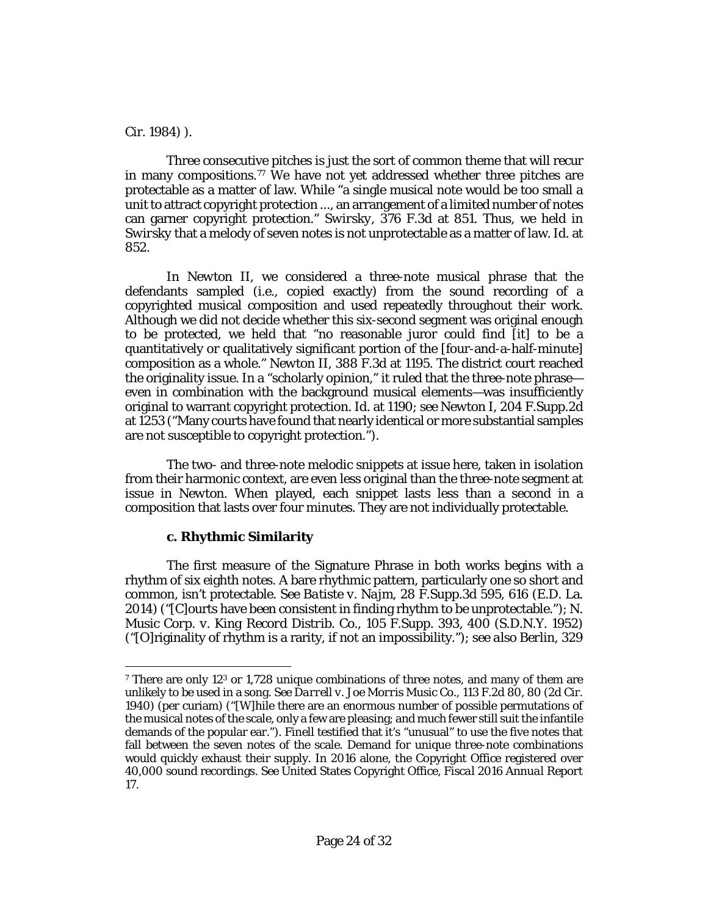[Cir. 1984\)](http://www.westlaw.com/Link/Document/FullText?findType=Y&serNum=1984136016&pubNum=0000350&originatingDoc=Ib17569402d2211e8bf39ca8c49083d45&refType=RP&fi=co_pp_sp_350_905&originationContext=document&vr=3.0&rs=cblt1.0&transitionType=DocumentItem&contextData=(sc.Keycite)#co_pp_sp_350_905) ).

l

Three consecutive pitches is just the sort of common theme that will recur in many compositions.<sup>[7](#page-23-0)7</sup> We have not yet addressed whether three pitches are protectable as a matter of law. While "a single musical note would be too small a unit to attract copyright protection ..., an arrangement of a limited number of notes can garner copyright protection." *Swirsky*[, 376 F.3d at 851.](http://www.westlaw.com/Link/Document/FullText?findType=Y&serNum=2004692521&pubNum=0000506&originatingDoc=Ib17569402d2211e8bf39ca8c49083d45&refType=RP&fi=co_pp_sp_506_851&originationContext=document&vr=3.0&rs=cblt1.0&transitionType=DocumentItem&contextData=(sc.Keycite)#co_pp_sp_506_851) Thus, we held in *[Swirsky](http://www.westlaw.com/Link/Document/FullText?findType=Y&serNum=2004692521&pubNum=0000506&originatingDoc=Ib17569402d2211e8bf39ca8c49083d45&refType=RP&originationContext=document&vr=3.0&rs=cblt1.0&transitionType=DocumentItem&contextData=(sc.Keycite))* that a melody of seven notes is not unprotectable as a matter of law. *Id.* at 852.

<span id="page-23-0"></span>In *Newton II*, we considered a three-note musical phrase that the defendants sampled (*i.e.*, copied exactly) from the sound recording of a copyrighted musical composition and used repeatedly throughout their work. Although we did not decide whether this six-second segment was original enough to be protected, we held that "no reasonable juror could find [it] to be a quantitatively or qualitatively significant portion of the [four-and-a-half-minute] composition as a whole." *Newton II*, 388 F.3d at 1195. The district court reached the originality issue. In a "scholarly opinion," it ruled that the three-note phrase even in combination with the background musical elements—was insufficiently original to warrant copyright protection. *Id.* at 1190; *see Newton I*, 204 F.Supp.2d at 1253 ("Many courts have found that nearly identical or more substantial samples are not susceptible to copyright protection.").

The two- and three-note melodic snippets at issue here, taken in isolation from their harmonic context, are even less original than the three-note segment at issue in *Newton*. When played, each snippet lasts less than a second in a composition that lasts over four minutes. They are not individually protectable.

# **c. Rhythmic Similarity**

The first measure of the Signature Phrase in both works begins with a rhythm of six eighth notes. A bare rhythmic pattern, particularly one so short and common, isn't protectable. *See Batiste v. Najm*, 28 [F.Supp.3d 595, 616 \(E.D. La.](http://www.westlaw.com/Link/Document/FullText?findType=Y&serNum=2033679277&pubNum=0007903&originatingDoc=Ib17569402d2211e8bf39ca8c49083d45&refType=RP&fi=co_pp_sp_7903_616&originationContext=document&vr=3.0&rs=cblt1.0&transitionType=DocumentItem&contextData=(sc.Keycite)#co_pp_sp_7903_616)  [2014\)](http://www.westlaw.com/Link/Document/FullText?findType=Y&serNum=2033679277&pubNum=0007903&originatingDoc=Ib17569402d2211e8bf39ca8c49083d45&refType=RP&fi=co_pp_sp_7903_616&originationContext=document&vr=3.0&rs=cblt1.0&transitionType=DocumentItem&contextData=(sc.Keycite)#co_pp_sp_7903_616) ("[C]ourts have been consistent in finding rhythm to be unprotectable."); *[N.](http://www.westlaw.com/Link/Document/FullText?findType=Y&serNum=1952118533&pubNum=0000345&originatingDoc=Ib17569402d2211e8bf39ca8c49083d45&refType=RP&fi=co_pp_sp_345_400&originationContext=document&vr=3.0&rs=cblt1.0&transitionType=DocumentItem&contextData=(sc.Keycite)#co_pp_sp_345_400)  [Music Corp. v. King Record Distrib. Co.](http://www.westlaw.com/Link/Document/FullText?findType=Y&serNum=1952118533&pubNum=0000345&originatingDoc=Ib17569402d2211e8bf39ca8c49083d45&refType=RP&fi=co_pp_sp_345_400&originationContext=document&vr=3.0&rs=cblt1.0&transitionType=DocumentItem&contextData=(sc.Keycite)#co_pp_sp_345_400)*, 105 F.Supp. 393, 400 (S.D.N.Y. 1952) ("[O]riginality of rhythm is a rarity, if not an impossibility."); *see also [Berlin](http://www.westlaw.com/Link/Document/FullText?findType=Y&serNum=1964113635&pubNum=0000350&originatingDoc=Ib17569402d2211e8bf39ca8c49083d45&refType=RP&fi=co_pp_sp_350_545&originationContext=document&vr=3.0&rs=cblt1.0&transitionType=DocumentItem&contextData=(sc.Keycite)#co_pp_sp_350_545)*, 329

<span id="page-23-1"></span><sup>7</sup> There are only 123 or 1,728 unique combinations of three notes, and many of them are unlikely to be used in a song. *See Darrell v. Joe Morris Music Co.*, 113 F.2d 80, 80 (2d Cir. 1940) (per curiam) ("[W]hile there are an enormous number of possible permutations of the musical notes of the scale, only a few are pleasing; and much fewer still suit the infantile demands of the popular ear."). Finell testified that it's "unusual" to use the five notes that fall between the seven notes of the scale. Demand for unique three-note combinations would quickly exhaust their supply. In 2016 alone, the Copyright Office registered over 40,000 sound recordings. *See* United States Copyright Office, *Fiscal 2016 Annual Report* 17.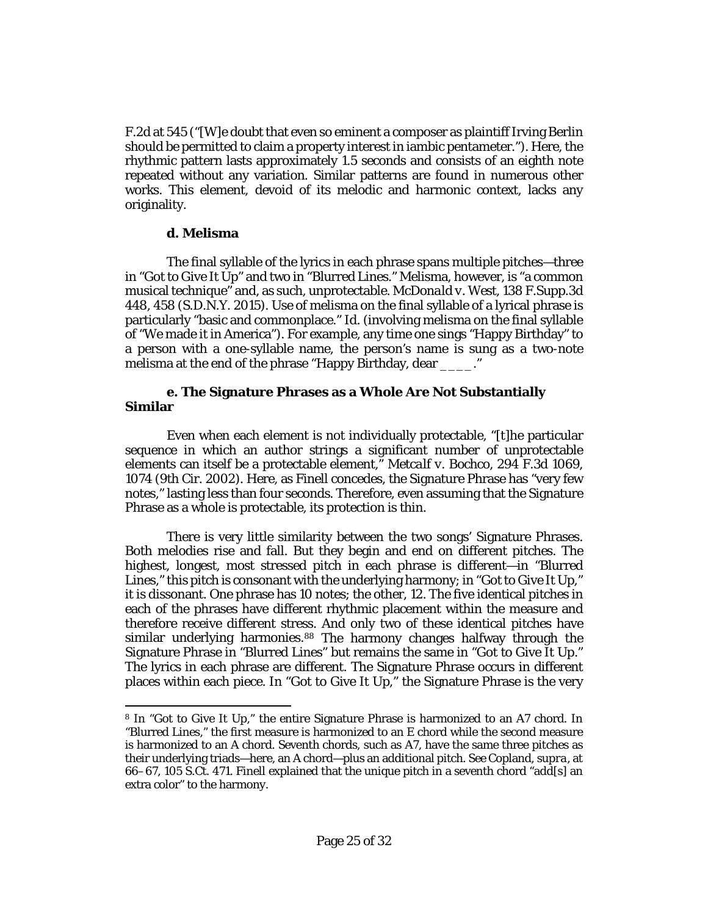[F.2d at 545](http://www.westlaw.com/Link/Document/FullText?findType=Y&serNum=1964113635&pubNum=0000350&originatingDoc=Ib17569402d2211e8bf39ca8c49083d45&refType=RP&fi=co_pp_sp_350_545&originationContext=document&vr=3.0&rs=cblt1.0&transitionType=DocumentItem&contextData=(sc.Keycite)#co_pp_sp_350_545) ("[W]e doubt that even so eminent a composer as plaintiff Irving Berlin should be permitted to claim a property interest in iambic pentameter."). Here, the rhythmic pattern lasts approximately 1.5 seconds and consists of an eighth note repeated without any variation. Similar patterns are found in numerous other works. This element, devoid of its melodic and harmonic context, lacks any originality.

#### **d. Melisma**

l

The final syllable of the lyrics in each phrase spans multiple pitches—three in "Got to Give It Up" and two in "Blurred Lines." Melisma, however, is "a common musical technique" and, as such, unprotectable. *[McDonald v. West](http://www.westlaw.com/Link/Document/FullText?findType=Y&serNum=2037298803&pubNum=0007903&originatingDoc=Ib17569402d2211e8bf39ca8c49083d45&refType=RP&fi=co_pp_sp_7903_458&originationContext=document&vr=3.0&rs=cblt1.0&transitionType=DocumentItem&contextData=(sc.Keycite)#co_pp_sp_7903_458)*, 138 F.Supp.3d [448, 458 \(S.D.N.Y. 2015\).](http://www.westlaw.com/Link/Document/FullText?findType=Y&serNum=2037298803&pubNum=0007903&originatingDoc=Ib17569402d2211e8bf39ca8c49083d45&refType=RP&fi=co_pp_sp_7903_458&originationContext=document&vr=3.0&rs=cblt1.0&transitionType=DocumentItem&contextData=(sc.Keycite)#co_pp_sp_7903_458) Use of melisma on the final syllable of a lyrical phrase is particularly "basic and commonplace." *Id.* (involving melisma on the final syllable of "We made it in America"). For example, any time one sings "Happy Birthday" to a person with a one-syllable name, the person's name is sung as a two-note melisma at the end of the phrase "Happy Birthday, dear ..."

### **e. The Signature Phrases as a Whole Are Not Substantially Similar**

Even when each element is not individually protectable, "[t]he particular sequence in which an author strings a significant number of unprotectable elements can itself be a protectable element," *[Metcalf v. Bochco](http://www.westlaw.com/Link/Document/FullText?findType=Y&serNum=2002365597&pubNum=0000506&originatingDoc=Ib17569402d2211e8bf39ca8c49083d45&refType=RP&fi=co_pp_sp_506_1074&originationContext=document&vr=3.0&rs=cblt1.0&transitionType=DocumentItem&contextData=(sc.Keycite)#co_pp_sp_506_1074)*, 294 F.3d 1069, [1074 \(9th Cir. 2002\).](http://www.westlaw.com/Link/Document/FullText?findType=Y&serNum=2002365597&pubNum=0000506&originatingDoc=Ib17569402d2211e8bf39ca8c49083d45&refType=RP&fi=co_pp_sp_506_1074&originationContext=document&vr=3.0&rs=cblt1.0&transitionType=DocumentItem&contextData=(sc.Keycite)#co_pp_sp_506_1074) Here, as Finell concedes, the Signature Phrase has "very few notes," lasting less than four seconds. Therefore, even assuming that the Signature Phrase as a whole is protectable, its protection is thin.

There is very little similarity between the two songs' Signature Phrases. Both melodies rise and fall. But they begin and end on different pitches. The highest, longest, most stressed pitch in each phrase is different—in "Blurred Lines," this pitch is consonant with the underlying harmony; in "Got to Give It Up," it is dissonant. One phrase has 10 notes; the other, 12. The five identical pitches in each of the phrases have different rhythmic placement within the measure and therefore receive different stress. And only two of these identical pitches have similar underlying harmonies.[8](#page-24-0)[8](#page-25-0) The harmony changes halfway through the Signature Phrase in "Blurred Lines" but remains the same in "Got to Give It Up." The lyrics in each phrase are different. The Signature Phrase occurs in different places within each piece. In "Got to Give It Up," the Signature Phrase is the very

<span id="page-24-0"></span><sup>8</sup> In "Got to Give It Up," the entire Signature Phrase is harmonized to an A7 chord. In "Blurred Lines," the first measure is harmonized to an E chord while the second measure is harmonized to an A chord. Seventh chords, such as A7, have the same three pitches as their underlying triads—here, an A chord—plus an additional pitch. *See* Copland, *[supra](http://www.westlaw.com/Link/Document/FullText?findType=Y&serNum=1984158609&pubNum=0000780&originatingDoc=Ib17569402d2211e8bf39ca8c49083d45&refType=RP&fi=co_pp_sp_780_66&originationContext=document&vr=3.0&rs=cblt1.0&transitionType=DocumentItem&contextData=(sc.Keycite)#co_pp_sp_780_66)*, at [66–67, 105 S.Ct. 471.](http://www.westlaw.com/Link/Document/FullText?findType=Y&serNum=1984158609&pubNum=0000780&originatingDoc=Ib17569402d2211e8bf39ca8c49083d45&refType=RP&fi=co_pp_sp_780_66&originationContext=document&vr=3.0&rs=cblt1.0&transitionType=DocumentItem&contextData=(sc.Keycite)#co_pp_sp_780_66) Finell explained that the unique pitch in a seventh chord "add[s] an extra color" to the harmony.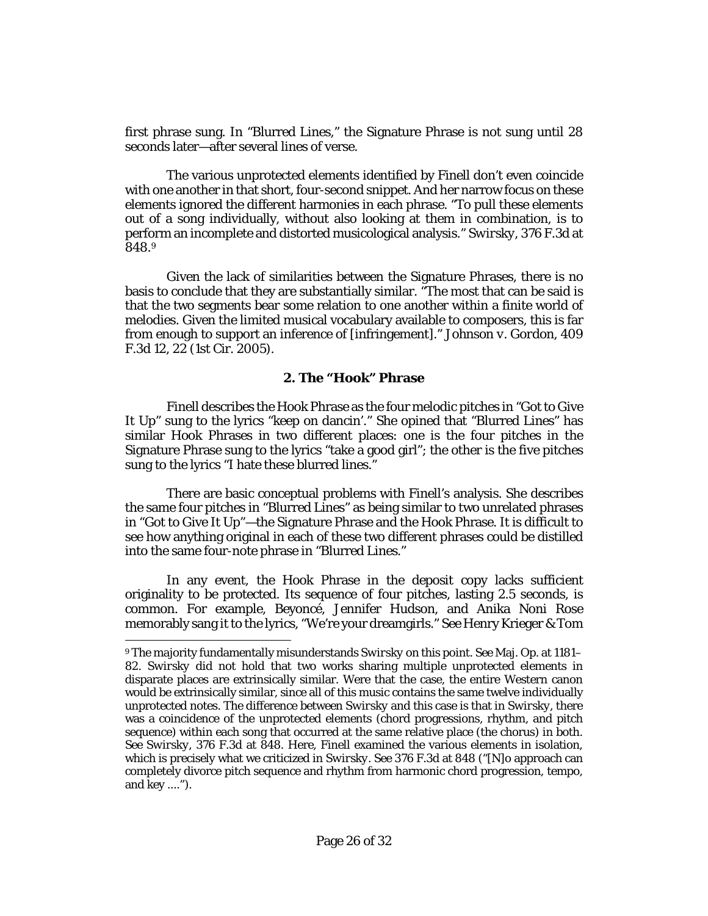first phrase sung. In "Blurred Lines," the Signature Phrase is not sung until 28 seconds later—after several lines of verse.

<span id="page-25-0"></span>The various unprotected elements identified by Finell don't even coincide with one another in that short, four-second snippet. And her narrow focus on these elements ignored the different harmonies in each phrase. "To pull these elements out of a song individually, without also looking at them in combination, is to perform an incomplete and distorted musicological analysis." *Swirsky*[, 376 F.3d at](http://www.westlaw.com/Link/Document/FullText?findType=Y&serNum=2004692521&pubNum=0000506&originatingDoc=Ib17569402d2211e8bf39ca8c49083d45&refType=RP&fi=co_pp_sp_506_848&originationContext=document&vr=3.0&rs=cblt1.0&transitionType=DocumentItem&contextData=(sc.Keycite)#co_pp_sp_506_848)  [848.](http://www.westlaw.com/Link/Document/FullText?findType=Y&serNum=2004692521&pubNum=0000506&originatingDoc=Ib17569402d2211e8bf39ca8c49083d45&refType=RP&fi=co_pp_sp_506_848&originationContext=document&vr=3.0&rs=cblt1.0&transitionType=DocumentItem&contextData=(sc.Keycite)#co_pp_sp_506_848)[9](#page-25-1)

Given the lack of similarities between the Signature Phrases, there is no basis to conclude that they are substantially similar. "The most that can be said is that the two segments bear some relation to one another within a finite world of melodies. Given the limited musical vocabulary available to composers, this is far from enough to support an inference of [infringement]." *[Johnson v. Gordon](http://www.westlaw.com/Link/Document/FullText?findType=Y&serNum=2006711477&pubNum=0000506&originatingDoc=Ib17569402d2211e8bf39ca8c49083d45&refType=RP&fi=co_pp_sp_506_22&originationContext=document&vr=3.0&rs=cblt1.0&transitionType=DocumentItem&contextData=(sc.Keycite)#co_pp_sp_506_22)*, 409 [F.3d 12, 22 \(1st Cir. 2005\).](http://www.westlaw.com/Link/Document/FullText?findType=Y&serNum=2006711477&pubNum=0000506&originatingDoc=Ib17569402d2211e8bf39ca8c49083d45&refType=RP&fi=co_pp_sp_506_22&originationContext=document&vr=3.0&rs=cblt1.0&transitionType=DocumentItem&contextData=(sc.Keycite)#co_pp_sp_506_22)

#### **2. The "Hook" Phrase**

Finell describes the Hook Phrase as the four melodic pitches in "Got to Give It Up" sung to the lyrics "keep on dancin'." She opined that "Blurred Lines" has similar Hook Phrases in two different places: one is the four pitches in the Signature Phrase sung to the lyrics "take a good girl"; the other is the five pitches sung to the lyrics "I hate these blurred lines."

There are basic conceptual problems with Finell's analysis. She describes the same four pitches in "Blurred Lines" as being similar to two unrelated phrases in "Got to Give It Up"—the Signature Phrase and the Hook Phrase. It is difficult to see how anything original in each of these two different phrases could be distilled into the same four-note phrase in "Blurred Lines."

In any event, the Hook Phrase in the deposit copy lacks sufficient originality to be protected. Its sequence of four pitches, lasting 2.5 seconds, is common. For example, Beyoncé, Jennifer Hudson, and Anika Noni Rose memorably sang it to the lyrics, "We're your dreamgirls." *See* Henry Krieger & Tom

l

<span id="page-25-1"></span><sup>9</sup> The majority fundamentally misunderstands *[Swirsky](http://www.westlaw.com/Link/Document/FullText?findType=Y&serNum=2004692521&pubNum=0000506&originatingDoc=Ib17569402d2211e8bf39ca8c49083d45&refType=RP&originationContext=document&vr=3.0&rs=cblt1.0&transitionType=DocumentItem&contextData=(sc.Keycite))* on this point. *See* Maj. Op. at 1181– 82. *[Swirsky](http://www.westlaw.com/Link/Document/FullText?findType=Y&serNum=2004692521&pubNum=0000506&originatingDoc=Ib17569402d2211e8bf39ca8c49083d45&refType=RP&originationContext=document&vr=3.0&rs=cblt1.0&transitionType=DocumentItem&contextData=(sc.Keycite))* did not hold that two works sharing multiple unprotected elements in disparate places are extrinsically similar. Were that the case, the entire Western canon would be extrinsically similar, since all of this music contains the same twelve individually unprotected notes. The difference between *[Swirsky](http://www.westlaw.com/Link/Document/FullText?findType=Y&serNum=2004692521&pubNum=0000506&originatingDoc=Ib17569402d2211e8bf39ca8c49083d45&refType=RP&originationContext=document&vr=3.0&rs=cblt1.0&transitionType=DocumentItem&contextData=(sc.Keycite))* and this case is that in *[Swirsky](http://www.westlaw.com/Link/Document/FullText?findType=Y&serNum=2004692521&pubNum=0000506&originatingDoc=Ib17569402d2211e8bf39ca8c49083d45&refType=RP&originationContext=document&vr=3.0&rs=cblt1.0&transitionType=DocumentItem&contextData=(sc.Keycite))*, there was a coincidence of the unprotected elements (chord progressions, rhythm, and pitch sequence) within each song that occurred at the same relative place (the chorus) in both. *See Swirsky*[, 376 F.3d at 848.](http://www.westlaw.com/Link/Document/FullText?findType=Y&serNum=2004692521&pubNum=0000506&originatingDoc=Ib17569402d2211e8bf39ca8c49083d45&refType=RP&fi=co_pp_sp_506_848&originationContext=document&vr=3.0&rs=cblt1.0&transitionType=DocumentItem&contextData=(sc.Keycite)#co_pp_sp_506_848) Here, Finell examined the various elements in isolation, which is precisely what we criticized in *[Swirsky](http://www.westlaw.com/Link/Document/FullText?findType=Y&serNum=2004692521&pubNum=0000506&originatingDoc=Ib17569402d2211e8bf39ca8c49083d45&refType=RP&fi=co_pp_sp_506_848&originationContext=document&vr=3.0&rs=cblt1.0&transitionType=DocumentItem&contextData=(sc.Keycite)#co_pp_sp_506_848)*. *See* 376 F.3d at 848 ("[N]o approach can completely divorce pitch sequence and rhythm from harmonic chord progression, tempo, and key ....").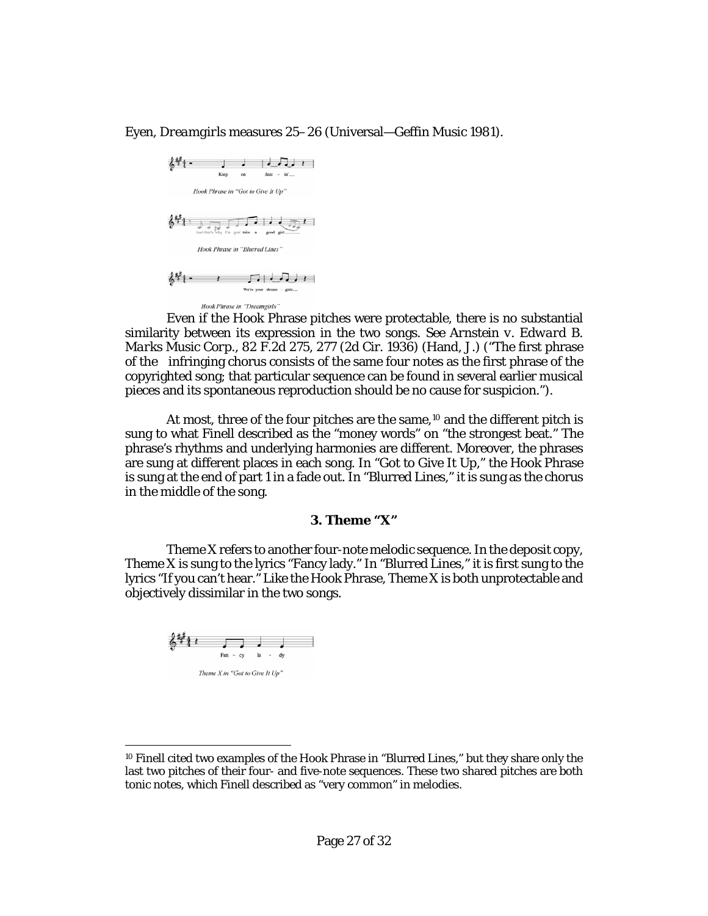Eyen, *Dreamgirls* measures 25–26 (Universal—Geffin Music 1981).



Even if the Hook Phrase pitches were protectable, there is no substantial similarity between its expression in the two songs. *See Arnstein v. Edward B. Marks Music Corp.*, 82 F.2d 275, 277 (2d Cir. 1936) (Hand, J.) ("The first phrase of the infringing chorus consists of the same four notes as the first phrase of the copyrighted song; that particular sequence can be found in several earlier musical pieces and its spontaneous reproduction should be no cause for suspicion.").

At most, three of the four pitches are the same,<sup>[10](#page-26-0)</sup> and the different pitch is sung to what Finell described as the "money words" on "the strongest beat." The phrase's rhythms and underlying harmonies are different. Moreover, the phrases are sung at different places in each song. In "Got to Give It Up," the Hook Phrase is sung at the end of part 1 in a fade out. In "Blurred Lines," it is sung as the chorus in the middle of the song.

#### **3. Theme "X"**

Theme X refers to another four-note melodic sequence. In the deposit copy, Theme X is sung to the lyrics "Fancy lady." In "Blurred Lines," it is first sung to the lyrics "If you can't hear." Like the Hook Phrase, Theme X is both unprotectable and objectively dissimilar in the two songs.



 $\overline{a}$ 

<span id="page-26-0"></span><sup>10</sup> Finell cited two examples of the Hook Phrase in "Blurred Lines," but they share only the last two pitches of their four- and five-note sequences. These two shared pitches are both tonic notes, which Finell described as "very common" in melodies.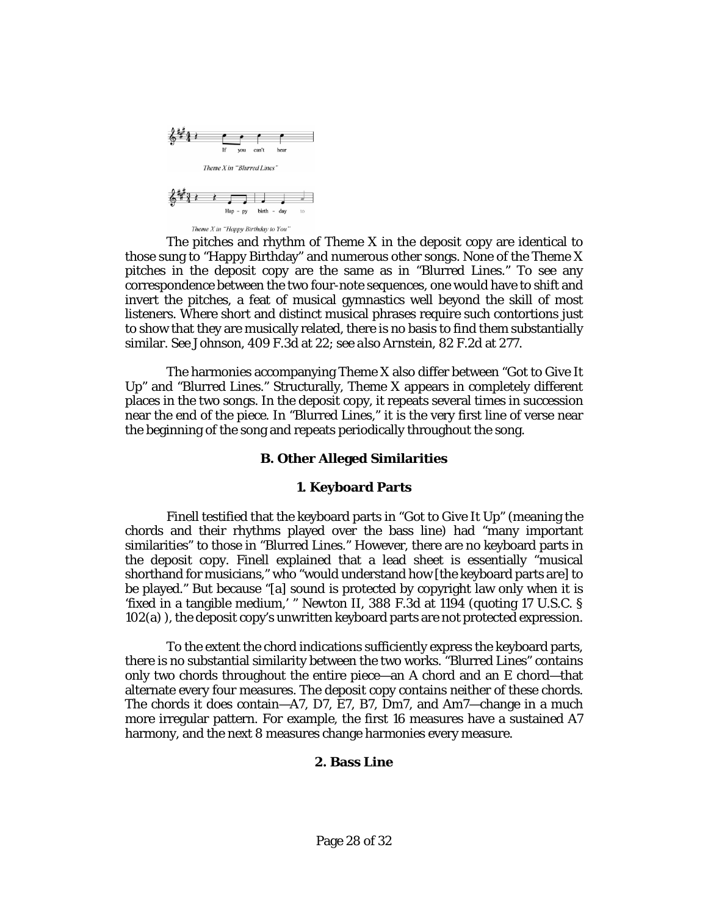

The pitches and rhythm of Theme X in the deposit copy are identical to those sung to "Happy Birthday" and numerous other songs. None of the Theme X pitches in the deposit copy are the same as in "Blurred Lines." To see any correspondence between the two four-note sequences, one would have to shift and invert the pitches, a feat of musical gymnastics well beyond the skill of most listeners. Where short and distinct musical phrases require such contortions just

similar. *See Johnson*[, 409 F.3d at 22;](http://www.westlaw.com/Link/Document/FullText?findType=Y&serNum=2006711477&pubNum=0000506&originatingDoc=Ib17569402d2211e8bf39ca8c49083d45&refType=RP&fi=co_pp_sp_506_22&originationContext=document&vr=3.0&rs=cblt1.0&transitionType=DocumentItem&contextData=(sc.Keycite)#co_pp_sp_506_22) *see also Arnstein*[, 82 F.2d at 277.](http://www.westlaw.com/Link/Document/FullText?findType=Y&serNum=1936129268&pubNum=0000350&originatingDoc=Ib17569402d2211e8bf39ca8c49083d45&refType=RP&fi=co_pp_sp_350_277&originationContext=document&vr=3.0&rs=cblt1.0&transitionType=DocumentItem&contextData=(sc.Keycite)#co_pp_sp_350_277)

The harmonies accompanying Theme X also differ between "Got to Give It Up" and "Blurred Lines." Structurally, Theme X appears in completely different places in the two songs. In the deposit copy, it repeats several times in succession near the end of the piece. In "Blurred Lines," it is the very first line of verse near the beginning of the song and repeats periodically throughout the song.

to show that they are musically related, there is no basis to find them substantially

#### **B. Other Alleged Similarities**

#### **1. Keyboard Parts**

Finell testified that the keyboard parts in "Got to Give It Up" (meaning the chords and their rhythms played over the bass line) had "many important similarities" to those in "Blurred Lines." However, there are no keyboard parts in the deposit copy. Finell explained that a lead sheet is essentially "musical shorthand for musicians," who "would understand how [the keyboard parts are] to be played." But because "[a] sound is protected by copyright law only when it is 'fixed in a tangible medium,' " *Newton II*, 388 F.3d at 1194 (quoting [17 U.S.C. §](http://www.westlaw.com/Link/Document/FullText?findType=L&pubNum=1000546&cite=17USCAS102&originatingDoc=Ib17569402d2211e8bf39ca8c49083d45&refType=RB&originationContext=document&vr=3.0&rs=cblt1.0&transitionType=DocumentItem&contextData=(sc.Keycite)#co_pp_8b3b0000958a4)  [102\(a\)](http://www.westlaw.com/Link/Document/FullText?findType=L&pubNum=1000546&cite=17USCAS102&originatingDoc=Ib17569402d2211e8bf39ca8c49083d45&refType=RB&originationContext=document&vr=3.0&rs=cblt1.0&transitionType=DocumentItem&contextData=(sc.Keycite)#co_pp_8b3b0000958a4) ), the deposit copy's unwritten keyboard parts are not protected expression.

To the extent the chord indications sufficiently express the keyboard parts, there is no substantial similarity between the two works. "Blurred Lines" contains only two chords throughout the entire piece—an A chord and an E chord—that alternate every four measures. The deposit copy contains neither of these chords. The chords it does contain—A7, D7, E7, B7, Dm7, and Am7—change in a much more irregular pattern. For example, the first 16 measures have a sustained A7 harmony, and the next 8 measures change harmonies every measure.

## **2. Bass Line**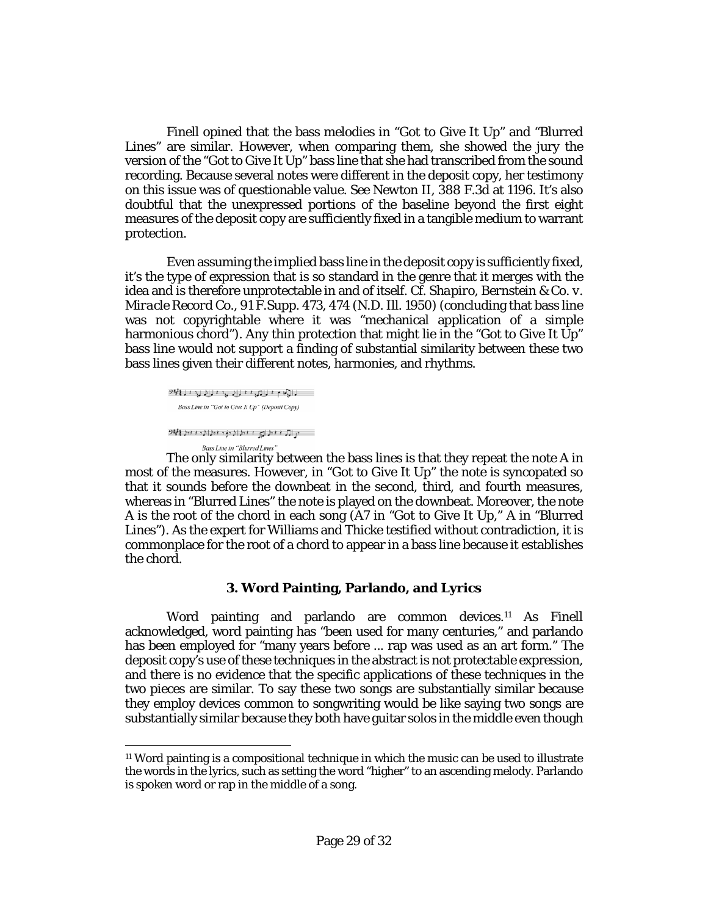Finell opined that the bass melodies in "Got to Give It Up" and "Blurred Lines" are similar. However, when comparing them, she showed the jury the version of the "Got to Give It Up" bass line that she had transcribed from the sound recording. Because several notes were different in the deposit copy, her testimony on this issue was of questionable value. *See Newton II*, 388 F.3d at 1196. It's also doubtful that the unexpressed portions of the baseline beyond the first eight measures of the deposit copy are sufficiently fixed in a tangible medium to warrant protection.

Even assuming the implied bass line in the deposit copy is sufficiently fixed, it's the type of expression that is so standard in the genre that it merges with the idea and is therefore unprotectable in and of itself. *Cf. [Shapiro, Bernstein & Co. v.](http://www.westlaw.com/Link/Document/FullText?findType=Y&serNum=1950119038&pubNum=0000345&originatingDoc=Ib17569402d2211e8bf39ca8c49083d45&refType=RP&fi=co_pp_sp_345_474&originationContext=document&vr=3.0&rs=cblt1.0&transitionType=DocumentItem&contextData=(sc.Keycite)#co_pp_sp_345_474)  Miracle Record Co.*[, 91 F.Supp. 473, 474 \(N.D. Ill. 1950\)](http://www.westlaw.com/Link/Document/FullText?findType=Y&serNum=1950119038&pubNum=0000345&originatingDoc=Ib17569402d2211e8bf39ca8c49083d45&refType=RP&fi=co_pp_sp_345_474&originationContext=document&vr=3.0&rs=cblt1.0&transitionType=DocumentItem&contextData=(sc.Keycite)#co_pp_sp_345_474) (concluding that bass line was not copyrightable where it was "mechanical application of a simple harmonious chord"). Any thin protection that might lie in the "Got to Give It Up" bass line would not support a finding of substantial similarity between these two bass lines given their different notes, harmonies, and rhythms.

```
נונה ביותר בינוע הבינוע ברי האי
  Bass Line in "Got to Give It Up" (Deposit Copy)
سارال منطراي منطرا ( دؤد مطرا ( د منطقة 1949 )
          Bass Line in "Blurred Lines"
```
 $\overline{a}$ 

The only similarity between the bass lines is that they repeat the note A in most of the measures. However, in "Got to Give It Up" the note is syncopated so that it sounds before the downbeat in the second, third, and fourth measures, whereas in "Blurred Lines" the note is played on the downbeat. Moreover, the note A is the root of the chord in each song (A7 in "Got to Give It Up," A in "Blurred Lines"). As the expert for Williams and Thicke testified without contradiction, it is commonplace for the root of a chord to appear in a bass line because it establishes the chord.

# **3. Word Painting, Parlando, and Lyrics**

Word painting and parlando are common devices[.11](#page-29-0) As Finell acknowledged, word painting has "been used for many centuries," and parlando has been employed for "many years before ... rap was used as an art form." The deposit copy's use of these techniques in the abstract is not protectable expression, and there is no evidence that the specific applications of these techniques in the two pieces are similar. To say these two songs are substantially similar because they employ devices common to songwriting would be like saying two songs are substantially similar because they both have guitar solos in the middle even though

<span id="page-28-0"></span><sup>11</sup> Word painting is a compositional technique in which the music can be used to illustrate the words in the lyrics, such as setting the word "higher" to an ascending melody. Parlando is spoken word or rap in the middle of a song.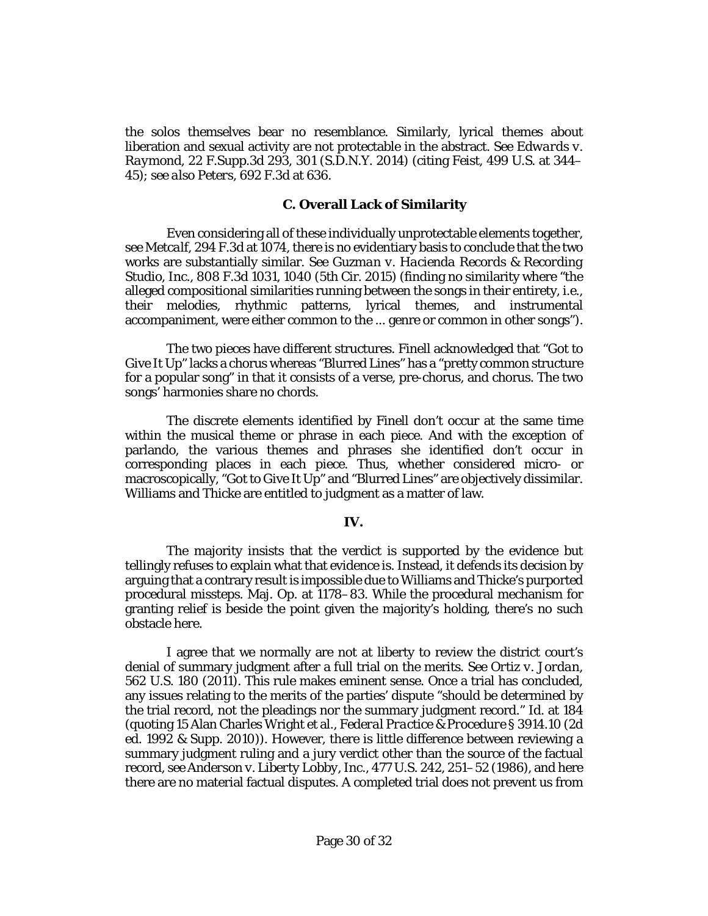the solos themselves bear no resemblance. Similarly, lyrical themes about liberation and sexual activity are not protectable in the abstract. *See [Edwards v.](http://www.westlaw.com/Link/Document/FullText?findType=Y&serNum=2033438880&pubNum=0007903&originatingDoc=Ib17569402d2211e8bf39ca8c49083d45&refType=RP&fi=co_pp_sp_7903_301&originationContext=document&vr=3.0&rs=cblt1.0&transitionType=DocumentItem&contextData=(sc.Keycite)#co_pp_sp_7903_301)  Raymond*[, 22 F.Supp.3d 293, 301 \(S.D.N.Y. 2014\)](http://www.westlaw.com/Link/Document/FullText?findType=Y&serNum=2033438880&pubNum=0007903&originatingDoc=Ib17569402d2211e8bf39ca8c49083d45&refType=RP&fi=co_pp_sp_7903_301&originationContext=document&vr=3.0&rs=cblt1.0&transitionType=DocumentItem&contextData=(sc.Keycite)#co_pp_sp_7903_301) (citing *Feist*[, 499 U.S. at 344–](http://www.westlaw.com/Link/Document/FullText?findType=Y&serNum=1991060551&pubNum=0000708&originatingDoc=Ib17569402d2211e8bf39ca8c49083d45&refType=RP&originationContext=document&vr=3.0&rs=cblt1.0&transitionType=DocumentItem&contextData=(sc.Keycite)) [45\)](http://www.westlaw.com/Link/Document/FullText?findType=Y&serNum=1991060551&pubNum=0000708&originatingDoc=Ib17569402d2211e8bf39ca8c49083d45&refType=RP&originationContext=document&vr=3.0&rs=cblt1.0&transitionType=DocumentItem&contextData=(sc.Keycite)); *see also Peters*[, 692 F.3d](http://www.westlaw.com/Link/Document/FullText?findType=Y&serNum=2028435200&pubNum=0000506&originatingDoc=Ib17569402d2211e8bf39ca8c49083d45&refType=RP&fi=co_pp_sp_506_636&originationContext=document&vr=3.0&rs=cblt1.0&transitionType=DocumentItem&contextData=(sc.Keycite)#co_pp_sp_506_636) at 636.

#### <span id="page-29-0"></span>**C. Overall Lack of Similarity**

Even considering all of these individually unprotectable elements together, *see Metcalf*[, 294 F.3d at 1074,](http://www.westlaw.com/Link/Document/FullText?findType=Y&serNum=2002365597&pubNum=0000506&originatingDoc=Ib17569402d2211e8bf39ca8c49083d45&refType=RP&fi=co_pp_sp_506_1074&originationContext=document&vr=3.0&rs=cblt1.0&transitionType=DocumentItem&contextData=(sc.Keycite)#co_pp_sp_506_1074) there is no evidentiary basis to conclude that the two works are substantially similar. *See [Guzman v. Hacienda Records & Recording](http://www.westlaw.com/Link/Document/FullText?findType=Y&serNum=2037821236&pubNum=0000506&originatingDoc=Ib17569402d2211e8bf39ca8c49083d45&refType=RP&fi=co_pp_sp_506_1040&originationContext=document&vr=3.0&rs=cblt1.0&transitionType=DocumentItem&contextData=(sc.Keycite)#co_pp_sp_506_1040)  Studio, Inc.*[, 808 F.3d 1031, 1040 \(5th Cir. 2015\)](http://www.westlaw.com/Link/Document/FullText?findType=Y&serNum=2037821236&pubNum=0000506&originatingDoc=Ib17569402d2211e8bf39ca8c49083d45&refType=RP&fi=co_pp_sp_506_1040&originationContext=document&vr=3.0&rs=cblt1.0&transitionType=DocumentItem&contextData=(sc.Keycite)#co_pp_sp_506_1040) (finding no similarity where "the alleged compositional similarities running between the songs in their entirety, *i.e.*, their melodies, rhythmic patterns, lyrical themes, and instrumental accompaniment, were either common to the ... genre or common in other songs").

The two pieces have different structures. Finell acknowledged that "Got to Give It Up" lacks a chorus whereas "Blurred Lines" has a "pretty common structure for a popular song" in that it consists of a verse, pre-chorus, and chorus. The two songs' harmonies share no chords.

The discrete elements identified by Finell don't occur at the same time within the musical theme or phrase in each piece. And with the exception of parlando, the various themes and phrases she identified don't occur in corresponding places in each piece. Thus, whether considered micro- or macroscopically, "Got to Give It Up" and "Blurred Lines" are objectively dissimilar. Williams and Thicke are entitled to judgment as a matter of law.

#### **IV.**

The majority insists that the verdict is supported by the evidence but tellingly refuses to explain what that evidence is. Instead, it defends its decision by arguing that a contrary result is impossible due to Williams and Thicke's purported procedural missteps. Maj. Op. at 1178–83. While the procedural mechanism for granting relief is beside the point given the majority's holding, there's no such obstacle here.

I agree that we normally are not at liberty to review the district court's denial of summary judgment after a full trial on the merits. *See [Ortiz v. Jordan](http://www.westlaw.com/Link/Document/FullText?findType=Y&serNum=2024443643&pubNum=0000708&originatingDoc=Ib17569402d2211e8bf39ca8c49083d45&refType=RP&originationContext=document&vr=3.0&rs=cblt1.0&transitionType=DocumentItem&contextData=(sc.Keycite))*, [562 U.S. 180 \(2011\).](http://www.westlaw.com/Link/Document/FullText?findType=Y&serNum=2024443643&pubNum=0000708&originatingDoc=Ib17569402d2211e8bf39ca8c49083d45&refType=RP&originationContext=document&vr=3.0&rs=cblt1.0&transitionType=DocumentItem&contextData=(sc.Keycite)) This rule makes eminent sense. Once a trial has concluded, any issues relating to the merits of the parties' dispute "should be determined by the trial record, not the pleadings nor the summary judgment record." *Id.* at 184 (quoting 15 Alan Charles Wright et al., *Federal Practice & Procedure* § 3914.10 (2d ed. 1992 & Supp. 2010)). However, there is little difference between reviewing a summary judgment ruling and a jury verdict other than the source of the factual record, *see [Anderson v. Liberty Lobby, Inc.](http://www.westlaw.com/Link/Document/FullText?findType=Y&serNum=1986132674&pubNum=0000708&originatingDoc=Ib17569402d2211e8bf39ca8c49083d45&refType=RP&originationContext=document&vr=3.0&rs=cblt1.0&transitionType=DocumentItem&contextData=(sc.Keycite))*, 477 U.S. 242, 251–52 (1986), and here there are no material factual disputes. A completed trial does not prevent us from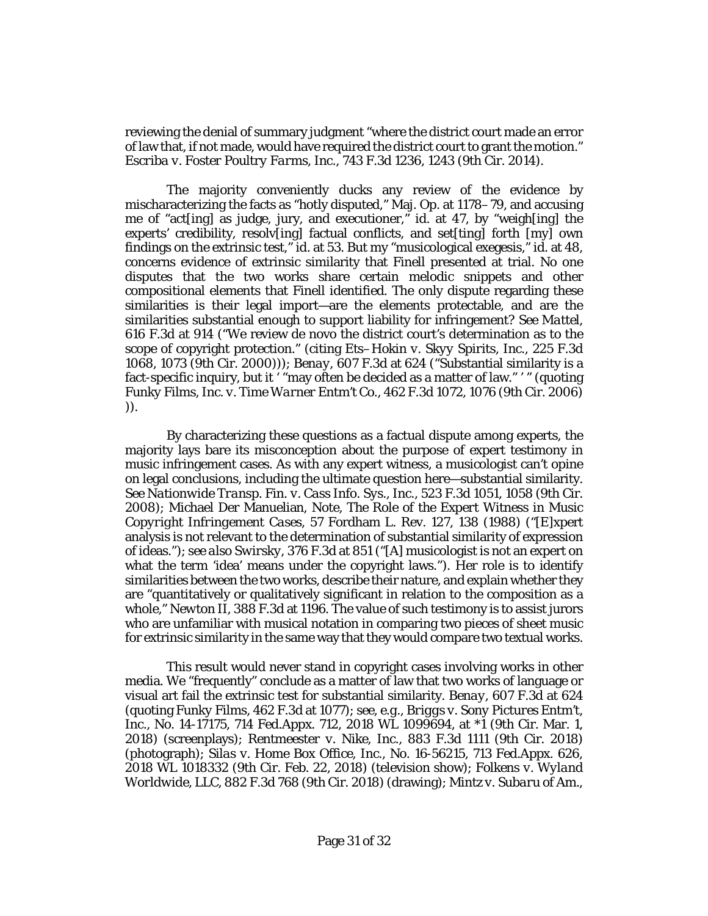reviewing the denial of summary judgment "where the district court made an error of law that, if not made, would have required the district court to grant the motion." *Escriba v. Foster Poultry Farms, Inc.*[, 743 F.3d 1236, 1243 \(9th Cir. 2014\).](http://www.westlaw.com/Link/Document/FullText?findType=Y&serNum=2032785009&pubNum=0000506&originatingDoc=Ib17569402d2211e8bf39ca8c49083d45&refType=RP&fi=co_pp_sp_506_1243&originationContext=document&vr=3.0&rs=cblt1.0&transitionType=DocumentItem&contextData=(sc.Keycite)#co_pp_sp_506_1243)

The majority conveniently ducks any review of the evidence by mischaracterizing the facts as "hotly disputed," Maj. Op. at 1178–79, and accusing me of "act[ing] as judge, jury, and executioner," *id.* at 47, by "weigh[ing] the experts' credibility, resolv[ing] factual conflicts, and set[ting] forth [my] own findings on the extrinsic test," *id.* at 53. But my "musicological exegesis," *id.* at 48, concerns evidence of extrinsic similarity that *Finell* presented at trial. No one disputes that the two works share certain melodic snippets and other compositional elements that Finell identified. The only dispute regarding these similarities is their legal import—are the elements protectable, and are the similarities substantial enough to support liability for infringement? *See [Mattel](http://www.westlaw.com/Link/Document/FullText?findType=Y&serNum=2022583077&pubNum=0000506&originatingDoc=Ib17569402d2211e8bf39ca8c49083d45&refType=RP&fi=co_pp_sp_506_914&originationContext=document&vr=3.0&rs=cblt1.0&transitionType=DocumentItem&contextData=(sc.Keycite)#co_pp_sp_506_914)*, [616 F.3d at 914](http://www.westlaw.com/Link/Document/FullText?findType=Y&serNum=2022583077&pubNum=0000506&originatingDoc=Ib17569402d2211e8bf39ca8c49083d45&refType=RP&fi=co_pp_sp_506_914&originationContext=document&vr=3.0&rs=cblt1.0&transitionType=DocumentItem&contextData=(sc.Keycite)#co_pp_sp_506_914) ("We review de novo the district court's determination as to the scope of copyright protection." (citing *[Ets–Hokin v. Skyy Spirits, Inc.](http://www.westlaw.com/Link/Document/FullText?findType=Y&serNum=2000479807&pubNum=0000506&originatingDoc=Ib17569402d2211e8bf39ca8c49083d45&refType=RP&fi=co_pp_sp_506_1073&originationContext=document&vr=3.0&rs=cblt1.0&transitionType=DocumentItem&contextData=(sc.Keycite)#co_pp_sp_506_1073)*, 225 F.3d [1068, 1073 \(9th Cir. 2000\)\)](http://www.westlaw.com/Link/Document/FullText?findType=Y&serNum=2000479807&pubNum=0000506&originatingDoc=Ib17569402d2211e8bf39ca8c49083d45&refType=RP&fi=co_pp_sp_506_1073&originationContext=document&vr=3.0&rs=cblt1.0&transitionType=DocumentItem&contextData=(sc.Keycite)#co_pp_sp_506_1073)); *Benay*[, 607 F.3d at 624](http://www.westlaw.com/Link/Document/FullText?findType=Y&serNum=2022264635&pubNum=0000506&originatingDoc=Ib17569402d2211e8bf39ca8c49083d45&refType=RP&fi=co_pp_sp_506_624&originationContext=document&vr=3.0&rs=cblt1.0&transitionType=DocumentItem&contextData=(sc.Keycite)#co_pp_sp_506_624) ("Substantial similarity is a fact-specific inquiry, but it ' "may often be decided as a matter of law." ' " (quoting *[Funky Films, Inc. v. Time Warner Entm't Co.](http://www.westlaw.com/Link/Document/FullText?findType=Y&serNum=2010199064&pubNum=0000506&originatingDoc=Ib17569402d2211e8bf39ca8c49083d45&refType=RP&fi=co_pp_sp_506_1076&originationContext=document&vr=3.0&rs=cblt1.0&transitionType=DocumentItem&contextData=(sc.Keycite)#co_pp_sp_506_1076)*, 462 F.3d 1072, 1076 (9th Cir. 2006) )).

By characterizing these questions as a factual dispute among experts, the majority lays bare its misconception about the purpose of expert testimony in music infringement cases. As with any expert witness, a musicologist can't opine on legal conclusions, including the ultimate question here—substantial similarity. *See [Nationwide Transp. Fin. v. Cass Info. Sys., Inc.](http://www.westlaw.com/Link/Document/FullText?findType=Y&serNum=2015893929&pubNum=0000506&originatingDoc=Ib17569402d2211e8bf39ca8c49083d45&refType=RP&fi=co_pp_sp_506_1058&originationContext=document&vr=3.0&rs=cblt1.0&transitionType=DocumentItem&contextData=(sc.Keycite)#co_pp_sp_506_1058)*, 523 F.3d 1051, 1058 (9th Cir. [2008\);](http://www.westlaw.com/Link/Document/FullText?findType=Y&serNum=2015893929&pubNum=0000506&originatingDoc=Ib17569402d2211e8bf39ca8c49083d45&refType=RP&fi=co_pp_sp_506_1058&originationContext=document&vr=3.0&rs=cblt1.0&transitionType=DocumentItem&contextData=(sc.Keycite)#co_pp_sp_506_1058) Michael Der Manuelian, Note, *[The Role of the Expert Witness in Music](http://www.westlaw.com/Link/Document/FullText?findType=Y&serNum=0101944471&pubNum=0001142&originatingDoc=Ib17569402d2211e8bf39ca8c49083d45&refType=LR&fi=co_pp_sp_1142_138&originationContext=document&vr=3.0&rs=cblt1.0&transitionType=DocumentItem&contextData=(sc.Keycite)#co_pp_sp_1142_138)  Copyright Infringement Cases*[, 57 Fordham L. Rev. 127, 138 \(1988\)](http://www.westlaw.com/Link/Document/FullText?findType=Y&serNum=0101944471&pubNum=0001142&originatingDoc=Ib17569402d2211e8bf39ca8c49083d45&refType=LR&fi=co_pp_sp_1142_138&originationContext=document&vr=3.0&rs=cblt1.0&transitionType=DocumentItem&contextData=(sc.Keycite)#co_pp_sp_1142_138) ("[E]xpert analysis is not relevant to the determination of substantial similarity of expression of ideas."); *see also Swirsky*[, 376 F.3d at 851](http://www.westlaw.com/Link/Document/FullText?findType=Y&serNum=2004692521&pubNum=0000506&originatingDoc=Ib17569402d2211e8bf39ca8c49083d45&refType=RP&fi=co_pp_sp_506_851&originationContext=document&vr=3.0&rs=cblt1.0&transitionType=DocumentItem&contextData=(sc.Keycite)#co_pp_sp_506_851) ("[A] musicologist is not an expert on what the term 'idea' means under the copyright laws."). Her role is to identify similarities between the two works, describe their nature, and explain whether they are "quantitatively or qualitatively significant in relation to the composition as a whole," *Newton II*, 388 F.3d at 1196. The value of such testimony is to assist jurors who are unfamiliar with musical notation in comparing two pieces of sheet music for extrinsic similarity in the same way that they would compare two textual works.

This result would never stand in copyright cases involving works in other media. We "frequently" conclude as a matter of law that two works of language or visual art fail the extrinsic test for substantial similarity. *Benay*[, 607 F.3d at 624](http://www.westlaw.com/Link/Document/FullText?findType=Y&serNum=2022264635&pubNum=0000506&originatingDoc=Ib17569402d2211e8bf39ca8c49083d45&refType=RP&fi=co_pp_sp_506_624&originationContext=document&vr=3.0&rs=cblt1.0&transitionType=DocumentItem&contextData=(sc.Keycite)#co_pp_sp_506_624) (quoting *Funky Films*[, 462 F.3d at 1077\)](http://www.westlaw.com/Link/Document/FullText?findType=Y&serNum=2010199064&pubNum=0000506&originatingDoc=Ib17569402d2211e8bf39ca8c49083d45&refType=RP&fi=co_pp_sp_506_1077&originationContext=document&vr=3.0&rs=cblt1.0&transitionType=DocumentItem&contextData=(sc.Keycite)#co_pp_sp_506_1077); *see, e.g.*, *Briggs v. Sony Pictures Entm't, Inc.*, No. 14-17175, 714 Fed.Appx. 712, 2018 WL 1099694, at \*1 (9th Cir. Mar. 1, 2018) (screenplays); *Rentmeester v. Nike, Inc.*[, 883 F.3d 1111 \(9th Cir. 2018\)](http://www.westlaw.com/Link/Document/FullText?findType=Y&serNum=2043897592&pubNum=0000506&originatingDoc=Ib17569402d2211e8bf39ca8c49083d45&refType=RP&originationContext=document&vr=3.0&rs=cblt1.0&transitionType=DocumentItem&contextData=(sc.Keycite)) (photograph); *Silas v. Home Box Office, Inc.*[, No. 16-56215, 713 Fed.Appx. 626,](http://www.westlaw.com/Link/Document/FullText?findType=Y&serNum=2043875696&pubNum=0000999&originatingDoc=Ib17569402d2211e8bf39ca8c49083d45&refType=RP&originationContext=document&vr=3.0&rs=cblt1.0&transitionType=DocumentItem&contextData=(sc.Keycite))  [2018 WL 1018332 \(9th Cir. Feb. 22, 2018\)](http://www.westlaw.com/Link/Document/FullText?findType=Y&serNum=2043875696&pubNum=0000999&originatingDoc=Ib17569402d2211e8bf39ca8c49083d45&refType=RP&originationContext=document&vr=3.0&rs=cblt1.0&transitionType=DocumentItem&contextData=(sc.Keycite)) (television show); *[Folkens v. Wyland](http://www.westlaw.com/Link/Document/FullText?findType=Y&serNum=2043808072&pubNum=0000506&originatingDoc=Ib17569402d2211e8bf39ca8c49083d45&refType=RP&originationContext=document&vr=3.0&rs=cblt1.0&transitionType=DocumentItem&contextData=(sc.Keycite))  Worldwide, LLC*[, 882 F.3d 768 \(9th Cir. 2018\)](http://www.westlaw.com/Link/Document/FullText?findType=Y&serNum=2043808072&pubNum=0000506&originatingDoc=Ib17569402d2211e8bf39ca8c49083d45&refType=RP&originationContext=document&vr=3.0&rs=cblt1.0&transitionType=DocumentItem&contextData=(sc.Keycite)) (drawing); *Mintz v. Subaru of Am.,*